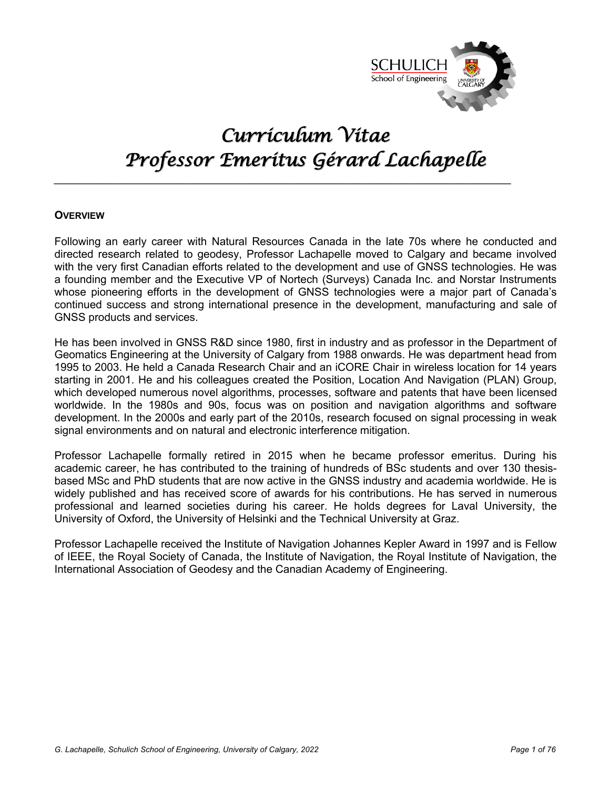

# *Curriculum Vitae Professor Emeritus Gérard Lachapelle*

 $\_$ 

# **OVERVIEW**

Following an early career with Natural Resources Canada in the late 70s where he conducted and directed research related to geodesy, Professor Lachapelle moved to Calgary and became involved with the very first Canadian efforts related to the development and use of GNSS technologies. He was a founding member and the Executive VP of Nortech (Surveys) Canada Inc. and Norstar Instruments whose pioneering efforts in the development of GNSS technologies were a major part of Canada's continued success and strong international presence in the development, manufacturing and sale of GNSS products and services.

He has been involved in GNSS R&D since 1980, first in industry and as professor in the Department of Geomatics Engineering at the University of Calgary from 1988 onwards. He was department head from 1995 to 2003. He held a Canada Research Chair and an iCORE Chair in wireless location for 14 years starting in 2001. He and his colleagues created the Position, Location And Navigation (PLAN) Group, which developed numerous novel algorithms, processes, software and patents that have been licensed worldwide. In the 1980s and 90s, focus was on position and navigation algorithms and software development. In the 2000s and early part of the 2010s, research focused on signal processing in weak signal environments and on natural and electronic interference mitigation.

Professor Lachapelle formally retired in 2015 when he became professor emeritus. During his academic career, he has contributed to the training of hundreds of BSc students and over 130 thesisbased MSc and PhD students that are now active in the GNSS industry and academia worldwide. He is widely published and has received score of awards for his contributions. He has served in numerous professional and learned societies during his career. He holds degrees for Laval University, the University of Oxford, the University of Helsinki and the Technical University at Graz.

Professor Lachapelle received the Institute of Navigation Johannes Kepler Award in 1997 and is Fellow of IEEE, the Royal Society of Canada, the Institute of Navigation, the Royal Institute of Navigation, the International Association of Geodesy and the Canadian Academy of Engineering.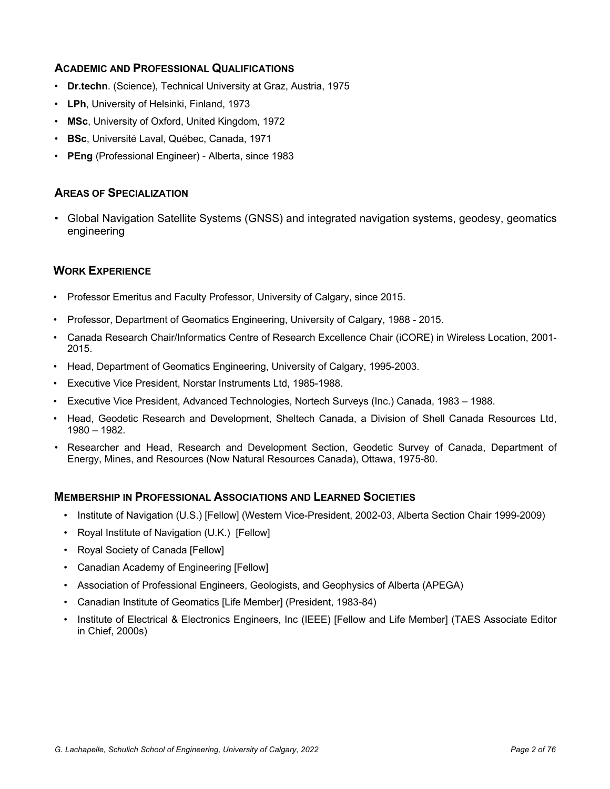# **ACADEMIC AND PROFESSIONAL QUALIFICATIONS**

- **Dr.techn**. (Science), Technical University at Graz, Austria, 1975
- **LPh**, University of Helsinki, Finland, 1973
- **MSc**, University of Oxford, United Kingdom, 1972
- **BSc**, Université Laval, Québec, Canada, 1971
- **PEng** (Professional Engineer) Alberta, since 1983

# **AREAS OF SPECIALIZATION**

• Global Navigation Satellite Systems (GNSS) and integrated navigation systems, geodesy, geomatics engineering

# **WORK EXPERIENCE**

- Professor Emeritus and Faculty Professor, University of Calgary, since 2015.
- Professor, Department of Geomatics Engineering, University of Calgary, 1988 2015.
- Canada Research Chair/Informatics Centre of Research Excellence Chair (iCORE) in Wireless Location, 2001- 2015.
- Head, Department of Geomatics Engineering, University of Calgary, 1995-2003.
- Executive Vice President, Norstar Instruments Ltd, 1985-1988.
- Executive Vice President, Advanced Technologies, Nortech Surveys (Inc.) Canada, 1983 1988.
- Head, Geodetic Research and Development, Sheltech Canada, a Division of Shell Canada Resources Ltd, 1980 – 1982.
- Researcher and Head, Research and Development Section, Geodetic Survey of Canada, Department of Energy, Mines, and Resources (Now Natural Resources Canada), Ottawa, 1975-80.

#### **MEMBERSHIP IN PROFESSIONAL ASSOCIATIONS AND LEARNED SOCIETIES**

- Institute of Navigation (U.S.) [Fellow] (Western Vice-President, 2002-03, Alberta Section Chair 1999-2009)
- Royal Institute of Navigation (U.K.) [Fellow]
- Royal Society of Canada [Fellow]
- Canadian Academy of Engineering [Fellow]
- Association of Professional Engineers, Geologists, and Geophysics of Alberta (APEGA)
- Canadian Institute of Geomatics [Life Member] (President, 1983-84)
- Institute of Electrical & Electronics Engineers, Inc (IEEE) [Fellow and Life Member] (TAES Associate Editor in Chief, 2000s)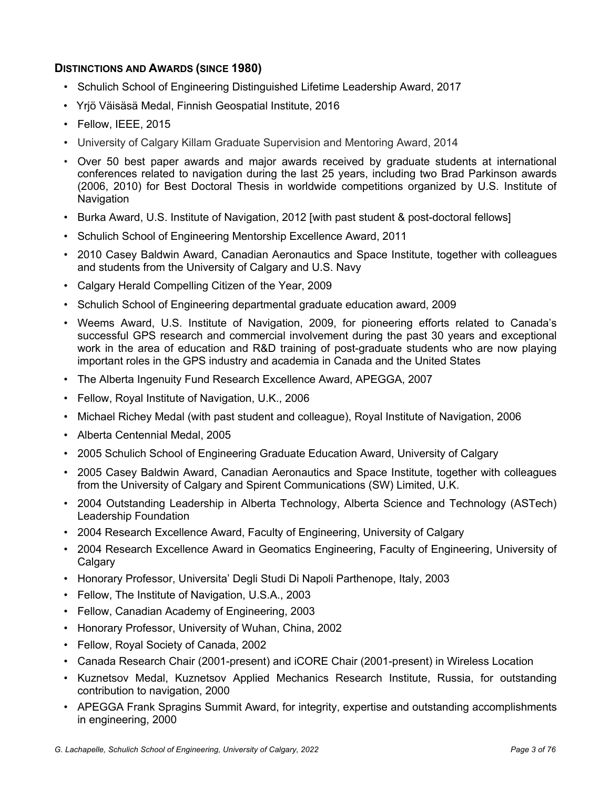# **DISTINCTIONS AND AWARDS (SINCE 1980)**

- Schulich School of Engineering Distinguished Lifetime Leadership Award, 2017
- Yrjö Väisäsä Medal, Finnish Geospatial Institute, 2016
- Fellow, IEEE, 2015
- University of Calgary Killam Graduate Supervision and Mentoring Award, 2014
- Over 50 best paper awards and major awards received by graduate students at international conferences related to navigation during the last 25 years, including two Brad Parkinson awards (2006, 2010) for Best Doctoral Thesis in worldwide competitions organized by U.S. Institute of **Navigation**
- Burka Award, U.S. Institute of Navigation, 2012 [with past student & post-doctoral fellows]
- Schulich School of Engineering Mentorship Excellence Award, 2011
- 2010 Casey Baldwin Award, Canadian Aeronautics and Space Institute, together with colleagues and students from the University of Calgary and U.S. Navy
- Calgary Herald Compelling Citizen of the Year, 2009
- Schulich School of Engineering departmental graduate education award, 2009
- Weems Award, U.S. Institute of Navigation, 2009, for pioneering efforts related to Canada's successful GPS research and commercial involvement during the past 30 years and exceptional work in the area of education and R&D training of post-graduate students who are now playing important roles in the GPS industry and academia in Canada and the United States
- The Alberta Ingenuity Fund Research Excellence Award, APEGGA, 2007
- Fellow, Royal Institute of Navigation, U.K., 2006
- Michael Richey Medal (with past student and colleague), Royal Institute of Navigation, 2006
- Alberta Centennial Medal, 2005
- 2005 Schulich School of Engineering Graduate Education Award, University of Calgary
- 2005 Casey Baldwin Award, Canadian Aeronautics and Space Institute, together with colleagues from the University of Calgary and Spirent Communications (SW) Limited, U.K.
- 2004 Outstanding Leadership in Alberta Technology, Alberta Science and Technology (ASTech) Leadership Foundation
- 2004 Research Excellence Award, Faculty of Engineering, University of Calgary
- 2004 Research Excellence Award in Geomatics Engineering, Faculty of Engineering, University of **Calgary**
- Honorary Professor, Universita' Degli Studi Di Napoli Parthenope, Italy, 2003
- Fellow, The Institute of Navigation, U.S.A., 2003
- Fellow, Canadian Academy of Engineering, 2003
- Honorary Professor, University of Wuhan, China, 2002
- Fellow, Royal Society of Canada, 2002
- Canada Research Chair (2001-present) and iCORE Chair (2001-present) in Wireless Location
- Kuznetsov Medal, Kuznetsov Applied Mechanics Research Institute, Russia, for outstanding contribution to navigation, 2000
- APEGGA Frank Spragins Summit Award, for integrity, expertise and outstanding accomplishments in engineering, 2000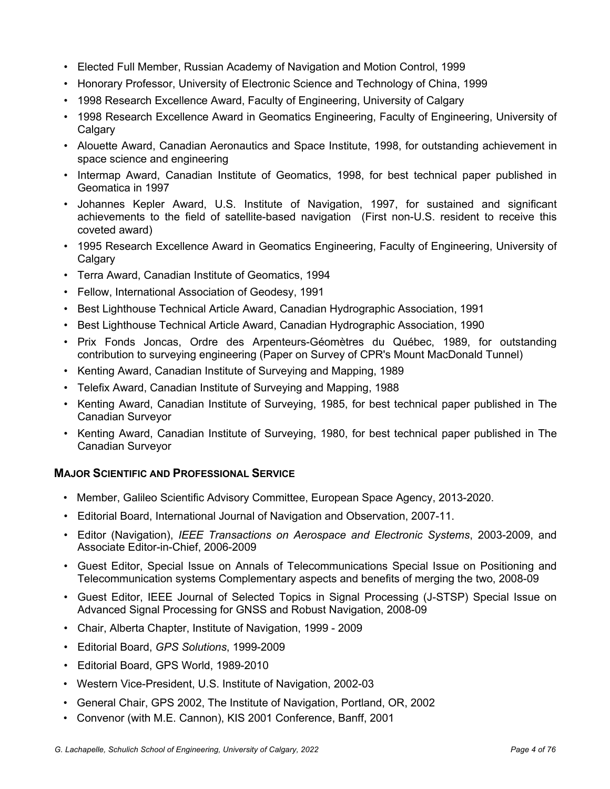- Elected Full Member, Russian Academy of Navigation and Motion Control, 1999
- Honorary Professor, University of Electronic Science and Technology of China, 1999
- 1998 Research Excellence Award, Faculty of Engineering, University of Calgary
- 1998 Research Excellence Award in Geomatics Engineering, Faculty of Engineering, University of **Calgary**
- Alouette Award, Canadian Aeronautics and Space Institute, 1998, for outstanding achievement in space science and engineering
- Intermap Award, Canadian Institute of Geomatics, 1998, for best technical paper published in Geomatica in 1997
- Johannes Kepler Award, U.S. Institute of Navigation, 1997, for sustained and significant achievements to the field of satellite-based navigation (First non-U.S. resident to receive this coveted award)
- 1995 Research Excellence Award in Geomatics Engineering, Faculty of Engineering, University of **Calgary**
- Terra Award, Canadian Institute of Geomatics, 1994
- Fellow, International Association of Geodesy, 1991
- Best Lighthouse Technical Article Award, Canadian Hydrographic Association, 1991
- Best Lighthouse Technical Article Award, Canadian Hydrographic Association, 1990
- Prix Fonds Joncas, Ordre des Arpenteurs-Géomètres du Québec, 1989, for outstanding contribution to surveying engineering (Paper on Survey of CPR's Mount MacDonald Tunnel)
- Kenting Award, Canadian Institute of Surveying and Mapping, 1989
- Telefix Award, Canadian Institute of Surveying and Mapping, 1988
- Kenting Award, Canadian Institute of Surveying, 1985, for best technical paper published in The Canadian Surveyor
- Kenting Award, Canadian Institute of Surveying, 1980, for best technical paper published in The Canadian Surveyor

# **MAJOR SCIENTIFIC AND PROFESSIONAL SERVICE**

- Member, Galileo Scientific Advisory Committee, European Space Agency, 2013-2020.
- Editorial Board, International Journal of Navigation and Observation, 2007-11.
- Editor (Navigation), *IEEE Transactions on Aerospace and Electronic Systems*, 2003-2009, and Associate Editor-in-Chief, 2006-2009
- Guest Editor, Special Issue on Annals of Telecommunications Special Issue on Positioning and Telecommunication systems Complementary aspects and benefits of merging the two, 2008-09
- Guest Editor, IEEE Journal of Selected Topics in Signal Processing (J-STSP) Special Issue on Advanced Signal Processing for GNSS and Robust Navigation, 2008-09
- Chair, Alberta Chapter, Institute of Navigation, 1999 2009
- Editorial Board, *GPS Solutions*, 1999-2009
- Editorial Board, GPS World, 1989-2010
- Western Vice-President, U.S. Institute of Navigation, 2002-03
- General Chair, GPS 2002, The Institute of Navigation, Portland, OR, 2002
- Convenor (with M.E. Cannon), KIS 2001 Conference, Banff, 2001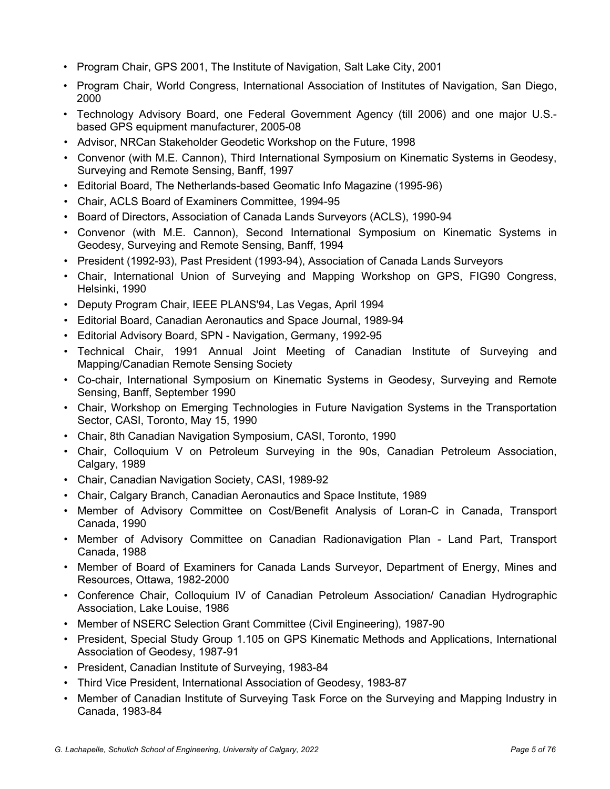- Program Chair, GPS 2001, The Institute of Navigation, Salt Lake City, 2001
- Program Chair, World Congress, International Association of Institutes of Navigation, San Diego, 2000
- Technology Advisory Board, one Federal Government Agency (till 2006) and one major U.S. based GPS equipment manufacturer, 2005-08
- Advisor, NRCan Stakeholder Geodetic Workshop on the Future, 1998
- Convenor (with M.E. Cannon), Third International Symposium on Kinematic Systems in Geodesy, Surveying and Remote Sensing, Banff, 1997
- Editorial Board, The Netherlands-based Geomatic Info Magazine (1995-96)
- Chair, ACLS Board of Examiners Committee, 1994-95
- Board of Directors, Association of Canada Lands Surveyors (ACLS), 1990-94
- Convenor (with M.E. Cannon), Second International Symposium on Kinematic Systems in Geodesy, Surveying and Remote Sensing, Banff, 1994
- President (1992-93), Past President (1993-94), Association of Canada Lands Surveyors
- Chair, International Union of Surveying and Mapping Workshop on GPS, FIG90 Congress, Helsinki, 1990
- Deputy Program Chair, IEEE PLANS'94, Las Vegas, April 1994
- Editorial Board, Canadian Aeronautics and Space Journal, 1989-94
- Editorial Advisory Board, SPN Navigation, Germany, 1992-95
- Technical Chair, 1991 Annual Joint Meeting of Canadian Institute of Surveying and Mapping/Canadian Remote Sensing Society
- Co-chair, International Symposium on Kinematic Systems in Geodesy, Surveying and Remote Sensing, Banff, September 1990
- Chair, Workshop on Emerging Technologies in Future Navigation Systems in the Transportation Sector, CASI, Toronto, May 15, 1990
- Chair, 8th Canadian Navigation Symposium, CASI, Toronto, 1990
- Chair, Colloquium V on Petroleum Surveying in the 90s, Canadian Petroleum Association, Calgary, 1989
- Chair, Canadian Navigation Society, CASI, 1989-92
- Chair, Calgary Branch, Canadian Aeronautics and Space Institute, 1989
- Member of Advisory Committee on Cost/Benefit Analysis of Loran-C in Canada, Transport Canada, 1990
- Member of Advisory Committee on Canadian Radionavigation Plan Land Part, Transport Canada, 1988
- Member of Board of Examiners for Canada Lands Surveyor, Department of Energy, Mines and Resources, Ottawa, 1982-2000
- Conference Chair, Colloquium IV of Canadian Petroleum Association/ Canadian Hydrographic Association, Lake Louise, 1986
- Member of NSERC Selection Grant Committee (Civil Engineering), 1987-90
- President, Special Study Group 1.105 on GPS Kinematic Methods and Applications, International Association of Geodesy, 1987-91
- President, Canadian Institute of Surveying, 1983-84
- Third Vice President, International Association of Geodesy, 1983-87
- Member of Canadian Institute of Surveying Task Force on the Surveying and Mapping Industry in Canada, 1983-84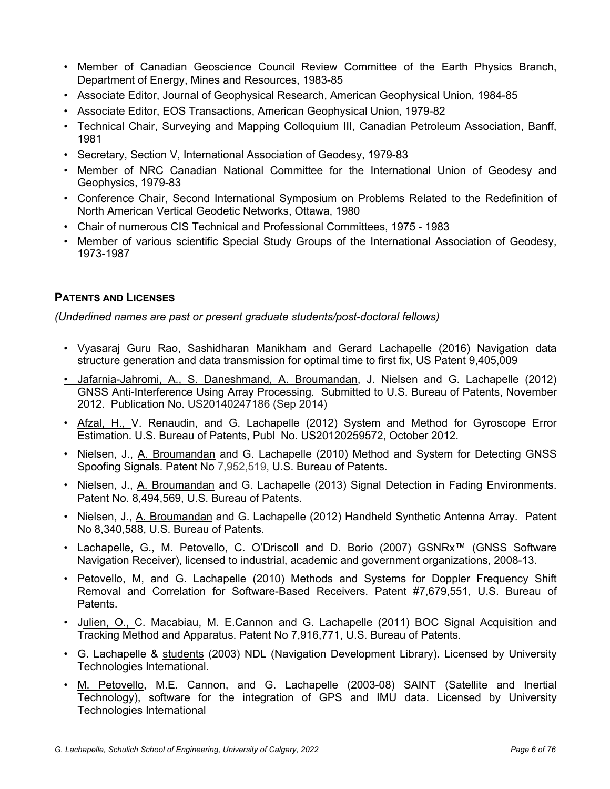- Member of Canadian Geoscience Council Review Committee of the Earth Physics Branch, Department of Energy, Mines and Resources, 1983-85
- Associate Editor, Journal of Geophysical Research, American Geophysical Union, 1984-85
- Associate Editor, EOS Transactions, American Geophysical Union, 1979-82
- Technical Chair, Surveying and Mapping Colloquium III, Canadian Petroleum Association, Banff, 1981
- Secretary, Section V, International Association of Geodesy, 1979-83
- Member of NRC Canadian National Committee for the International Union of Geodesy and Geophysics, 1979-83
- Conference Chair, Second International Symposium on Problems Related to the Redefinition of North American Vertical Geodetic Networks, Ottawa, 1980
- Chair of numerous CIS Technical and Professional Committees, 1975 1983
- Member of various scientific Special Study Groups of the International Association of Geodesy, 1973-1987

# **PATENTS AND LICENSES**

*(Underlined names are past or present graduate students/post-doctoral fellows)*

- Vyasaraj Guru Rao, Sashidharan Manikham and Gerard Lachapelle (2016) Navigation data structure generation and data transmission for optimal time to first fix, US Patent 9,405,009
- Jafarnia-Jahromi, A., S. Daneshmand, A. Broumandan, J. Nielsen and G. Lachapelle (2012) GNSS Anti-Interference Using Array Processing. Submitted to U.S. Bureau of Patents, November 2012. Publication No. US20140247186 (Sep 2014)
- Afzal, H., V. Renaudin, and G. Lachapelle (2012) System and Method for Gyroscope Error Estimation. U.S. Bureau of Patents, Publ No. US20120259572, October 2012.
- Nielsen, J., A. Broumandan and G. Lachapelle (2010) Method and System for Detecting GNSS Spoofing Signals. Patent No 7,952,519, U.S. Bureau of Patents.
- Nielsen, J., A. Broumandan and G. Lachapelle (2013) Signal Detection in Fading Environments. Patent No. 8,494,569, U.S. Bureau of Patents.
- Nielsen, J., A. Broumandan and G. Lachapelle (2012) Handheld Synthetic Antenna Array. Patent No 8,340,588, U.S. Bureau of Patents.
- Lachapelle, G., M. Petovello, C. O'Driscoll and D. Borio (2007) GSNRx™ (GNSS Software Navigation Receiver), licensed to industrial, academic and government organizations, 2008-13.
- Petovello, M, and G. Lachapelle (2010) Methods and Systems for Doppler Frequency Shift Removal and Correlation for Software-Based Receivers. Patent #7,679,551, U.S. Bureau of Patents.
- Julien, O., C. Macabiau, M. E.Cannon and G. Lachapelle (2011) BOC Signal Acquisition and Tracking Method and Apparatus. Patent No 7,916,771, U.S. Bureau of Patents.
- G. Lachapelle & students (2003) NDL (Navigation Development Library). Licensed by University Technologies International.
- M. Petovello, M.E. Cannon, and G. Lachapelle (2003-08) SAINT (Satellite and Inertial Technology), software for the integration of GPS and IMU data. Licensed by University Technologies International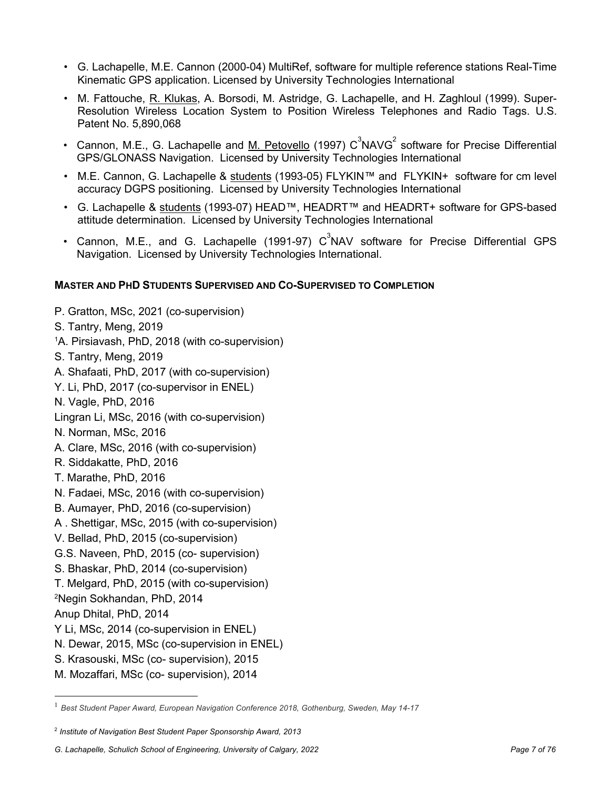- G. Lachapelle, M.E. Cannon (2000-04) MultiRef, software for multiple reference stations Real-Time Kinematic GPS application. Licensed by University Technologies International
- M. Fattouche, R. Klukas, A. Borsodi, M. Astridge, G. Lachapelle, and H. Zaghloul (1999). Super-Resolution Wireless Location System to Position Wireless Telephones and Radio Tags. U.S. Patent No. 5,890,068
- Cannon, M.E., G. Lachapelle and  $\underline{\mathsf{M}}$ . Petovello (1997)  $C^3$ NAVG $^2$  software for Precise Differential GPS/GLONASS Navigation. Licensed by University Technologies International
- M.E. Cannon, G. Lachapelle & students (1993-05) FLYKIN™ and FLYKIN+ software for cm level accuracy DGPS positioning. Licensed by University Technologies International
- G. Lachapelle & students (1993-07) HEAD™, HEADRT™ and HEADRT+ software for GPS-based attitude determination. Licensed by University Technologies International
- Cannon, M.E., and G. Lachapelle (1991-97)  $C^3$ NAV software for Precise Differential GPS Navigation. Licensed by University Technologies International.

# **MASTER AND PHD STUDENTS SUPERVISED AND CO-SUPERVISED TO COMPLETION**

- P. Gratton, MSc, 2021 (co-supervision)
- S. Tantry, Meng, 2019
- 1A. Pirsiavash, PhD, 2018 (with co-supervision)
- S. Tantry, Meng, 2019
- A. Shafaati, PhD, 2017 (with co-supervision)
- Y. Li, PhD, 2017 (co-supervisor in ENEL)
- N. Vagle, PhD, 2016
- Lingran Li, MSc, 2016 (with co-supervision)
- N. Norman, MSc, 2016
- A. Clare, MSc, 2016 (with co-supervision)
- R. Siddakatte, PhD, 2016
- T. Marathe, PhD, 2016
- N. Fadaei, MSc, 2016 (with co-supervision)
- B. Aumayer, PhD, 2016 (co-supervision)
- A . Shettigar, MSc, 2015 (with co-supervision)
- V. Bellad, PhD, 2015 (co-supervision)
- G.S. Naveen, PhD, 2015 (co- supervision)
- S. Bhaskar, PhD, 2014 (co-supervision)
- T. Melgard, PhD, 2015 (with co-supervision)
- 2Negin Sokhandan, PhD, 2014
- Anup Dhital, PhD, 2014
- Y Li, MSc, 2014 (co-supervision in ENEL)
- N. Dewar, 2015, MSc (co-supervision in ENEL)
- S. Krasouski, MSc (co- supervision), 2015
- M. Mozaffari, MSc (co- supervision), 2014

<sup>1</sup> *Best Student Paper Award, European Navigation Conference 2018, Gothenburg, Sweden, May 14-17*

<sup>2</sup> *Institute of Navigation Best Student Paper Sponsorship Award, 2013*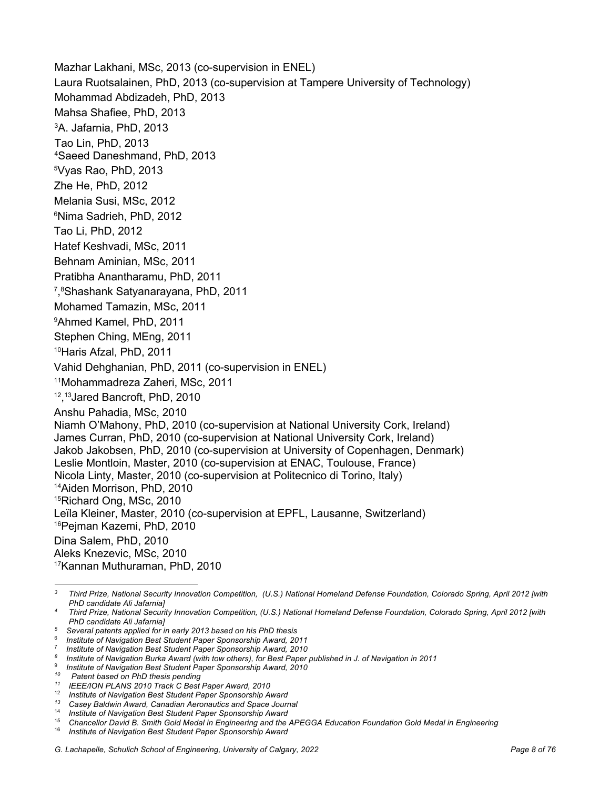Mazhar Lakhani, MSc, 2013 (co-supervision in ENEL) Laura Ruotsalainen, PhD, 2013 (co-supervision at Tampere University of Technology) Mohammad Abdizadeh, PhD, 2013 Mahsa Shafiee, PhD, 2013 3A. Jafarnia, PhD, 2013 Tao Lin, PhD, 2013 4Saeed Daneshmand, PhD, 2013 5 Vyas Rao, PhD, 2013 Zhe He, PhD, 2012 Melania Susi, MSc, 2012 6 Nima Sadrieh, PhD, 2012 Tao Li, PhD, 2012 Hatef Keshvadi, MSc, 2011 Behnam Aminian, MSc, 2011 Pratibha Anantharamu, PhD, 2011 7 , 8 Shashank Satyanarayana, PhD, 2011 Mohamed Tamazin, MSc, 2011 9 Ahmed Kamel, PhD, 2011 Stephen Ching, MEng, 2011 10Haris Afzal, PhD, 2011 Vahid Dehghanian, PhD, 2011 (co-supervision in ENEL) 11Mohammadreza Zaheri, MSc, 2011 12, 13Jared Bancroft, PhD, 2010 Anshu Pahadia, MSc, 2010 Niamh O'Mahony, PhD, 2010 (co-supervision at National University Cork, Ireland) James Curran, PhD, 2010 (co-supervision at National University Cork, Ireland) Jakob Jakobsen, PhD, 2010 (co-supervision at University of Copenhagen, Denmark) Leslie Montloin, Master, 2010 (co-supervision at ENAC, Toulouse, France) Nicola Linty, Master, 2010 (co-supervision at Politecnico di Torino, Italy) 14Aiden Morrison, PhD, 2010 15Richard Ong, MSc, 2010 Leïla Kleiner, Master, 2010 (co-supervision at EPFL, Lausanne, Switzerland) 16Pejman Kazemi, PhD, 2010 Dina Salem, PhD, 2010 Aleks Knezevic, MSc, 2010 17Kannan Muthuraman, PhD, 2010

*<sup>3</sup> Third Prize, National Security Innovation Competition, (U.S.) National Homeland Defense Foundation, Colorado Spring, April 2012 [with PhD candidate Ali Jafarnia]*

*<sup>4</sup> Third Prize, National Security Innovation Competition, (U.S.) National Homeland Defense Foundation, Colorado Spring, April 2012 [with PhD candidate Ali Jafarnia]*

*<sup>5</sup> Several patents applied for in early 2013 based on his PhD thesis*

<sup>6</sup> *Institute of Navigation Best Student Paper Sponsorship Award, 2011*

<sup>7</sup> *Institute of Navigation Best Student Paper Sponsorship Award, 2010*

*<sup>8</sup> Institute of Navigation Burka Award (with tow others), for Best Paper published in J. of Navigation in 2011*

<sup>9</sup> *Institute of Navigation Best Student Paper Sponsorship Award, 2010*

*<sup>10</sup> Patent based on PhD thesis pending*

*<sup>11</sup> IEEE/ION PLANS 2010 Track C Best Paper Award, 2010*

<sup>12</sup> *Institute of Navigation Best Student Paper Sponsorship Award*

*<sup>13</sup> Casey Baldwin Award, Canadian Aeronautics and Space Journal*

<sup>14</sup> *Institute of Navigation Best Student Paper Sponsorship Award*

<sup>15</sup> *Chancellor David B. Smith Gold Medal in Engineering and the APEGGA Education Foundation Gold Medal in Engineering*

<sup>16</sup> *Institute of Navigation Best Student Paper Sponsorship Award*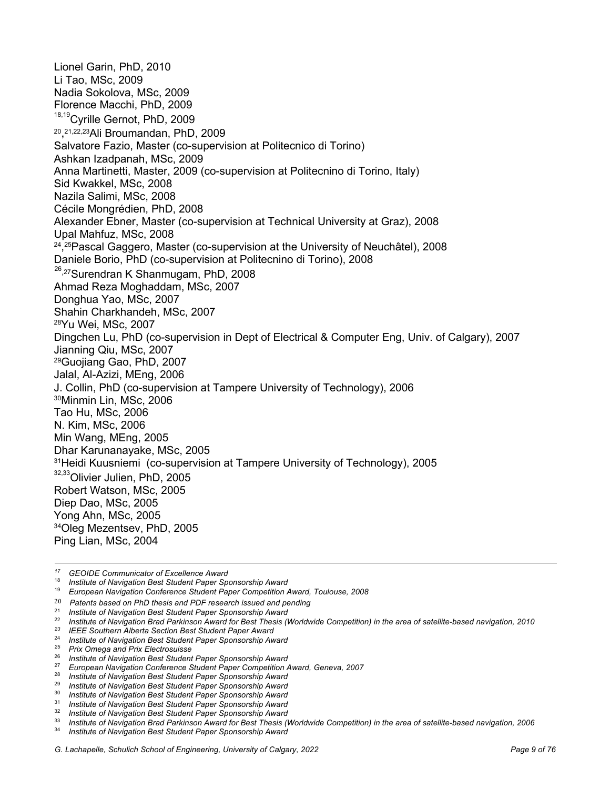Lionel Garin, PhD, 2010 Li Tao, MSc, 2009 Nadia Sokolova, MSc, 2009 Florence Macchi, PhD, 2009 18,19Cyrille Gernot, PhD, 2009 20, 21,22,23Ali Broumandan, PhD, 2009 Salvatore Fazio, Master (co-supervision at Politecnico di Torino) Ashkan Izadpanah, MSc, 2009 Anna Martinetti, Master, 2009 (co-supervision at Politecnino di Torino, Italy) Sid Kwakkel, MSc, 2008 Nazila Salimi, MSc, 2008 Cécile Mongrédien, PhD, 2008 Alexander Ebner, Master (co-supervision at Technical University at Graz), 2008 Upal Mahfuz, MSc, 2008 24, 25Pascal Gaggero, Master (co-supervision at the University of Neuchâtel), 2008 Daniele Borio, PhD (co-supervision at Politecnino di Torino), 2008  $26,27$ Surendran K Shanmugam, PhD, 2008 Ahmad Reza Moghaddam, MSc, 2007 Donghua Yao, MSc, 2007 Shahin Charkhandeh, MSc, 2007 28Yu Wei, MSc, 2007 Dingchen Lu, PhD (co-supervision in Dept of Electrical & Computer Eng, Univ. of Calgary), 2007 Jianning Qiu, MSc, 2007 29Guojiang Gao, PhD, 2007 Jalal, Al-Azizi, MEng, 2006 J. Collin, PhD (co-supervision at Tampere University of Technology), 2006 30Minmin Lin, MSc, 2006 Tao Hu, MSc, 2006 N. Kim, MSc, 2006 Min Wang, MEng, 2005 Dhar Karunanayake, MSc, 2005 <sup>31</sup>Heidi Kuusniemi (co-supervision at Tampere University of Technology), 2005 32,33 Olivier Julien, PhD, 2005 Robert Watson, MSc, 2005 Diep Dao, MSc, 2005 Yong Ahn, MSc, 2005 34Oleg Mezentsev, PhD, 2005 Ping Lian, MSc, 2004

*<sup>17</sup> GEOIDE Communicator of Excellence Award*

<sup>18</sup> *Institute of Navigation Best Student Paper Sponsorship Award*

<sup>19</sup> *European Navigation Conference Student Paper Competition Award, Toulouse, 2008*

<sup>20</sup> *Patents based on PhD thesis and PDF research issued and pending*

<sup>21</sup> *Institute of Navigation Best Student Paper Sponsorship Award*

<sup>22</sup> *Institute of Navigation Brad Parkinson Award for Best Thesis (Worldwide Competition) in the area of satellite-based navigation, 2010*

*<sup>23</sup> IEEE Southern Alberta Section Best Student Paper Award*

<sup>24</sup> *Institute of Navigation Best Student Paper Sponsorship Award*

*<sup>25</sup> Prix Omega and Prix Electrosuisse*

<sup>26</sup> *Institute of Navigation Best Student Paper Sponsorship Award*

<sup>27</sup> *European Navigation Conference Student Paper Competition Award, Geneva, 2007*

<sup>28</sup> *Institute of Navigation Best Student Paper Sponsorship Award*

<sup>29</sup> *Institute of Navigation Best Student Paper Sponsorship Award* <sup>30</sup> *Institute of Navigation Best Student Paper Sponsorship Award*

<sup>31</sup> *Institute of Navigation Best Student Paper Sponsorship Award*

<sup>32</sup> *Institute of Navigation Best Student Paper Sponsorship Award*

<sup>33</sup> *Institute of Navigation Brad Parkinson Award for Best Thesis (Worldwide Competition) in the area of satellite-based navigation, 2006*

<sup>34</sup> *Institute of Navigation Best Student Paper Sponsorship Award*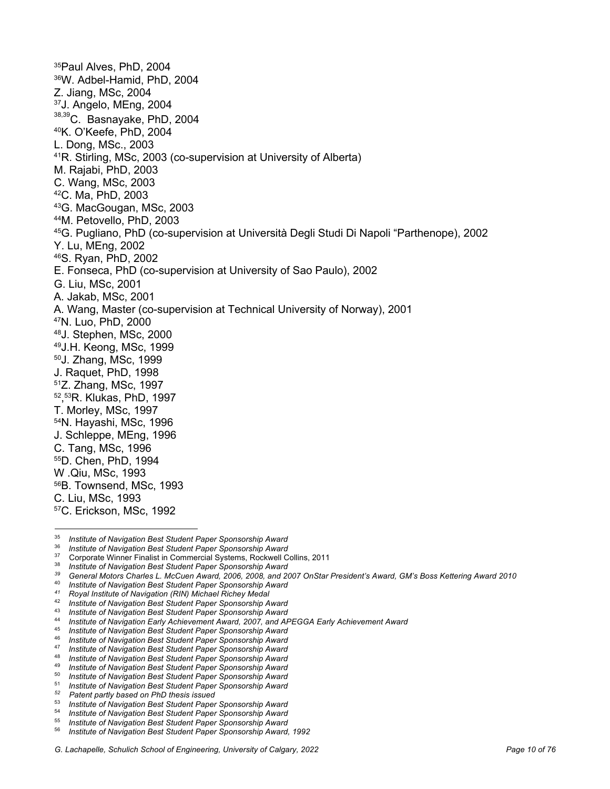<sup>35</sup>Paul Alves, PhD, 2004 36W. Adbel-Hamid, PhD, 2004 Z. Jiang, MSc, 2004 37J. Angelo, MEng, 2004 38,39C. Basnayake, PhD, 2004 40K. O'Keefe, PhD, 2004 L. Dong, MSc., 2003 41R. Stirling, MSc, 2003 (co-supervision at University of Alberta) M. Rajabi, PhD, 2003 C. Wang, MSc, 2003 42C. Ma, PhD, 2003 43G. MacGougan, MSc, 2003 44M. Petovello, PhD, 2003 45G. Pugliano, PhD (co-supervision at Università Degli Studi Di Napoli "Parthenope), 2002 Y. Lu, MEng, 2002 46S. Ryan, PhD, 2002 E. Fonseca, PhD (co-supervision at University of Sao Paulo), 2002 G. Liu, MSc, 2001 A. Jakab, MSc, 2001 A. Wang, Master (co-supervision at Technical University of Norway), 2001 47N. Luo, PhD, 2000 48J. Stephen, MSc, 2000 49J.H. Keong, MSc, 1999 50J. Zhang, MSc, 1999 J. Raquet, PhD, 1998 51Z. Zhang, MSc, 1997 52, 53R. Klukas, PhD, 1997 T. Morley, MSc, 1997 54N. Hayashi, MSc, 1996 J. Schleppe, MEng, 1996 C. Tang, MSc, 1996 55D. Chen, PhD, 1994 W .Qiu, MSc, 1993 56B. Townsend, MSc, 1993 C. Liu, MSc, 1993 57C. Erickson, MSc, 1992

<sup>35</sup> *Institute of Navigation Best Student Paper Sponsorship Award*

<sup>36</sup> *Institute of Navigation Best Student Paper Sponsorship Award*

<sup>37</sup> Corporate Winner Finalist in Commercial Systems, Rockwell Collins, 2011

<sup>38</sup> *Institute of Navigation Best Student Paper Sponsorship Award*

*<sup>39</sup> General Motors Charles L. McCuen Award, 2006, 2008, and 2007 OnStar President's Award, GM's Boss Kettering Award 2010*

<sup>40</sup> *Institute of Navigation Best Student Paper Sponsorship Award*

*<sup>41</sup> Royal Institute of Navigation (RIN) Michael Richey Medal*

<sup>42</sup> *Institute of Navigation Best Student Paper Sponsorship Award*

<sup>43</sup> *Institute of Navigation Best Student Paper Sponsorship Award*

<sup>44</sup> *Institute of Navigation Early Achievement Award, 2007, and APEGGA Early Achievement Award*

<sup>45</sup> *Institute of Navigation Best Student Paper Sponsorship Award*

<sup>46</sup> *Institute of Navigation Best Student Paper Sponsorship Award*

<sup>47</sup> *Institute of Navigation Best Student Paper Sponsorship Award* <sup>48</sup> *Institute of Navigation Best Student Paper Sponsorship Award*

<sup>49</sup> *Institute of Navigation Best Student Paper Sponsorship Award* <sup>50</sup> *Institute of Navigation Best Student Paper Sponsorship Award*

<sup>51</sup> *Institute of Navigation Best Student Paper Sponsorship Award*

*<sup>52</sup> Patent partly based on PhD thesis issued*

<sup>53</sup> *Institute of Navigation Best Student Paper Sponsorship Award*

**Institute of Navigation Best Student Paper Sponsorship Award** 

<sup>55</sup> *Institute of Navigation Best Student Paper Sponsorship Award*

<sup>56</sup> *Institute of Navigation Best Student Paper Sponsorship Award, 1992*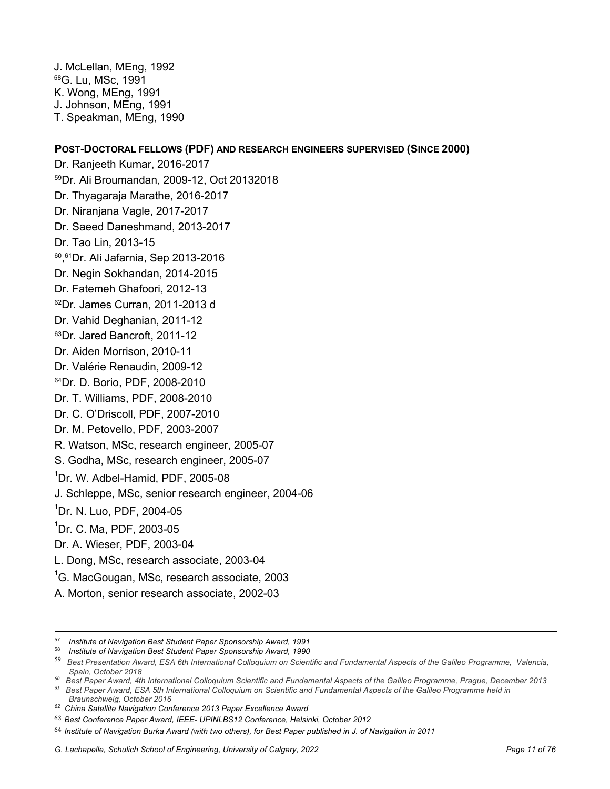J. McLellan, MEng, 1992 58G. Lu, MSc, 1991 K. Wong, MEng, 1991 J. Johnson, MEng, 1991 T. Speakman, MEng, 1990

## **POST-DOCTORAL FELLOWS (PDF) AND RESEARCH ENGINEERS SUPERVISED (SINCE 2000)**

Dr. Ranjeeth Kumar, 2016-2017 59Dr. Ali Broumandan, 2009-12, Oct 20132018 Dr. Thyagaraja Marathe, 2016-2017 Dr. Niranjana Vagle, 2017-2017 Dr. Saeed Daneshmand, 2013-2017 Dr. Tao Lin, 2013-15 60, 61Dr. Ali Jafarnia, Sep 2013-2016 Dr. Negin Sokhandan, 2014-2015 Dr. Fatemeh Ghafoori, 2012-13 <sup>62</sup>Dr. James Curran, 2011-2013 d Dr. Vahid Deghanian, 2011-12 63Dr. Jared Bancroft, 2011-12 Dr. Aiden Morrison, 2010-11 Dr. Valérie Renaudin, 2009-12 64Dr. D. Borio, PDF, 2008-2010 Dr. T. Williams, PDF, 2008-2010 Dr. C. O'Driscoll, PDF, 2007-2010 Dr. M. Petovello, PDF, 2003-2007 R. Watson, MSc, research engineer, 2005-07 S. Godha, MSc, research engineer, 2005-07 1 Dr. W. Adbel-Hamid, PDF, 2005-08 J. Schleppe, MSc, senior research engineer, 2004-06 1 Dr. N. Luo, PDF, 2004-05 1 Dr. C. Ma, PDF, 2003-05 Dr. A. Wieser, PDF, 2003-04 L. Dong, MSc, research associate, 2003-04  ${}^{1}$ G. MacGougan, MSc, research associate, 2003 A. Morton, senior research associate, 2002-03

*60 Best Paper Award, 4th International Colloquium Scientific and Fundamental Aspects of the Galileo Programme, Prague, December 2013*

*61 Best Paper Award, ESA 5th International Colloquium on Scientific and Fundamental Aspects of the Galileo Programme held in Braunschweig, October 2016*

<sup>57</sup> *Institute of Navigation Best Student Paper Sponsorship Award, 1991*

<sup>58</sup> *Institute of Navigation Best Student Paper Sponsorship Award, 1990*

<sup>59</sup> *Best Presentation Award, ESA 6th International Colloquium on Scientific and Fundamental Aspects of the Galileo Programme, Valencia, Spain, October 2018*

*<sup>62</sup> China Satellite Navigation Conference 2013 Paper Excellence Award*

<sup>63</sup> *Best Conference Paper Award, IEEE- UPINLBS12 Conference, Helsinki, October 2012*

<sup>64</sup> *Institute of Navigation Burka Award (with two others), for Best Paper published in J. of Navigation in 2011*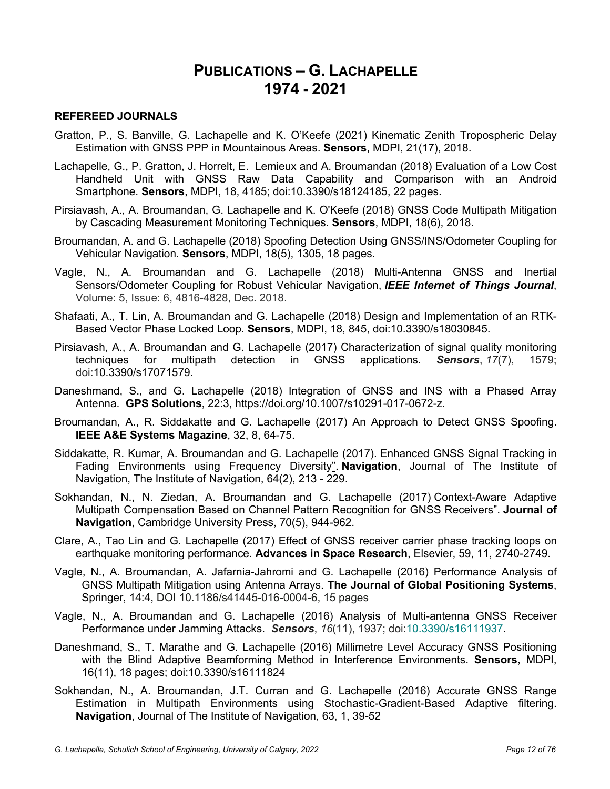# **PUBLICATIONS – G. LACHAPELLE 1974 - 2021**

#### **REFEREED JOURNALS**

- Gratton, P., S. Banville, G. Lachapelle and K. O'Keefe (2021) Kinematic Zenith Tropospheric Delay Estimation with GNSS PPP in Mountainous Areas. **Sensors**, MDPI, 21(17), 2018.
- Lachapelle, G., P. Gratton, J. Horrelt, E. Lemieux and A. Broumandan (2018) Evaluation of a Low Cost Handheld Unit with GNSS Raw Data Capability and Comparison with an Android Smartphone. **Sensors**, MDPI, 18, 4185; doi:10.3390/s18124185, 22 pages.
- Pirsiavash, A., A. Broumandan, G. Lachapelle and K. O'Keefe (2018) GNSS Code Multipath Mitigation by Cascading Measurement Monitoring Techniques. **Sensors**, MDPI, 18(6), 2018.
- Broumandan, A. and G. Lachapelle (2018) Spoofing Detection Using GNSS/INS/Odometer Coupling for Vehicular Navigation. **Sensors**, MDPI, 18(5), 1305, 18 pages.
- Vagle, N., A. Broumandan and G. Lachapelle (2018) Multi-Antenna GNSS and Inertial Sensors/Odometer Coupling for Robust Vehicular Navigation, *IEEE Internet of Things Journal*, Volume: 5, Issue: 6, 4816-4828, Dec. 2018.
- Shafaati, A., T. Lin, A. Broumandan and G. Lachapelle (2018) Design and Implementation of an RTK-Based Vector Phase Locked Loop. **Sensors**, MDPI, 18, 845, doi:10.3390/s18030845.
- Pirsiavash, A., A. Broumandan and G. Lachapelle (2017) Characterization of signal quality monitoring techniques for multipath detection in GNSS applications. *Sensors*, *17*(7), 1579; doi:10.3390/s17071579.
- Daneshmand, S., and G. Lachapelle (2018) Integration of GNSS and INS with a Phased Array Antenna. **GPS Solutions**, 22:3, https://doi.org/10.1007/s10291-017-0672-z.
- Broumandan, A., R. Siddakatte and G. Lachapelle (2017) An Approach to Detect GNSS Spoofing. **IEEE A&E Systems Magazine**, 32, 8, 64-75.
- Siddakatte, R. Kumar, A. Broumandan and G. Lachapelle (2017). Enhanced GNSS Signal Tracking in Fading Environments using Frequency Diversity". **Navigation**, Journal of The Institute of Navigation, The Institute of Navigation, 64(2), 213 - 229.
- Sokhandan, N., N. Ziedan, A. Broumandan and G. Lachapelle (2017) Context-Aware Adaptive Multipath Compensation Based on Channel Pattern Recognition for GNSS Receivers". **Journal of Navigation**, Cambridge University Press, 70(5), 944-962.
- Clare, A., Tao Lin and G. Lachapelle (2017) Effect of GNSS receiver carrier phase tracking loops on earthquake monitoring performance. **Advances in Space Research**, Elsevier, 59, 11, 2740-2749.
- Vagle, N., A. Broumandan, A. Jafarnia-Jahromi and G. Lachapelle (2016) Performance Analysis of GNSS Multipath Mitigation using Antenna Arrays. **The Journal of Global Positioning Systems**, Springer, 14:4, DOI 10.1186/s41445-016-0004-6, 15 pages
- Vagle, N., A. Broumandan and G. Lachapelle (2016) Analysis of Multi-antenna GNSS Receiver Performance under Jamming Attacks. *Sensors*, *16*(11), 1937; doi:10.3390/s16111937.
- Daneshmand, S., T. Marathe and G. Lachapelle (2016) Millimetre Level Accuracy GNSS Positioning with the Blind Adaptive Beamforming Method in Interference Environments. **Sensors**, MDPI, 16(11), 18 pages; doi:10.3390/s16111824
- Sokhandan, N., A. Broumandan, J.T. Curran and G. Lachapelle (2016) Accurate GNSS Range Estimation in Multipath Environments using Stochastic-Gradient-Based Adaptive filtering. **Navigation**, Journal of The Institute of Navigation, 63, 1, 39-52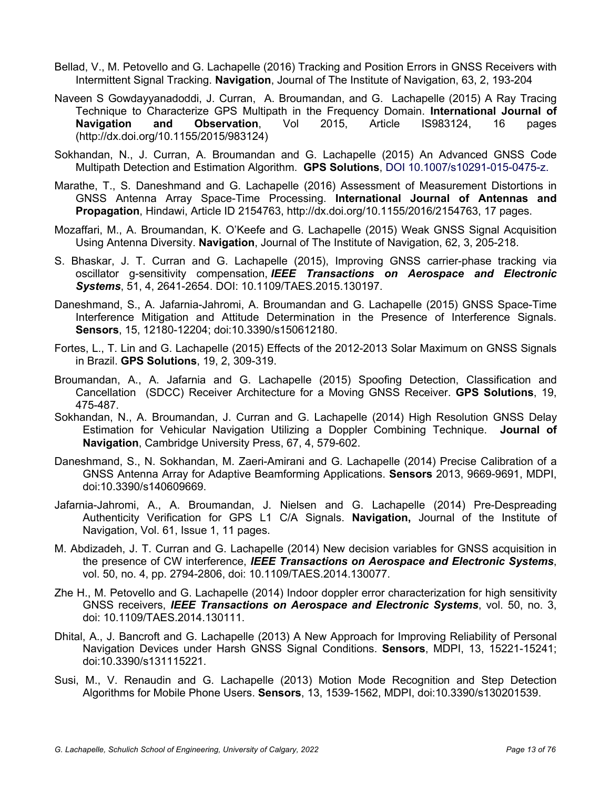- Bellad, V., M. Petovello and G. Lachapelle (2016) Tracking and Position Errors in GNSS Receivers with Intermittent Signal Tracking. **Navigation**, Journal of The Institute of Navigation, 63, 2, 193-204
- Naveen S Gowdayyanadoddi, J. Curran, A. Broumandan, and G. Lachapelle (2015) A Ray Tracing Technique to Characterize GPS Multipath in the Frequency Domain. **International Journal of Navigation and Observation**, Vol 2015, Article IS983124, 16 pages (http://dx.doi.org/10.1155/2015/983124)
- Sokhandan, N., J. Curran, A. Broumandan and G. Lachapelle (2015) An Advanced GNSS Code Multipath Detection and Estimation Algorithm. **GPS Solutions**, DOI 10.1007/s10291-015-0475-z.
- Marathe, T., S. Daneshmand and G. Lachapelle (2016) Assessment of Measurement Distortions in GNSS Antenna Array Space-Time Processing. **International Journal of Antennas and Propagation**, Hindawi, Article ID 2154763, http://dx.doi.org/10.1155/2016/2154763, 17 pages.
- Mozaffari, M., A. Broumandan, K. O'Keefe and G. Lachapelle (2015) Weak GNSS Signal Acquisition Using Antenna Diversity. **Navigation**, Journal of The Institute of Navigation, 62, 3, 205-218.
- S. Bhaskar, J. T. Curran and G. Lachapelle (2015), Improving GNSS carrier-phase tracking via oscillator g-sensitivity compensation, *IEEE Transactions on Aerospace and Electronic Systems*, 51, 4, 2641-2654. DOI: 10.1109/TAES.2015.130197.
- Daneshmand, S., A. Jafarnia-Jahromi, A. Broumandan and G. Lachapelle (2015) GNSS Space-Time Interference Mitigation and Attitude Determination in the Presence of Interference Signals. **Sensors**, 15, 12180-12204; doi:10.3390/s150612180.
- Fortes, L., T. Lin and G. Lachapelle (2015) Effects of the 2012-2013 Solar Maximum on GNSS Signals in Brazil. **GPS Solutions**, 19, 2, 309-319.
- Broumandan, A., A. Jafarnia and G. Lachapelle (2015) Spoofing Detection, Classification and Cancellation (SDCC) Receiver Architecture for a Moving GNSS Receiver. **GPS Solutions**, 19, 475-487.
- Sokhandan, N., A. Broumandan, J. Curran and G. Lachapelle (2014) High Resolution GNSS Delay Estimation for Vehicular Navigation Utilizing a Doppler Combining Technique. **Journal of Navigation**, Cambridge University Press, 67, 4, 579-602.
- Daneshmand, S., N. Sokhandan, M. Zaeri-Amirani and G. Lachapelle (2014) Precise Calibration of a GNSS Antenna Array for Adaptive Beamforming Applications. **Sensors** 2013, 9669-9691, MDPI, doi:10.3390/s140609669.
- Jafarnia-Jahromi, A., A. Broumandan, J. Nielsen and G. Lachapelle (2014) Pre-Despreading Authenticity Verification for GPS L1 C/A Signals. **Navigation,** Journal of the Institute of Navigation, Vol. 61, Issue 1, 11 pages.
- M. Abdizadeh, J. T. Curran and G. Lachapelle (2014) New decision variables for GNSS acquisition in the presence of CW interference, *IEEE Transactions on Aerospace and Electronic Systems*, vol. 50, no. 4, pp. 2794-2806, doi: 10.1109/TAES.2014.130077.
- Zhe H., M. Petovello and G. Lachapelle (2014) Indoor doppler error characterization for high sensitivity GNSS receivers, *IEEE Transactions on Aerospace and Electronic Systems*, vol. 50, no. 3, doi: 10.1109/TAES.2014.130111.
- Dhital, A., J. Bancroft and G. Lachapelle (2013) A New Approach for Improving Reliability of Personal Navigation Devices under Harsh GNSS Signal Conditions. **Sensors**, MDPI, 13, 15221-15241; doi:10.3390/s131115221.
- Susi, M., V. Renaudin and G. Lachapelle (2013) Motion Mode Recognition and Step Detection Algorithms for Mobile Phone Users. **Sensors**, 13, 1539-1562, MDPI, doi:10.3390/s130201539.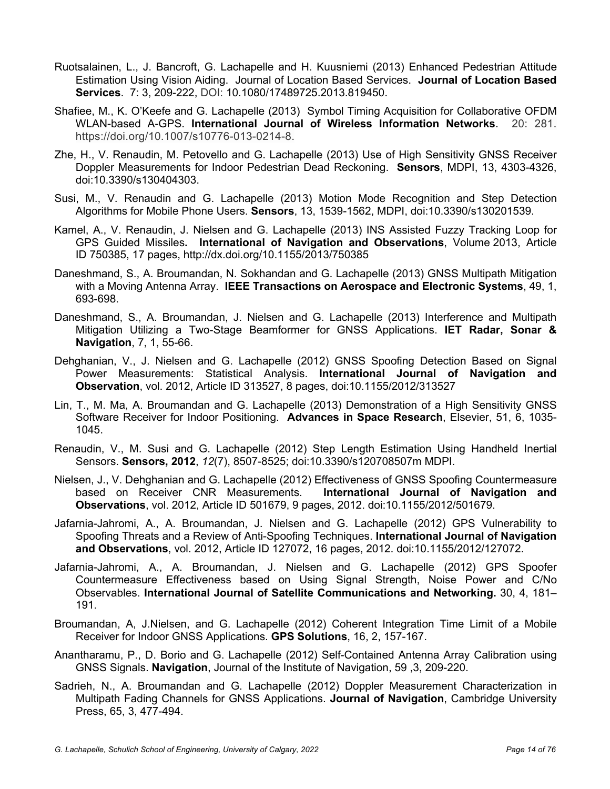- Ruotsalainen, L., J. Bancroft, G. Lachapelle and H. Kuusniemi (2013) Enhanced Pedestrian Attitude Estimation Using Vision Aiding. Journal of Location Based Services. **Journal of Location Based Services**. 7: 3, 209-222, DOI: 10.1080/17489725.2013.819450.
- Shafiee, M., K. O'Keefe and G. Lachapelle (2013) Symbol Timing Acquisition for Collaborative OFDM WLAN-based A-GPS. **International Journal of Wireless Information Networks**. 20: 281. https://doi.org/10.1007/s10776-013-0214-8.
- Zhe, H., V. Renaudin, M. Petovello and G. Lachapelle (2013) Use of High Sensitivity GNSS Receiver Doppler Measurements for Indoor Pedestrian Dead Reckoning. **Sensors**, MDPI, 13, 4303-4326, doi:10.3390/s130404303.
- Susi, M., V. Renaudin and G. Lachapelle (2013) Motion Mode Recognition and Step Detection Algorithms for Mobile Phone Users. **Sensors**, 13, 1539-1562, MDPI, doi:10.3390/s130201539.
- Kamel, A., V. Renaudin, J. Nielsen and G. Lachapelle (2013) INS Assisted Fuzzy Tracking Loop for GPS Guided Missiles**. International of Navigation and Observations**, Volume 2013, Article ID 750385, 17 pages, http://dx.doi.org/10.1155/2013/750385
- Daneshmand, S., A. Broumandan, N. Sokhandan and G. Lachapelle (2013) GNSS Multipath Mitigation with a Moving Antenna Array. **IEEE Transactions on Aerospace and Electronic Systems**, 49, 1, 693-698.
- Daneshmand, S., A. Broumandan, J. Nielsen and G. Lachapelle (2013) Interference and Multipath Mitigation Utilizing a Two-Stage Beamformer for GNSS Applications. **IET Radar, Sonar & Navigation**, 7, 1, 55-66.
- Dehghanian, V., J. Nielsen and G. Lachapelle (2012) GNSS Spoofing Detection Based on Signal Power Measurements: Statistical Analysis. **International Journal of Navigation and Observation**, vol. 2012, Article ID 313527, 8 pages, doi:10.1155/2012/313527
- Lin, T., M. Ma, A. Broumandan and G. Lachapelle (2013) Demonstration of a High Sensitivity GNSS Software Receiver for Indoor Positioning. **Advances in Space Research**, Elsevier, 51, 6, 1035- 1045.
- Renaudin, V., M. Susi and G. Lachapelle (2012) Step Length Estimation Using Handheld Inertial Sensors. **Sensors, 2012**, *12*(7), 8507-8525; doi:10.3390/s120708507m MDPI.
- Nielsen, J., V. Dehghanian and G. Lachapelle (2012) Effectiveness of GNSS Spoofing Countermeasure based on Receiver CNR Measurements. **International Journal of Navigation and Observations**, vol. 2012, Article ID 501679, 9 pages, 2012. doi:10.1155/2012/501679.
- Jafarnia-Jahromi, A., A. Broumandan, J. Nielsen and G. Lachapelle (2012) GPS Vulnerability to Spoofing Threats and a Review of Anti-Spoofing Techniques. **International Journal of Navigation and Observations**, vol. 2012, Article ID 127072, 16 pages, 2012. doi:10.1155/2012/127072.
- Jafarnia-Jahromi, A., A. Broumandan, J. Nielsen and G. Lachapelle (2012) GPS Spoofer Countermeasure Effectiveness based on Using Signal Strength, Noise Power and C/No Observables. **International Journal of Satellite Communications and Networking.** 30, 4, 181– 191.
- Broumandan, A, J.Nielsen, and G. Lachapelle (2012) Coherent Integration Time Limit of a Mobile Receiver for Indoor GNSS Applications. **GPS Solutions**, 16, 2, 157-167.
- Anantharamu, P., D. Borio and G. Lachapelle (2012) Self-Contained Antenna Array Calibration using GNSS Signals. **Navigation**, Journal of the Institute of Navigation, 59 ,3, 209-220.
- Sadrieh, N., A. Broumandan and G. Lachapelle (2012) Doppler Measurement Characterization in Multipath Fading Channels for GNSS Applications. **Journal of Navigation**, Cambridge University Press, 65, 3, 477-494.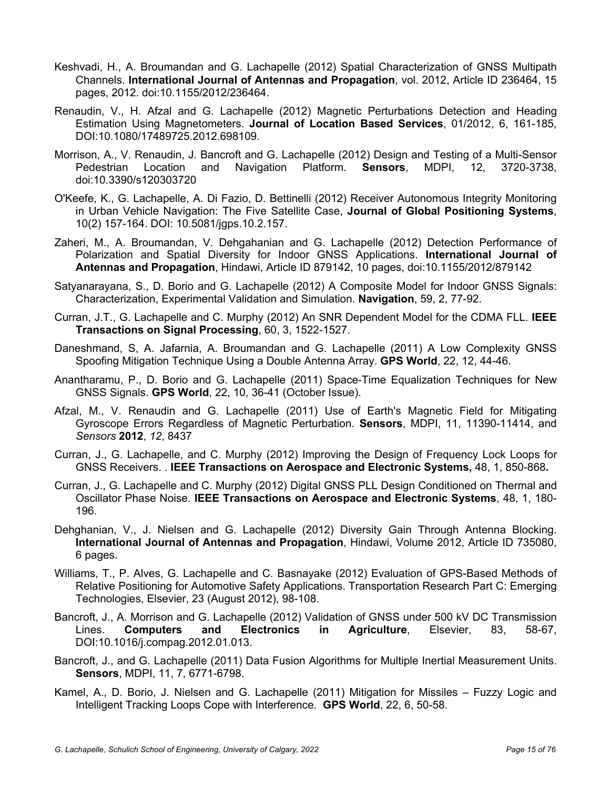- Keshvadi, H., A. Broumandan and G. Lachapelle (2012) Spatial Characterization of GNSS Multipath Channels. **International Journal of Antennas and Propagation**, vol. 2012, Article ID 236464, 15 pages, 2012. doi:10.1155/2012/236464.
- Renaudin, V., H. Afzal and G. Lachapelle (2012) Magnetic Perturbations Detection and Heading Estimation Using Magnetometers. **Journal of Location Based Services**, 01/2012, 6, 161-185, DOI:10.1080/17489725.2012.698109.
- Morrison, A., V. Renaudin, J. Bancroft and G. Lachapelle (2012) Design and Testing of a Multi-Sensor Pedestrian Location and Navigation Platform. **Sensors**, MDPI, 12, 3720-3738, doi:10.3390/s120303720
- O'Keefe, K., G. Lachapelle, A. Di Fazio, D. Bettinelli (2012) Receiver Autonomous Integrity Monitoring in Urban Vehicle Navigation: The Five Satellite Case, **Journal of Global Positioning Systems**, 10(2) 157-164. DOI: 10.5081/jgps.10.2.157.
- Zaheri, M., A. Broumandan, V. Dehgahanian and G. Lachapelle (2012) Detection Performance of Polarization and Spatial Diversity for Indoor GNSS Applications. **International Journal of Antennas and Propagation**, Hindawi, Article ID 879142, 10 pages, doi:10.1155/2012/879142
- Satyanarayana, S., D. Borio and G. Lachapelle (2012) A Composite Model for Indoor GNSS Signals: Characterization, Experimental Validation and Simulation. **Navigation**, 59, 2, 77-92.
- Curran, J.T., G. Lachapelle and C. Murphy (2012) An SNR Dependent Model for the CDMA FLL. **IEEE Transactions on Signal Processing**, 60, 3, 1522-1527.
- Daneshmand, S, A. Jafarnia, A. Broumandan and G. Lachapelle (2011) A Low Complexity GNSS Spoofing Mitigation Technique Using a Double Antenna Array. **GPS World**, 22, 12, 44-46.
- Anantharamu, P., D. Borio and G. Lachapelle (2011) Space-Time Equalization Techniques for New GNSS Signals. **GPS World**, 22, 10, 36-41 (October Issue).
- Afzal, M., V. Renaudin and G. Lachapelle (2011) Use of Earth's Magnetic Field for Mitigating Gyroscope Errors Regardless of Magnetic Perturbation. **Sensors**, MDPI, 11, 11390-11414, and *Sensors* **2012**, *12*, 8437
- Curran, J., G. Lachapelle, and C. Murphy (2012) Improving the Design of Frequency Lock Loops for GNSS Receivers. . **IEEE Transactions on Aerospace and Electronic Systems,** 48, 1, 850-868**.**
- Curran, J., G. Lachapelle and C. Murphy (2012) Digital GNSS PLL Design Conditioned on Thermal and Oscillator Phase Noise. **IEEE Transactions on Aerospace and Electronic Systems**, 48, 1, 180- 196.
- Dehghanian, V., J. Nielsen and G. Lachapelle (2012) Diversity Gain Through Antenna Blocking. **International Journal of Antennas and Propagation**, Hindawi, Volume 2012, Article ID 735080, 6 pages.
- Williams, T., P. Alves, G. Lachapelle and C. Basnayake (2012) Evaluation of GPS-Based Methods of Relative Positioning for Automotive Safety Applications. Transportation Research Part C: Emerging Technologies, Elsevier, 23 (August 2012), 98-108.
- Bancroft, J., A. Morrison and G. Lachapelle (2012) Validation of GNSS under 500 kV DC Transmission Lines. **Computers and Electronics in Agriculture**, Elsevier, 83, 58-67, DOI:10.1016/j.compag.2012.01.013.
- Bancroft, J., and G. Lachapelle (2011) Data Fusion Algorithms for Multiple Inertial Measurement Units. **Sensors**, MDPI, 11, 7, 6771-6798.
- Kamel, A., D. Borio, J. Nielsen and G. Lachapelle (2011) Mitigation for Missiles Fuzzy Logic and Intelligent Tracking Loops Cope with Interference. **GPS World**, 22, 6, 50-58.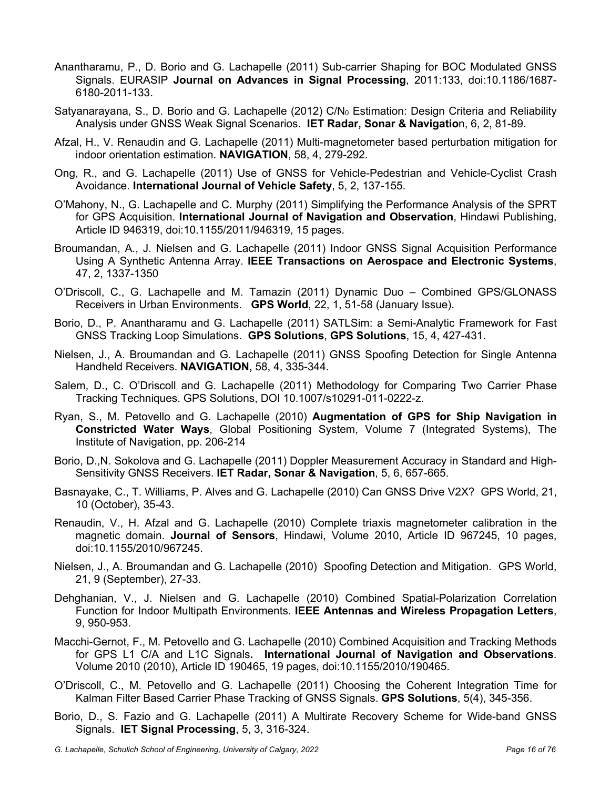- Anantharamu, P., D. Borio and G. Lachapelle (2011) Sub-carrier Shaping for BOC Modulated GNSS Signals. EURASIP **Journal on Advances in Signal Processing**, 2011:133, doi:10.1186/1687- 6180-2011-133.
- Satyanarayana, S., D. Borio and G. Lachapelle (2012)  $CN<sub>0</sub>$  Estimation: Design Criteria and Reliability Analysis under GNSS Weak Signal Scenarios. **IET Radar, Sonar & Navigatio**n, 6, 2, 81-89.
- Afzal, H., V. Renaudin and G. Lachapelle (2011) Multi-magnetometer based perturbation mitigation for indoor orientation estimation. **NAVIGATION**, 58, 4, 279-292.
- Ong, R., and G. Lachapelle (2011) Use of GNSS for Vehicle-Pedestrian and Vehicle-Cyclist Crash Avoidance. **International Journal of Vehicle Safety**, 5, 2, 137-155.
- O'Mahony, N., G. Lachapelle and C. Murphy (2011) Simplifying the Performance Analysis of the SPRT for GPS Acquisition. **International Journal of Navigation and Observation**, Hindawi Publishing, Article ID 946319, doi:10.1155/2011/946319, 15 pages.
- Broumandan, A., J. Nielsen and G. Lachapelle (2011) Indoor GNSS Signal Acquisition Performance Using A Synthetic Antenna Array. **IEEE Transactions on Aerospace and Electronic Systems**, 47, 2, 1337-1350
- O'Driscoll, C., G. Lachapelle and M. Tamazin (2011) Dynamic Duo Combined GPS/GLONASS Receivers in Urban Environments. **GPS World**, 22, 1, 51-58 (January Issue).
- Borio, D., P. Anantharamu and G. Lachapelle (2011) SATLSim: a Semi-Analytic Framework for Fast GNSS Tracking Loop Simulations. **GPS Solutions**, **GPS Solutions**, 15, 4, 427-431.
- Nielsen, J., A. Broumandan and G. Lachapelle (2011) GNSS Spoofing Detection for Single Antenna Handheld Receivers. **NAVIGATION,** 58, 4, 335-344.
- Salem, D., C. O'Driscoll and G. Lachapelle (2011) Methodology for Comparing Two Carrier Phase Tracking Techniques. GPS Solutions, DOI 10.1007/s10291-011-0222-z.
- Ryan, S., M. Petovello and G. Lachapelle (2010) **Augmentation of GPS for Ship Navigation in Constricted Water Ways**, Global Positioning System, Volume 7 (Integrated Systems), The Institute of Navigation, pp. 206-214
- Borio, D.,N. Sokolova and G. Lachapelle (2011) Doppler Measurement Accuracy in Standard and High-Sensitivity GNSS Receivers. **IET Radar, Sonar & Navigation**, 5, 6, 657-665.
- Basnayake, C., T. Williams, P. Alves and G. Lachapelle (2010) Can GNSS Drive V2X? GPS World, 21, 10 (October), 35-43.
- Renaudin, V., H. Afzal and G. Lachapelle (2010) Complete triaxis magnetometer calibration in the magnetic domain. **Journal of Sensors**, Hindawi, Volume 2010, Article ID 967245, 10 pages, doi:10.1155/2010/967245.
- Nielsen, J., A. Broumandan and G. Lachapelle (2010) Spoofing Detection and Mitigation. GPS World, 21, 9 (September), 27-33.
- Dehghanian, V., J. Nielsen and G. Lachapelle (2010) Combined Spatial-Polarization Correlation Function for Indoor Multipath Environments. **IEEE Antennas and Wireless Propagation Letters**, 9, 950-953.
- Macchi-Gernot, F., M. Petovello and G. Lachapelle (2010) Combined Acquisition and Tracking Methods for GPS L1 C/A and L1C Signals**. International Journal of Navigation and Observations**. Volume 2010 (2010), Article ID 190465, 19 pages, doi:10.1155/2010/190465.
- O'Driscoll, C., M. Petovello and G. Lachapelle (2011) Choosing the Coherent Integration Time for Kalman Filter Based Carrier Phase Tracking of GNSS Signals. **GPS Solutions**, 5(4), 345-356.
- Borio, D., S. Fazio and G. Lachapelle (2011) A Multirate Recovery Scheme for Wide-band GNSS Signals. **IET Signal Processing**, 5, 3, 316-324.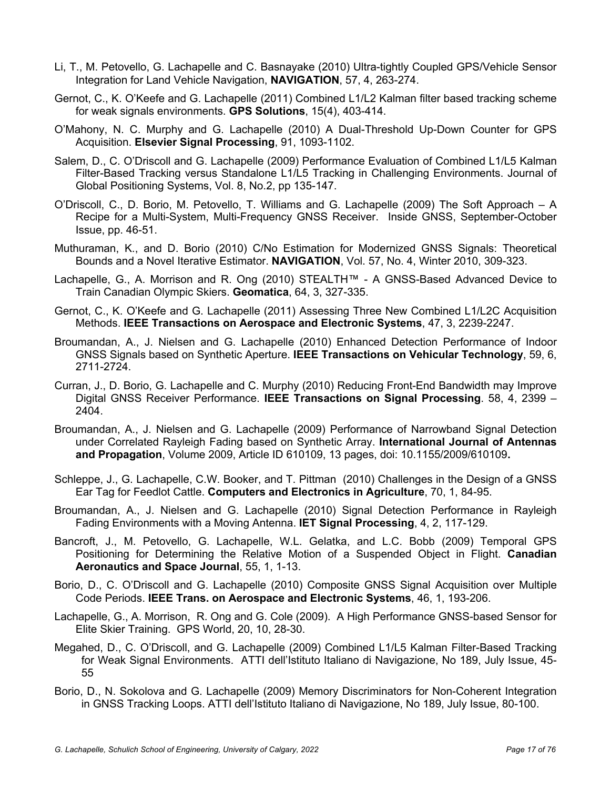- Li, T., M. Petovello, G. Lachapelle and C. Basnayake (2010) Ultra-tightly Coupled GPS/Vehicle Sensor Integration for Land Vehicle Navigation, **NAVIGATION**, 57, 4, 263-274.
- Gernot, C., K. O'Keefe and G. Lachapelle (2011) Combined L1/L2 Kalman filter based tracking scheme for weak signals environments. **GPS Solutions**, 15(4), 403-414.
- O'Mahony, N. C. Murphy and G. Lachapelle (2010) A Dual-Threshold Up-Down Counter for GPS Acquisition. **Elsevier Signal Processing**, 91, 1093-1102.
- Salem, D., C. O'Driscoll and G. Lachapelle (2009) Performance Evaluation of Combined L1/L5 Kalman Filter-Based Tracking versus Standalone L1/L5 Tracking in Challenging Environments. Journal of Global Positioning Systems, Vol. 8, No.2, pp 135-147.
- O'Driscoll, C., D. Borio, M. Petovello, T. Williams and G. Lachapelle (2009) The Soft Approach A Recipe for a Multi-System, Multi-Frequency GNSS Receiver. Inside GNSS, September-October Issue, pp. 46-51.
- Muthuraman, K., and D. Borio (2010) C/No Estimation for Modernized GNSS Signals: Theoretical Bounds and a Novel Iterative Estimator. **NAVIGATION**, Vol. 57, No. 4, Winter 2010, 309-323.
- Lachapelle, G., A. Morrison and R. Ong (2010) STEALTH™ A GNSS-Based Advanced Device to Train Canadian Olympic Skiers. **Geomatica**, 64, 3, 327-335.
- Gernot, C., K. O'Keefe and G. Lachapelle (2011) Assessing Three New Combined L1/L2C Acquisition Methods. **IEEE Transactions on Aerospace and Electronic Systems**, 47, 3, 2239-2247.
- Broumandan, A., J. Nielsen and G. Lachapelle (2010) Enhanced Detection Performance of Indoor GNSS Signals based on Synthetic Aperture. **IEEE Transactions on Vehicular Technology**, 59, 6, 2711-2724.
- Curran, J., D. Borio, G. Lachapelle and C. Murphy (2010) Reducing Front-End Bandwidth may Improve Digital GNSS Receiver Performance. **IEEE Transactions on Signal Processing**. 58, 4, 2399 – 2404.
- Broumandan, A., J. Nielsen and G. Lachapelle (2009) Performance of Narrowband Signal Detection under Correlated Rayleigh Fading based on Synthetic Array. **International Journal of Antennas and Propagation**, Volume 2009, Article ID 610109, 13 pages, doi: 10.1155/2009/610109**.**
- Schleppe, J., G. Lachapelle, C.W. Booker, and T. Pittman (2010) Challenges in the Design of a GNSS Ear Tag for Feedlot Cattle. **Computers and Electronics in Agriculture**, 70, 1, 84-95.
- Broumandan, A., J. Nielsen and G. Lachapelle (2010) Signal Detection Performance in Rayleigh Fading Environments with a Moving Antenna. **IET Signal Processing**, 4, 2, 117-129.
- Bancroft, J., M. Petovello, G. Lachapelle, W.L. Gelatka, and L.C. Bobb (2009) Temporal GPS Positioning for Determining the Relative Motion of a Suspended Object in Flight. **Canadian Aeronautics and Space Journal**, 55, 1, 1-13.
- Borio, D., C. O'Driscoll and G. Lachapelle (2010) Composite GNSS Signal Acquisition over Multiple Code Periods. **IEEE Trans. on Aerospace and Electronic Systems**, 46, 1, 193-206.
- Lachapelle, G., A. Morrison, R. Ong and G. Cole (2009). A High Performance GNSS-based Sensor for Elite Skier Training. GPS World, 20, 10, 28-30.
- Megahed, D., C. O'Driscoll, and G. Lachapelle (2009) Combined L1/L5 Kalman Filter-Based Tracking for Weak Signal Environments. ATTI dell'Istituto Italiano di Navigazione, No 189, July Issue, 45- 55
- Borio, D., N. Sokolova and G. Lachapelle (2009) Memory Discriminators for Non-Coherent Integration in GNSS Tracking Loops. ATTI dell'Istituto Italiano di Navigazione, No 189, July Issue, 80-100.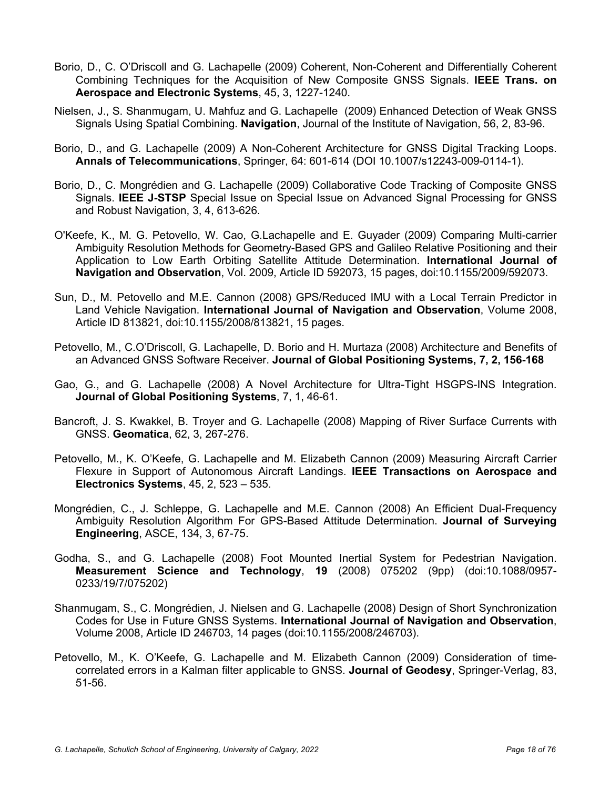- Borio, D., C. O'Driscoll and G. Lachapelle (2009) Coherent, Non-Coherent and Differentially Coherent Combining Techniques for the Acquisition of New Composite GNSS Signals. **IEEE Trans. on Aerospace and Electronic Systems**, 45, 3, 1227-1240.
- Nielsen, J., S. Shanmugam, U. Mahfuz and G. Lachapelle (2009) Enhanced Detection of Weak GNSS Signals Using Spatial Combining. **Navigation**, Journal of the Institute of Navigation, 56, 2, 83-96.
- Borio, D., and G. Lachapelle (2009) A Non-Coherent Architecture for GNSS Digital Tracking Loops. **Annals of Telecommunications**, Springer, 64: 601-614 (DOI 10.1007/s12243-009-0114-1).
- Borio, D., C. Mongrédien and G. Lachapelle (2009) Collaborative Code Tracking of Composite GNSS Signals. **IEEE J-STSP** Special Issue on Special Issue on Advanced Signal Processing for GNSS and Robust Navigation, 3, 4, 613-626.
- O'Keefe, K., M. G. Petovello, W. Cao, G.Lachapelle and E. Guyader (2009) Comparing Multi-carrier Ambiguity Resolution Methods for Geometry-Based GPS and Galileo Relative Positioning and their Application to Low Earth Orbiting Satellite Attitude Determination. **International Journal of Navigation and Observation**, Vol. 2009, Article ID 592073, 15 pages, doi:10.1155/2009/592073.
- Sun, D., M. Petovello and M.E. Cannon (2008) GPS/Reduced IMU with a Local Terrain Predictor in Land Vehicle Navigation. **International Journal of Navigation and Observation**, Volume 2008, Article ID 813821, doi:10.1155/2008/813821, 15 pages.
- Petovello, M., C.O'Driscoll, G. Lachapelle, D. Borio and H. Murtaza (2008) Architecture and Benefits of an Advanced GNSS Software Receiver. **Journal of Global Positioning Systems, 7, 2, 156-168**
- Gao, G., and G. Lachapelle (2008) A Novel Architecture for Ultra-Tight HSGPS-INS Integration. **Journal of Global Positioning Systems**, 7, 1, 46-61.
- Bancroft, J. S. Kwakkel, B. Troyer and G. Lachapelle (2008) Mapping of River Surface Currents with GNSS. **Geomatica**, 62, 3, 267-276.
- Petovello, M., K. O'Keefe, G. Lachapelle and M. Elizabeth Cannon (2009) Measuring Aircraft Carrier Flexure in Support of Autonomous Aircraft Landings. **IEEE Transactions on Aerospace and Electronics Systems**, 45, 2, 523 – 535.
- Mongrédien, C., J. Schleppe, G. Lachapelle and M.E. Cannon (2008) An Efficient Dual-Frequency Ambiguity Resolution Algorithm For GPS-Based Attitude Determination. **Journal of Surveying Engineering**, ASCE, 134, 3, 67-75.
- Godha, S., and G. Lachapelle (2008) Foot Mounted Inertial System for Pedestrian Navigation. **Measurement Science and Technology**, **19** (2008) 075202 (9pp) (doi:10.1088/0957- 0233/19/7/075202)
- Shanmugam, S., C. Mongrédien, J. Nielsen and G. Lachapelle (2008) Design of Short Synchronization Codes for Use in Future GNSS Systems. **International Journal of Navigation and Observation**, Volume 2008, Article ID 246703, 14 pages (doi:10.1155/2008/246703).
- Petovello, M., K. O'Keefe, G. Lachapelle and M. Elizabeth Cannon (2009) Consideration of timecorrelated errors in a Kalman filter applicable to GNSS. **Journal of Geodesy**, Springer-Verlag, 83, 51-56.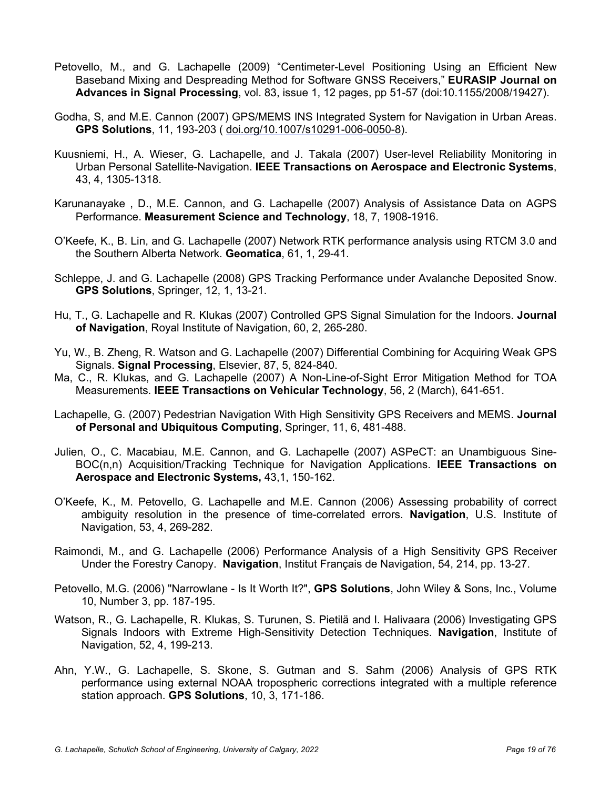- Petovello, M., and G. Lachapelle (2009) "Centimeter-Level Positioning Using an Efficient New Baseband Mixing and Despreading Method for Software GNSS Receivers," **EURASIP Journal on Advances in Signal Processing**, vol. 83, issue 1, 12 pages, pp 51-57 (doi:10.1155/2008/19427).
- Godha, S, and M.E. Cannon (2007) GPS/MEMS INS Integrated System for Navigation in Urban Areas. **GPS Solutions**, 11, 193-203 ( doi.org/10.1007/s10291-006-0050-8).
- Kuusniemi, H., A. Wieser, G. Lachapelle, and J. Takala (2007) User-level Reliability Monitoring in Urban Personal Satellite-Navigation. **IEEE Transactions on Aerospace and Electronic Systems**, 43, 4, 1305-1318.
- Karunanayake , D., M.E. Cannon, and G. Lachapelle (2007) Analysis of Assistance Data on AGPS Performance. **Measurement Science and Technology**, 18, 7, 1908-1916.
- O'Keefe, K., B. Lin, and G. Lachapelle (2007) Network RTK performance analysis using RTCM 3.0 and the Southern Alberta Network. **Geomatica**, 61, 1, 29-41.
- Schleppe, J. and G. Lachapelle (2008) GPS Tracking Performance under Avalanche Deposited Snow. **GPS Solutions**, Springer, 12, 1, 13-21.
- Hu, T., G. Lachapelle and R. Klukas (2007) Controlled GPS Signal Simulation for the Indoors. **Journal of Navigation**, Royal Institute of Navigation, 60, 2, 265-280.
- Yu, W., B. Zheng, R. Watson and G. Lachapelle (2007) Differential Combining for Acquiring Weak GPS Signals. **Signal Processing**, Elsevier, 87, 5, 824-840.
- Ma, C., R. Klukas, and G. Lachapelle (2007) A Non-Line-of-Sight Error Mitigation Method for TOA Measurements. **IEEE Transactions on Vehicular Technology**, 56, 2 (March), 641-651.
- Lachapelle, G. (2007) Pedestrian Navigation With High Sensitivity GPS Receivers and MEMS. **Journal of Personal and Ubiquitous Computing**, Springer, 11, 6, 481-488.
- Julien, O., C. Macabiau, M.E. Cannon, and G. Lachapelle (2007) ASPeCT: an Unambiguous Sine-BOC(n,n) Acquisition/Tracking Technique for Navigation Applications. **IEEE Transactions on Aerospace and Electronic Systems,** 43,1, 150-162.
- O'Keefe, K., M. Petovello, G. Lachapelle and M.E. Cannon (2006) Assessing probability of correct ambiguity resolution in the presence of time-correlated errors. **Navigation**, U.S. Institute of Navigation, 53, 4, 269-282.
- Raimondi, M., and G. Lachapelle (2006) Performance Analysis of a High Sensitivity GPS Receiver Under the Forestry Canopy. **Navigation**, Institut Français de Navigation, 54, 214, pp. 13-27.
- Petovello, M.G. (2006) "Narrowlane Is It Worth It?", **GPS Solutions**, John Wiley & Sons, Inc., Volume 10, Number 3, pp. 187-195.
- Watson, R., G. Lachapelle, R. Klukas, S. Turunen, S. Pietilä and I. Halivaara (2006) Investigating GPS Signals Indoors with Extreme High-Sensitivity Detection Techniques. **Navigation**, Institute of Navigation, 52, 4, 199-213.
- Ahn, Y.W., G. Lachapelle, S. Skone, S. Gutman and S. Sahm (2006) Analysis of GPS RTK performance using external NOAA tropospheric corrections integrated with a multiple reference station approach. **GPS Solutions**, 10, 3, 171-186.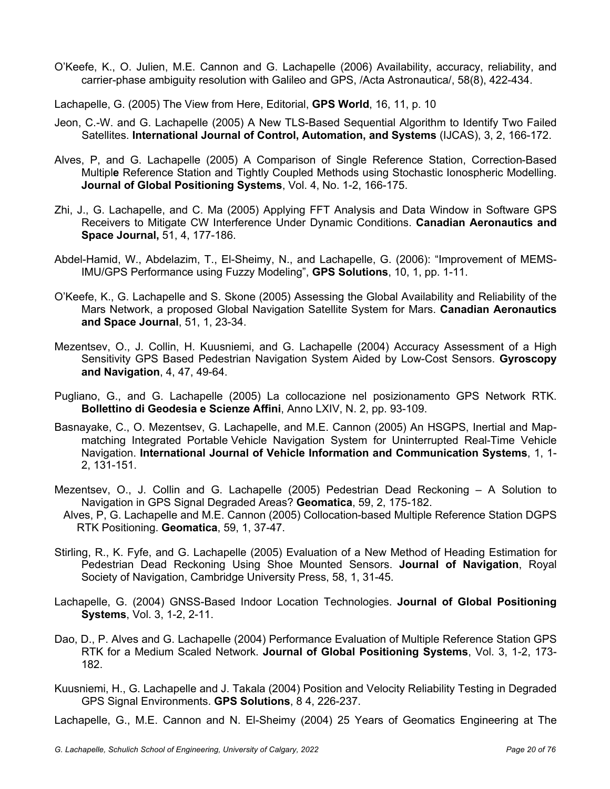O'Keefe, K., O. Julien, M.E. Cannon and G. Lachapelle (2006) Availability, accuracy, reliability, and carrier-phase ambiguity resolution with Galileo and GPS, /Acta Astronautica/, 58(8), 422-434.

Lachapelle, G. (2005) The View from Here, Editorial, **GPS World**, 16, 11, p. 10

- Jeon, C.-W. and G. Lachapelle (2005) A New TLS-Based Sequential Algorithm to Identify Two Failed Satellites. **International Journal of Control, Automation, and Systems** (IJCAS), 3, 2, 166-172.
- Alves, P, and G. Lachapelle (2005) A Comparison of Single Reference Station, Correction-Based Multipl**e** Reference Station and Tightly Coupled Methods using Stochastic Ionospheric Modelling. **Journal of Global Positioning Systems**, Vol. 4, No. 1-2, 166-175.
- Zhi, J., G. Lachapelle, and C. Ma (2005) Applying FFT Analysis and Data Window in Software GPS Receivers to Mitigate CW Interference Under Dynamic Conditions. **Canadian Aeronautics and Space Journal,** 51, 4, 177-186.
- Abdel-Hamid, W., Abdelazim, T., El-Sheimy, N., and Lachapelle, G. (2006): "Improvement of MEMS-IMU/GPS Performance using Fuzzy Modeling", **GPS Solutions**, 10, 1, pp. 1-11.
- O'Keefe, K., G. Lachapelle and S. Skone (2005) Assessing the Global Availability and Reliability of the Mars Network, a proposed Global Navigation Satellite System for Mars. **Canadian Aeronautics and Space Journal**, 51, 1, 23-34.
- Mezentsev, O., J. Collin, H. Kuusniemi, and G. Lachapelle (2004) Accuracy Assessment of a High Sensitivity GPS Based Pedestrian Navigation System Aided by Low-Cost Sensors. **Gyroscopy and Navigation**, 4, 47, 49-64.
- Pugliano, G., and G. Lachapelle (2005) La collocazione nel posizionamento GPS Network RTK. **Bollettino di Geodesia e Scienze Affini**, Anno LXIV, N. 2, pp. 93-109.
- Basnayake, C., O. Mezentsev, G. Lachapelle, and M.E. Cannon (2005) An HSGPS, Inertial and Mapmatching Integrated Portable Vehicle Navigation System for Uninterrupted Real-Time Vehicle Navigation. **International Journal of Vehicle Information and Communication Systems**, 1, 1- 2, 131-151.
- Mezentsev, O., J. Collin and G. Lachapelle (2005) Pedestrian Dead Reckoning A Solution to Navigation in GPS Signal Degraded Areas? **Geomatica**, 59, 2, 175-182.
- Alves, P, G. Lachapelle and M.E. Cannon (2005) Collocation-based Multiple Reference Station DGPS RTK Positioning. **Geomatica**, 59, 1, 37-47.
- Stirling, R., K. Fyfe, and G. Lachapelle (2005) Evaluation of a New Method of Heading Estimation for Pedestrian Dead Reckoning Using Shoe Mounted Sensors. **Journal of Navigation**, Royal Society of Navigation, Cambridge University Press, 58, 1, 31-45.
- Lachapelle, G. (2004) GNSS-Based Indoor Location Technologies. **Journal of Global Positioning Systems**, Vol. 3, 1-2, 2-11.
- Dao, D., P. Alves and G. Lachapelle (2004) Performance Evaluation of Multiple Reference Station GPS RTK for a Medium Scaled Network. **Journal of Global Positioning Systems**, Vol. 3, 1-2, 173- 182.
- Kuusniemi, H., G. Lachapelle and J. Takala (2004) Position and Velocity Reliability Testing in Degraded GPS Signal Environments. **GPS Solutions**, 8 4, 226-237.

Lachapelle, G., M.E. Cannon and N. El-Sheimy (2004) 25 Years of Geomatics Engineering at The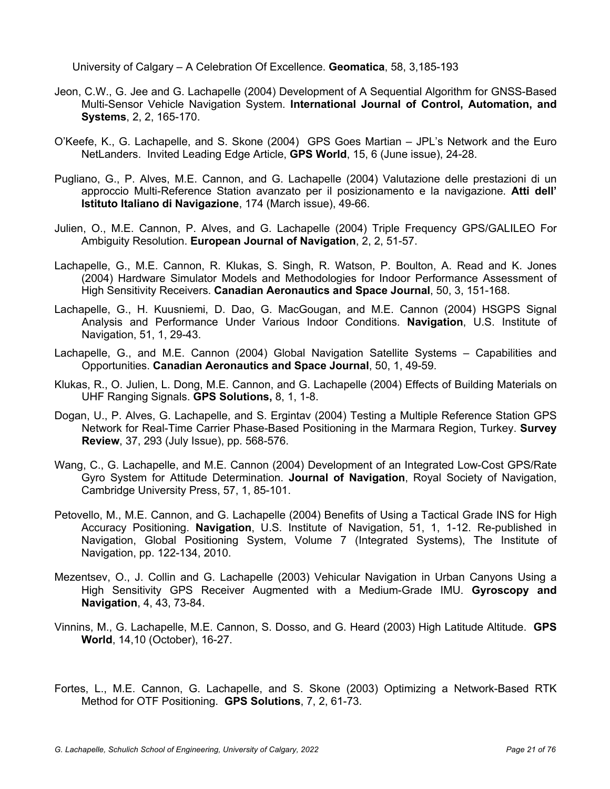University of Calgary – A Celebration Of Excellence. **Geomatica**, 58, 3,185-193

- Jeon, C.W., G. Jee and G. Lachapelle (2004) Development of A Sequential Algorithm for GNSS-Based Multi-Sensor Vehicle Navigation System. **International Journal of Control, Automation, and Systems**, 2, 2, 165-170.
- O'Keefe, K., G. Lachapelle, and S. Skone (2004) GPS Goes Martian JPL's Network and the Euro NetLanders. Invited Leading Edge Article, **GPS World**, 15, 6 (June issue), 24-28.
- Pugliano, G., P. Alves, M.E. Cannon, and G. Lachapelle (2004) Valutazione delle prestazioni di un approccio Multi-Reference Station avanzato per il posizionamento e la navigazione. **Atti dell' Istituto Italiano di Navigazione**, 174 (March issue), 49-66.
- Julien, O., M.E. Cannon, P. Alves, and G. Lachapelle (2004) Triple Frequency GPS/GALILEO For Ambiguity Resolution. **European Journal of Navigation**, 2, 2, 51-57.
- Lachapelle, G., M.E. Cannon, R. Klukas, S. Singh, R. Watson, P. Boulton, A. Read and K. Jones (2004) Hardware Simulator Models and Methodologies for Indoor Performance Assessment of High Sensitivity Receivers. **Canadian Aeronautics and Space Journal**, 50, 3, 151-168.
- Lachapelle, G., H. Kuusniemi, D. Dao, G. MacGougan, and M.E. Cannon (2004) HSGPS Signal Analysis and Performance Under Various Indoor Conditions. **Navigation**, U.S. Institute of Navigation, 51, 1, 29-43.
- Lachapelle, G., and M.E. Cannon (2004) Global Navigation Satellite Systems Capabilities and Opportunities. **Canadian Aeronautics and Space Journal**, 50, 1, 49-59.
- Klukas, R., O. Julien, L. Dong, M.E. Cannon, and G. Lachapelle (2004) Effects of Building Materials on UHF Ranging Signals. **GPS Solutions,** 8, 1, 1-8.
- Dogan, U., P. Alves, G. Lachapelle, and S. Ergintav (2004) Testing a Multiple Reference Station GPS Network for Real-Time Carrier Phase-Based Positioning in the Marmara Region, Turkey. **Survey Review**, 37, 293 (July Issue), pp. 568-576.
- Wang, C., G. Lachapelle, and M.E. Cannon (2004) Development of an Integrated Low-Cost GPS/Rate Gyro System for Attitude Determination. **Journal of Navigation**, Royal Society of Navigation, Cambridge University Press, 57, 1, 85-101.
- Petovello, M., M.E. Cannon, and G. Lachapelle (2004) Benefits of Using a Tactical Grade INS for High Accuracy Positioning. **Navigation**, U.S. Institute of Navigation, 51, 1, 1-12. Re-published in Navigation, Global Positioning System, Volume 7 (Integrated Systems), The Institute of Navigation, pp. 122-134, 2010.
- Mezentsev, O., J. Collin and G. Lachapelle (2003) Vehicular Navigation in Urban Canyons Using a High Sensitivity GPS Receiver Augmented with a Medium-Grade IMU. **Gyroscopy and Navigation**, 4, 43, 73-84.
- Vinnins, M., G. Lachapelle, M.E. Cannon, S. Dosso, and G. Heard (2003) High Latitude Altitude. **GPS World**, 14,10 (October), 16-27.
- Fortes, L., M.E. Cannon, G. Lachapelle, and S. Skone (2003) Optimizing a Network-Based RTK Method for OTF Positioning. **GPS Solutions**, 7, 2, 61-73.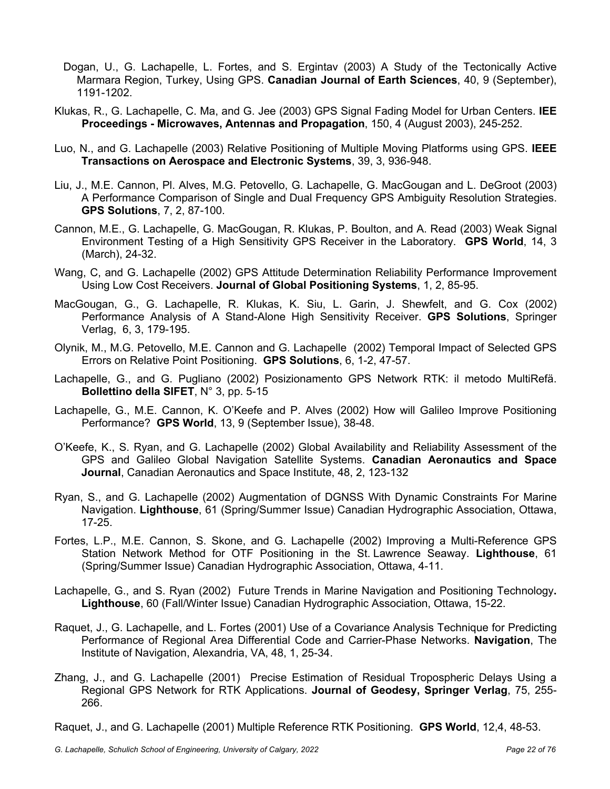- Dogan, U., G. Lachapelle, L. Fortes, and S. Ergintav (2003) A Study of the Tectonically Active Marmara Region, Turkey, Using GPS. **Canadian Journal of Earth Sciences**, 40, 9 (September), 1191-1202.
- Klukas, R., G. Lachapelle, C. Ma, and G. Jee (2003) GPS Signal Fading Model for Urban Centers. **IEE Proceedings - Microwaves, Antennas and Propagation**, 150, 4 (August 2003), 245-252.
- Luo, N., and G. Lachapelle (2003) Relative Positioning of Multiple Moving Platforms using GPS. **IEEE Transactions on Aerospace and Electronic Systems**, 39, 3, 936-948.
- Liu, J., M.E. Cannon, Pl. Alves, M.G. Petovello, G. Lachapelle, G. MacGougan and L. DeGroot (2003) A Performance Comparison of Single and Dual Frequency GPS Ambiguity Resolution Strategies. **GPS Solutions**, 7, 2, 87-100.
- Cannon, M.E., G. Lachapelle, G. MacGougan, R. Klukas, P. Boulton, and A. Read (2003) Weak Signal Environment Testing of a High Sensitivity GPS Receiver in the Laboratory. **GPS World**, 14, 3 (March), 24-32.
- Wang, C, and G. Lachapelle (2002) GPS Attitude Determination Reliability Performance Improvement Using Low Cost Receivers. **Journal of Global Positioning Systems**, 1, 2, 85-95.
- MacGougan, G., G. Lachapelle, R. Klukas, K. Siu, L. Garin, J. Shewfelt, and G. Cox (2002) Performance Analysis of A Stand-Alone High Sensitivity Receiver. **GPS Solutions**, Springer Verlag, 6, 3, 179-195.
- Olynik, M., M.G. Petovello, M.E. Cannon and G. Lachapelle (2002) Temporal Impact of Selected GPS Errors on Relative Point Positioning. **GPS Solutions**, 6, 1-2, 47-57.
- Lachapelle, G., and G. Pugliano (2002) Posizionamento GPS Network RTK: il metodo MultiRefä. **Bollettino della SIFET**, N° 3, pp. 5-15
- Lachapelle, G., M.E. Cannon, K. O'Keefe and P. Alves (2002) How will Galileo Improve Positioning Performance? **GPS World**, 13, 9 (September Issue), 38-48.
- O'Keefe, K., S. Ryan, and G. Lachapelle (2002) Global Availability and Reliability Assessment of the GPS and Galileo Global Navigation Satellite Systems. **Canadian Aeronautics and Space Journal**, Canadian Aeronautics and Space Institute, 48, 2, 123-132
- Ryan, S., and G. Lachapelle (2002) Augmentation of DGNSS With Dynamic Constraints For Marine Navigation. **Lighthouse**, 61 (Spring/Summer Issue) Canadian Hydrographic Association, Ottawa, 17-25.
- Fortes, L.P., M.E. Cannon, S. Skone, and G. Lachapelle (2002) Improving a Multi-Reference GPS Station Network Method for OTF Positioning in the St. Lawrence Seaway. **Lighthouse**, 61 (Spring/Summer Issue) Canadian Hydrographic Association, Ottawa, 4-11.
- Lachapelle, G., and S. Ryan (2002) Future Trends in Marine Navigation and Positioning Technology**. Lighthouse**, 60 (Fall/Winter Issue) Canadian Hydrographic Association, Ottawa, 15-22.
- Raquet, J., G. Lachapelle, and L. Fortes (2001) Use of a Covariance Analysis Technique for Predicting Performance of Regional Area Differential Code and Carrier-Phase Networks. **Navigation**, The Institute of Navigation, Alexandria, VA, 48, 1, 25-34.
- Zhang, J., and G. Lachapelle (2001) Precise Estimation of Residual Tropospheric Delays Using a Regional GPS Network for RTK Applications. **Journal of Geodesy, Springer Verlag**, 75, 255- 266.

Raquet, J., and G. Lachapelle (2001) Multiple Reference RTK Positioning. **GPS World**, 12,4, 48-53.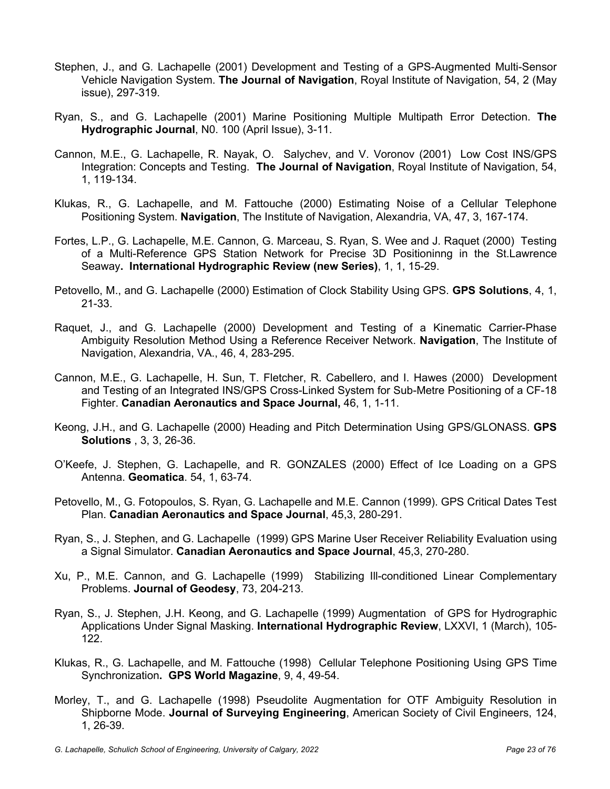- Stephen, J., and G. Lachapelle (2001) Development and Testing of a GPS-Augmented Multi-Sensor Vehicle Navigation System. **The Journal of Navigation**, Royal Institute of Navigation, 54, 2 (May issue), 297-319.
- Ryan, S., and G. Lachapelle (2001) Marine Positioning Multiple Multipath Error Detection. **The Hydrographic Journal**, N0. 100 (April Issue), 3-11.
- Cannon, M.E., G. Lachapelle, R. Nayak, O. Salychev, and V. Voronov (2001) Low Cost INS/GPS Integration: Concepts and Testing. **The Journal of Navigation**, Royal Institute of Navigation, 54, 1, 119-134.
- Klukas, R., G. Lachapelle, and M. Fattouche (2000) Estimating Noise of a Cellular Telephone Positioning System. **Navigation**, The Institute of Navigation, Alexandria, VA, 47, 3, 167-174.
- Fortes, L.P., G. Lachapelle, M.E. Cannon, G. Marceau, S. Ryan, S. Wee and J. Raquet (2000) Testing of a Multi-Reference GPS Station Network for Precise 3D Positioninng in the St.Lawrence Seaway**. International Hydrographic Review (new Series)**, 1, 1, 15-29.
- Petovello, M., and G. Lachapelle (2000) Estimation of Clock Stability Using GPS. **GPS Solutions**, 4, 1, 21-33.
- Raquet, J., and G. Lachapelle (2000) Development and Testing of a Kinematic Carrier-Phase Ambiguity Resolution Method Using a Reference Receiver Network. **Navigation**, The Institute of Navigation, Alexandria, VA., 46, 4, 283-295.
- Cannon, M.E., G. Lachapelle, H. Sun, T. Fletcher, R. Cabellero, and I. Hawes (2000) Development and Testing of an Integrated INS/GPS Cross-Linked System for Sub-Metre Positioning of a CF-18 Fighter. **Canadian Aeronautics and Space Journal,** 46, 1, 1-11.
- Keong, J.H., and G. Lachapelle (2000) Heading and Pitch Determination Using GPS/GLONASS. **GPS Solutions** , 3, 3, 26-36.
- O'Keefe, J. Stephen, G. Lachapelle, and R. GONZALES (2000) Effect of Ice Loading on a GPS Antenna. **Geomatica**. 54, 1, 63-74.
- Petovello, M., G. Fotopoulos, S. Ryan, G. Lachapelle and M.E. Cannon (1999). GPS Critical Dates Test Plan. **Canadian Aeronautics and Space Journal**, 45,3, 280-291.
- Ryan, S., J. Stephen, and G. Lachapelle (1999) GPS Marine User Receiver Reliability Evaluation using a Signal Simulator. **Canadian Aeronautics and Space Journal**, 45,3, 270-280.
- Xu, P., M.E. Cannon, and G. Lachapelle (1999) Stabilizing Ill-conditioned Linear Complementary Problems. **Journal of Geodesy**, 73, 204-213.
- Ryan, S., J. Stephen, J.H. Keong, and G. Lachapelle (1999) Augmentation of GPS for Hydrographic Applications Under Signal Masking. **International Hydrographic Review**, LXXVI, 1 (March), 105- 122.
- Klukas, R., G. Lachapelle, and M. Fattouche (1998) Cellular Telephone Positioning Using GPS Time Synchronization**. GPS World Magazine**, 9, 4, 49-54.
- Morley, T., and G. Lachapelle (1998) Pseudolite Augmentation for OTF Ambiguity Resolution in Shipborne Mode. **Journal of Surveying Engineering**, American Society of Civil Engineers, 124, 1, 26-39.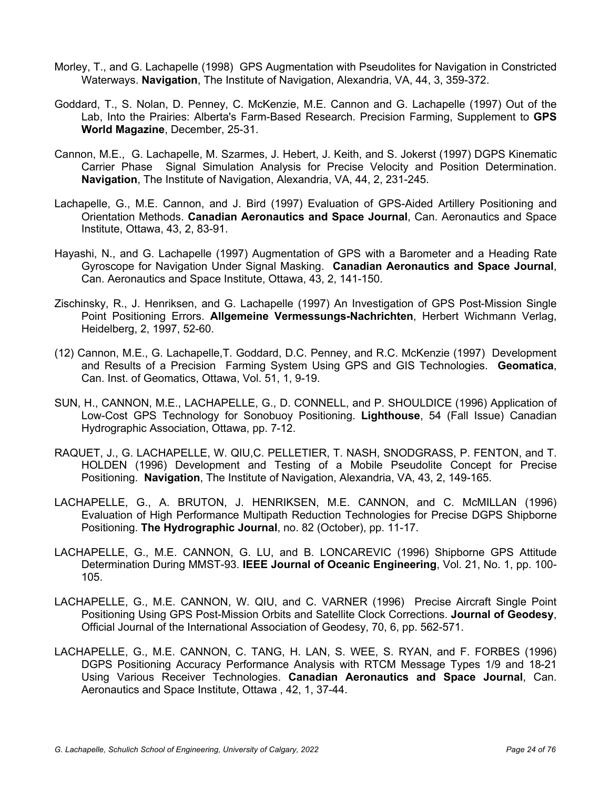- Morley, T., and G. Lachapelle (1998) GPS Augmentation with Pseudolites for Navigation in Constricted Waterways. **Navigation**, The Institute of Navigation, Alexandria, VA, 44, 3, 359-372.
- Goddard, T., S. Nolan, D. Penney, C. McKenzie, M.E. Cannon and G. Lachapelle (1997) Out of the Lab, Into the Prairies: Alberta's Farm-Based Research. Precision Farming, Supplement to **GPS World Magazine**, December, 25-31.
- Cannon, M.E., G. Lachapelle, M. Szarmes, J. Hebert, J. Keith, and S. Jokerst (1997) DGPS Kinematic Carrier Phase Signal Simulation Analysis for Precise Velocity and Position Determination. **Navigation**, The Institute of Navigation, Alexandria, VA, 44, 2, 231-245.
- Lachapelle, G., M.E. Cannon, and J. Bird (1997) Evaluation of GPS-Aided Artillery Positioning and Orientation Methods. **Canadian Aeronautics and Space Journal**, Can. Aeronautics and Space Institute, Ottawa, 43, 2, 83-91.
- Hayashi, N., and G. Lachapelle (1997) Augmentation of GPS with a Barometer and a Heading Rate Gyroscope for Navigation Under Signal Masking. **Canadian Aeronautics and Space Journal**, Can. Aeronautics and Space Institute, Ottawa, 43, 2, 141-150.
- Zischinsky, R., J. Henriksen, and G. Lachapelle (1997) An Investigation of GPS Post-Mission Single Point Positioning Errors. **Allgemeine Vermessungs-Nachrichten**, Herbert Wichmann Verlag, Heidelberg, 2, 1997, 52-60.
- (12) Cannon, M.E., G. Lachapelle,T. Goddard, D.C. Penney, and R.C. McKenzie (1997) Development and Results of a Precision Farming System Using GPS and GIS Technologies. **Geomatica**, Can. Inst. of Geomatics, Ottawa, Vol. 51, 1, 9-19.
- SUN, H., CANNON, M.E., LACHAPELLE, G., D. CONNELL, and P. SHOULDICE (1996) Application of Low-Cost GPS Technology for Sonobuoy Positioning. **Lighthouse**, 54 (Fall Issue) Canadian Hydrographic Association, Ottawa, pp. 7-12.
- RAQUET, J., G. LACHAPELLE, W. QIU,C. PELLETIER, T. NASH, SNODGRASS, P. FENTON, and T. HOLDEN (1996) Development and Testing of a Mobile Pseudolite Concept for Precise Positioning. **Navigation**, The Institute of Navigation, Alexandria, VA, 43, 2, 149-165.
- LACHAPELLE, G., A. BRUTON, J. HENRIKSEN, M.E. CANNON, and C. McMILLAN (1996) Evaluation of High Performance Multipath Reduction Technologies for Precise DGPS Shipborne Positioning. **The Hydrographic Journal**, no. 82 (October), pp. 11-17.
- LACHAPELLE, G., M.E. CANNON, G. LU, and B. LONCAREVIC (1996) Shipborne GPS Attitude Determination During MMST-93. **IEEE Journal of Oceanic Engineering**, Vol. 21, No. 1, pp. 100- 105.
- LACHAPELLE, G., M.E. CANNON, W. QIU, and C. VARNER (1996) Precise Aircraft Single Point Positioning Using GPS Post-Mission Orbits and Satellite Clock Corrections. **Journal of Geodesy**, Official Journal of the International Association of Geodesy, 70, 6, pp. 562-571.
- LACHAPELLE, G., M.E. CANNON, C. TANG, H. LAN, S. WEE, S. RYAN, and F. FORBES (1996) DGPS Positioning Accuracy Performance Analysis with RTCM Message Types 1/9 and 18-21 Using Various Receiver Technologies. **Canadian Aeronautics and Space Journal**, Can. Aeronautics and Space Institute, Ottawa , 42, 1, 37-44.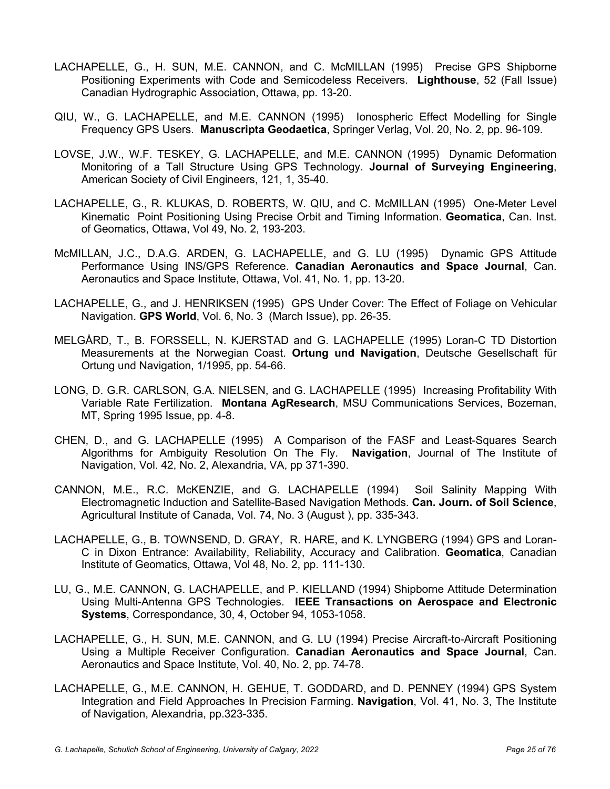- LACHAPELLE, G., H. SUN, M.E. CANNON, and C. McMILLAN (1995) Precise GPS Shipborne Positioning Experiments with Code and Semicodeless Receivers. **Lighthouse**, 52 (Fall Issue) Canadian Hydrographic Association, Ottawa, pp. 13-20.
- QIU, W., G. LACHAPELLE, and M.E. CANNON (1995) Ionospheric Effect Modelling for Single Frequency GPS Users. **Manuscripta Geodaetica**, Springer Verlag, Vol. 20, No. 2, pp. 96-109.
- LOVSE, J.W., W.F. TESKEY, G. LACHAPELLE, and M.E. CANNON (1995) Dynamic Deformation Monitoring of a Tall Structure Using GPS Technology. **Journal of Surveying Engineering**, American Society of Civil Engineers, 121, 1, 35-40.
- LACHAPELLE, G., R. KLUKAS, D. ROBERTS, W. QIU, and C. McMILLAN (1995) One-Meter Level Kinematic Point Positioning Using Precise Orbit and Timing Information. **Geomatica**, Can. Inst. of Geomatics, Ottawa, Vol 49, No. 2, 193-203.
- McMILLAN, J.C., D.A.G. ARDEN, G. LACHAPELLE, and G. LU (1995) Dynamic GPS Attitude Performance Using INS/GPS Reference. **Canadian Aeronautics and Space Journal**, Can. Aeronautics and Space Institute, Ottawa, Vol. 41, No. 1, pp. 13-20.
- LACHAPELLE, G., and J. HENRIKSEN (1995) GPS Under Cover: The Effect of Foliage on Vehicular Navigation. **GPS World**, Vol. 6, No. 3 (March Issue), pp. 26-35.
- MELGÅRD, T., B. FORSSELL, N. KJERSTAD and G. LACHAPELLE (1995) Loran-C TD Distortion Measurements at the Norwegian Coast. **Ortung und Navigation**, Deutsche Gesellschaft für Ortung und Navigation, 1/1995, pp. 54-66.
- LONG, D. G.R. CARLSON, G.A. NIELSEN, and G. LACHAPELLE (1995) Increasing Profitability With Variable Rate Fertilization. **Montana AgResearch**, MSU Communications Services, Bozeman, MT, Spring 1995 Issue, pp. 4-8.
- CHEN, D., and G. LACHAPELLE (1995) A Comparison of the FASF and Least-Squares Search Algorithms for Ambiguity Resolution On The Fly. **Navigation**, Journal of The Institute of Navigation, Vol. 42, No. 2, Alexandria, VA, pp 371-390.
- CANNON, M.E., R.C. McKENZIE, and G. LACHAPELLE (1994) Soil Salinity Mapping With Electromagnetic Induction and Satellite-Based Navigation Methods. **Can. Journ. of Soil Science**, Agricultural Institute of Canada, Vol. 74, No. 3 (August ), pp. 335-343.
- LACHAPELLE, G., B. TOWNSEND, D. GRAY, R. HARE, and K. LYNGBERG (1994) GPS and Loran-C in Dixon Entrance: Availability, Reliability, Accuracy and Calibration. **Geomatica**, Canadian Institute of Geomatics, Ottawa, Vol 48, No. 2, pp. 111-130.
- LU, G., M.E. CANNON, G. LACHAPELLE, and P. KIELLAND (1994) Shipborne Attitude Determination Using Multi-Antenna GPS Technologies. **IEEE Transactions on Aerospace and Electronic Systems**, Correspondance, 30, 4, October 94, 1053-1058.
- LACHAPELLE, G., H. SUN, M.E. CANNON, and G. LU (1994) Precise Aircraft-to-Aircraft Positioning Using a Multiple Receiver Configuration. **Canadian Aeronautics and Space Journal**, Can. Aeronautics and Space Institute, Vol. 40, No. 2, pp. 74-78.
- LACHAPELLE, G., M.E. CANNON, H. GEHUE, T. GODDARD, and D. PENNEY (1994) GPS System Integration and Field Approaches In Precision Farming. **Navigation**, Vol. 41, No. 3, The Institute of Navigation, Alexandria, pp.323-335.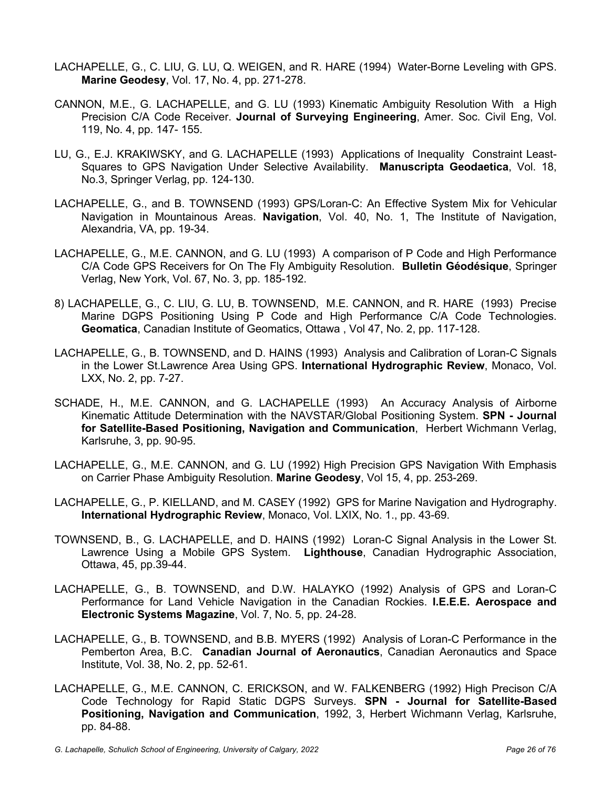- LACHAPELLE, G., C. LIU, G. LU, Q. WEIGEN, and R. HARE (1994) Water-Borne Leveling with GPS. **Marine Geodesy**, Vol. 17, No. 4, pp. 271-278.
- CANNON, M.E., G. LACHAPELLE, and G. LU (1993) Kinematic Ambiguity Resolution With a High Precision C/A Code Receiver. **Journal of Surveying Engineering**, Amer. Soc. Civil Eng, Vol. 119, No. 4, pp. 147- 155.
- LU, G., E.J. KRAKIWSKY, and G. LACHAPELLE (1993) Applications of Inequality Constraint Least-Squares to GPS Navigation Under Selective Availability. **Manuscripta Geodaetica**, Vol. 18, No.3, Springer Verlag, pp. 124-130.
- LACHAPELLE, G., and B. TOWNSEND (1993) GPS/Loran-C: An Effective System Mix for Vehicular Navigation in Mountainous Areas. **Navigation**, Vol. 40, No. 1, The Institute of Navigation, Alexandria, VA, pp. 19-34.
- LACHAPELLE, G., M.E. CANNON, and G. LU (1993) A comparison of P Code and High Performance C/A Code GPS Receivers for On The Fly Ambiguity Resolution. **Bulletin Géodésique**, Springer Verlag, New York, Vol. 67, No. 3, pp. 185-192.
- 8) LACHAPELLE, G., C. LIU, G. LU, B. TOWNSEND, M.E. CANNON, and R. HARE (1993) Precise Marine DGPS Positioning Using P Code and High Performance C/A Code Technologies. **Geomatica**, Canadian Institute of Geomatics, Ottawa , Vol 47, No. 2, pp. 117-128.
- LACHAPELLE, G., B. TOWNSEND, and D. HAINS (1993) Analysis and Calibration of Loran-C Signals in the Lower St.Lawrence Area Using GPS. **International Hydrographic Review**, Monaco, Vol. LXX, No. 2, pp. 7-27.
- SCHADE, H., M.E. CANNON, and G. LACHAPELLE (1993) An Accuracy Analysis of Airborne Kinematic Attitude Determination with the NAVSTAR/Global Positioning System. **SPN - Journal for Satellite-Based Positioning, Navigation and Communication**, Herbert Wichmann Verlag, Karlsruhe, 3, pp. 90-95.
- LACHAPELLE, G., M.E. CANNON, and G. LU (1992) High Precision GPS Navigation With Emphasis on Carrier Phase Ambiguity Resolution. **Marine Geodesy**, Vol 15, 4, pp. 253-269.
- LACHAPELLE, G., P. KIELLAND, and M. CASEY (1992) GPS for Marine Navigation and Hydrography. **International Hydrographic Review**, Monaco, Vol. LXIX, No. 1., pp. 43-69.
- TOWNSEND, B., G. LACHAPELLE, and D. HAINS (1992) Loran-C Signal Analysis in the Lower St. Lawrence Using a Mobile GPS System. **Lighthouse**, Canadian Hydrographic Association, Ottawa, 45, pp.39-44.
- LACHAPELLE, G., B. TOWNSEND, and D.W. HALAYKO (1992) Analysis of GPS and Loran-C Performance for Land Vehicle Navigation in the Canadian Rockies. **I.E.E.E. Aerospace and Electronic Systems Magazine**, Vol. 7, No. 5, pp. 24-28.
- LACHAPELLE, G., B. TOWNSEND, and B.B. MYERS (1992) Analysis of Loran-C Performance in the Pemberton Area, B.C. **Canadian Journal of Aeronautics**, Canadian Aeronautics and Space Institute, Vol. 38, No. 2, pp. 52-61.
- LACHAPELLE, G., M.E. CANNON, C. ERICKSON, and W. FALKENBERG (1992) High Precison C/A Code Technology for Rapid Static DGPS Surveys. **SPN - Journal for Satellite-Based Positioning, Navigation and Communication**, 1992, 3, Herbert Wichmann Verlag, Karlsruhe, pp. 84-88.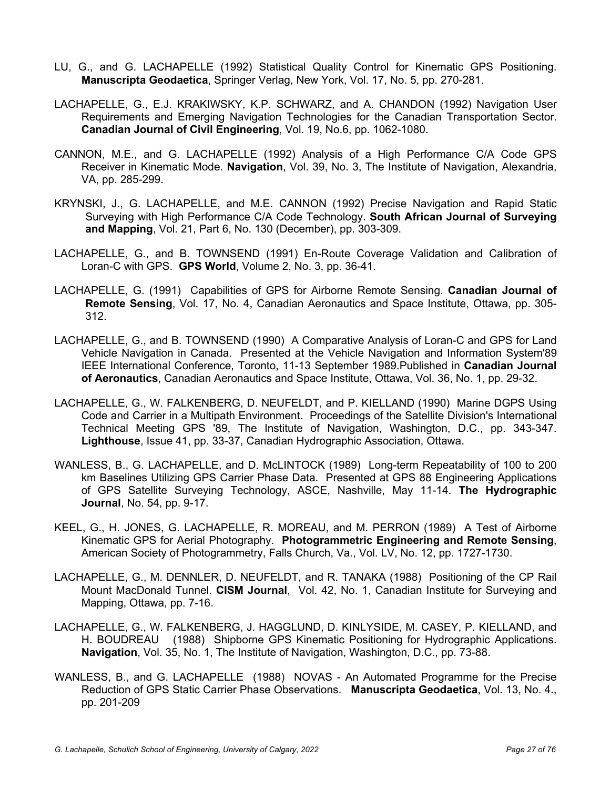- LU, G., and G. LACHAPELLE (1992) Statistical Quality Control for Kinematic GPS Positioning. **Manuscripta Geodaetica**, Springer Verlag, New York, Vol. 17, No. 5, pp. 270-281.
- LACHAPELLE, G., E.J. KRAKIWSKY, K.P. SCHWARZ, and A. CHANDON (1992) Navigation User Requirements and Emerging Navigation Technologies for the Canadian Transportation Sector. **Canadian Journal of Civil Engineering**, Vol. 19, No.6, pp. 1062-1080.
- CANNON, M.E., and G. LACHAPELLE (1992) Analysis of a High Performance C/A Code GPS Receiver in Kinematic Mode. **Navigation**, Vol. 39, No. 3, The Institute of Navigation, Alexandria, VA, pp. 285-299.
- KRYNSKI, J., G. LACHAPELLE, and M.E. CANNON (1992) Precise Navigation and Rapid Static Surveying with High Performance C/A Code Technology. **South African Journal of Surveying and Mapping**, Vol. 21, Part 6, No. 130 (December), pp. 303-309.
- LACHAPELLE, G., and B. TOWNSEND (1991) En-Route Coverage Validation and Calibration of Loran-C with GPS. **GPS World**, Volume 2, No. 3, pp. 36-41.
- LACHAPELLE, G. (1991) Capabilities of GPS for Airborne Remote Sensing. **Canadian Journal of Remote Sensing**, Vol. 17, No. 4, Canadian Aeronautics and Space Institute, Ottawa, pp. 305- 312.
- LACHAPELLE, G., and B. TOWNSEND (1990) A Comparative Analysis of Loran-C and GPS for Land Vehicle Navigation in Canada. Presented at the Vehicle Navigation and Information System'89 IEEE International Conference, Toronto, 11-13 September 1989.Published in **Canadian Journal of Aeronautics**, Canadian Aeronautics and Space Institute, Ottawa, Vol. 36, No. 1, pp. 29-32.
- LACHAPELLE, G., W. FALKENBERG, D. NEUFELDT, and P. KIELLAND (1990) Marine DGPS Using Code and Carrier in a Multipath Environment. Proceedings of the Satellite Division's International Technical Meeting GPS '89, The Institute of Navigation, Washington, D.C., pp. 343-347. **Lighthouse**, Issue 41, pp. 33-37, Canadian Hydrographic Association, Ottawa.
- WANLESS, B., G. LACHAPELLE, and D. McLINTOCK (1989) Long-term Repeatability of 100 to 200 km Baselines Utilizing GPS Carrier Phase Data. Presented at GPS 88 Engineering Applications of GPS Satellite Surveying Technology, ASCE, Nashville, May 11-14. **The Hydrographic Journal**, No. 54, pp. 9-17.
- KEEL, G., H. JONES, G. LACHAPELLE, R. MOREAU, and M. PERRON (1989) A Test of Airborne Kinematic GPS for Aerial Photography. **Photogrammetric Engineering and Remote Sensing**, American Society of Photogrammetry, Falls Church, Va., Vol. LV, No. 12, pp. 1727-1730.
- LACHAPELLE, G., M. DENNLER, D. NEUFELDT, and R. TANAKA (1988) Positioning of the CP Rail Mount MacDonald Tunnel. **CISM Journal**, Vol. 42, No. 1, Canadian Institute for Surveying and Mapping, Ottawa, pp. 7-16.
- LACHAPELLE, G., W. FALKENBERG, J. HAGGLUND, D. KINLYSIDE, M. CASEY, P. KIELLAND, and H. BOUDREAU (1988) Shipborne GPS Kinematic Positioning for Hydrographic Applications. **Navigation**, Vol. 35, No. 1, The Institute of Navigation, Washington, D.C., pp. 73-88.
- WANLESS, B., and G. LACHAPELLE (1988) NOVAS An Automated Programme for the Precise Reduction of GPS Static Carrier Phase Observations. **Manuscripta Geodaetica**, Vol. 13, No. 4., pp. 201-209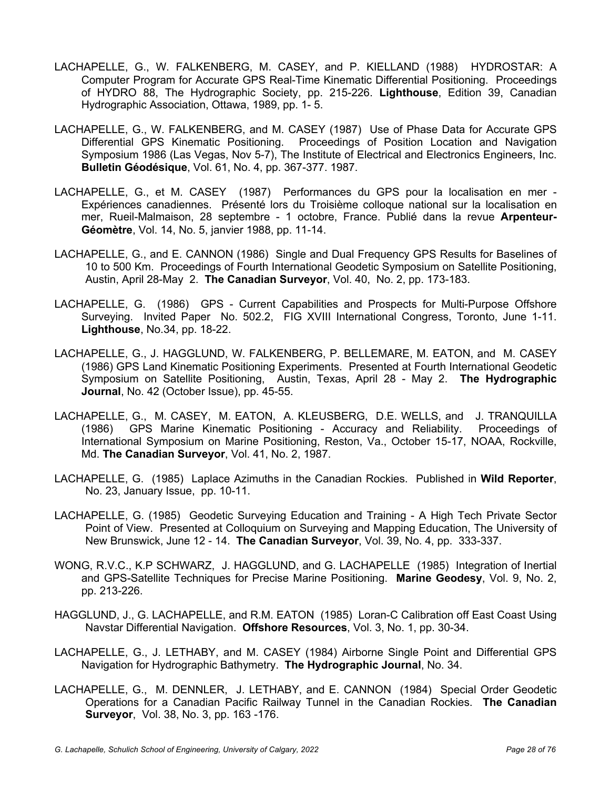- LACHAPELLE, G., W. FALKENBERG, M. CASEY, and P. KIELLAND (1988) HYDROSTAR: A Computer Program for Accurate GPS Real-Time Kinematic Differential Positioning. Proceedings of HYDRO 88, The Hydrographic Society, pp. 215-226. **Lighthouse**, Edition 39, Canadian Hydrographic Association, Ottawa, 1989, pp. 1- 5.
- LACHAPELLE, G., W. FALKENBERG, and M. CASEY (1987) Use of Phase Data for Accurate GPS Differential GPS Kinematic Positioning. Proceedings of Position Location and Navigation Symposium 1986 (Las Vegas, Nov 5-7), The Institute of Electrical and Electronics Engineers, Inc. **Bulletin Géodésique**, Vol. 61, No. 4, pp. 367-377. 1987.
- LACHAPELLE, G., et M. CASEY (1987) Performances du GPS pour la localisation en mer Expériences canadiennes. Présenté lors du Troisième colloque national sur la localisation en mer, Rueil-Malmaison, 28 septembre - 1 octobre, France. Publié dans la revue **Arpenteur-Géomètre**, Vol. 14, No. 5, janvier 1988, pp. 11-14.
- LACHAPELLE, G., and E. CANNON (1986) Single and Dual Frequency GPS Results for Baselines of 10 to 500 Km. Proceedings of Fourth International Geodetic Symposium on Satellite Positioning, Austin, April 28-May 2. **The Canadian Surveyor**, Vol. 40, No. 2, pp. 173-183.
- LACHAPELLE, G. (1986) GPS Current Capabilities and Prospects for Multi-Purpose Offshore Surveying. Invited Paper No. 502.2, FIG XVIII International Congress, Toronto, June 1-11. **Lighthouse**, No.34, pp. 18-22.
- LACHAPELLE, G., J. HAGGLUND, W. FALKENBERG, P. BELLEMARE, M. EATON, and M. CASEY (1986) GPS Land Kinematic Positioning Experiments. Presented at Fourth International Geodetic Symposium on Satellite Positioning, Austin, Texas, April 28 - May 2. **The Hydrographic Journal**, No. 42 (October Issue), pp. 45-55.
- LACHAPELLE, G., M. CASEY, M. EATON, A. KLEUSBERG, D.E. WELLS, and J. TRANQUILLA (1986) GPS Marine Kinematic Positioning - Accuracy and Reliability. Proceedings of International Symposium on Marine Positioning, Reston, Va., October 15-17, NOAA, Rockville, Md. **The Canadian Surveyor**, Vol. 41, No. 2, 1987.
- LACHAPELLE, G. (1985) Laplace Azimuths in the Canadian Rockies. Published in **Wild Reporter**, No. 23, January Issue, pp. 10-11.
- LACHAPELLE, G. (1985) Geodetic Surveying Education and Training A High Tech Private Sector Point of View. Presented at Colloquium on Surveying and Mapping Education, The University of New Brunswick, June 12 - 14. **The Canadian Surveyor**, Vol. 39, No. 4, pp. 333-337.
- WONG, R.V.C., K.P SCHWARZ, J. HAGGLUND, and G. LACHAPELLE (1985) Integration of Inertial and GPS-Satellite Techniques for Precise Marine Positioning. **Marine Geodesy**, Vol. 9, No. 2, pp. 213-226.
- HAGGLUND, J., G. LACHAPELLE, and R.M. EATON (1985) Loran-C Calibration off East Coast Using Navstar Differential Navigation. **Offshore Resources**, Vol. 3, No. 1, pp. 30-34.
- LACHAPELLE, G., J. LETHABY, and M. CASEY (1984) Airborne Single Point and Differential GPS Navigation for Hydrographic Bathymetry. **The Hydrographic Journal**, No. 34.
- LACHAPELLE, G., M. DENNLER, J. LETHABY, and E. CANNON (1984) Special Order Geodetic Operations for a Canadian Pacific Railway Tunnel in the Canadian Rockies. **The Canadian Surveyor**, Vol. 38, No. 3, pp. 163 -176.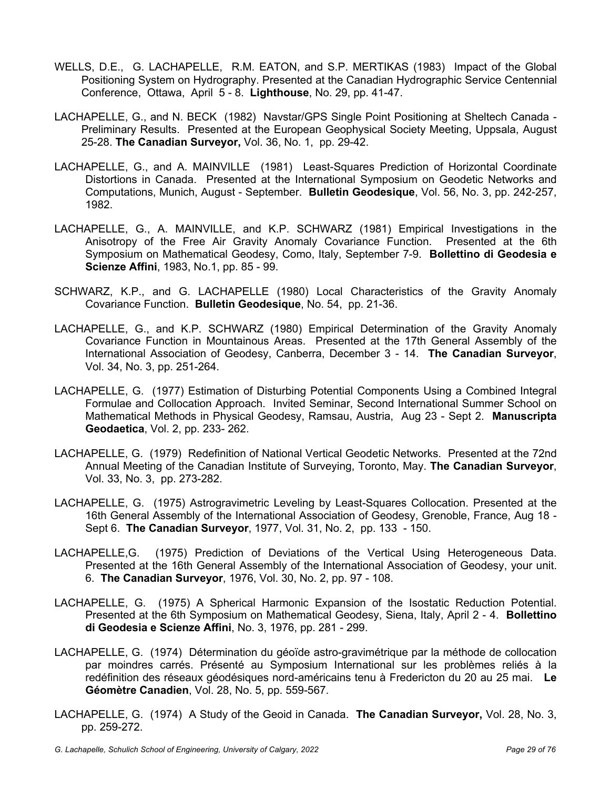- WELLS, D.E., G. LACHAPELLE, R.M. EATON, and S.P. MERTIKAS (1983) Impact of the Global Positioning System on Hydrography. Presented at the Canadian Hydrographic Service Centennial Conference, Ottawa, April 5 - 8. **Lighthouse**, No. 29, pp. 41-47.
- LACHAPELLE, G., and N. BECK (1982) Navstar/GPS Single Point Positioning at Sheltech Canada Preliminary Results. Presented at the European Geophysical Society Meeting, Uppsala, August 25-28. **The Canadian Surveyor,** Vol. 36, No. 1, pp. 29-42.
- LACHAPELLE, G., and A. MAINVILLE (1981) Least-Squares Prediction of Horizontal Coordinate Distortions in Canada. Presented at the International Symposium on Geodetic Networks and Computations, Munich, August - September. **Bulletin Geodesique**, Vol. 56, No. 3, pp. 242-257, 1982.
- LACHAPELLE, G., A. MAINVILLE, and K.P. SCHWARZ (1981) Empirical Investigations in the Anisotropy of the Free Air Gravity Anomaly Covariance Function. Presented at the 6th Symposium on Mathematical Geodesy, Como, Italy, September 7-9. **Bollettino di Geodesia e Scienze Affini**, 1983, No.1, pp. 85 - 99.
- SCHWARZ, K.P., and G. LACHAPELLE (1980) Local Characteristics of the Gravity Anomaly Covariance Function. **Bulletin Geodesique**, No. 54, pp. 21-36.
- LACHAPELLE, G., and K.P. SCHWARZ (1980) Empirical Determination of the Gravity Anomaly Covariance Function in Mountainous Areas. Presented at the 17th General Assembly of the International Association of Geodesy, Canberra, December 3 - 14. **The Canadian Surveyor**, Vol. 34, No. 3, pp. 251-264.
- LACHAPELLE, G. (1977) Estimation of Disturbing Potential Components Using a Combined Integral Formulae and Collocation Approach. Invited Seminar, Second International Summer School on Mathematical Methods in Physical Geodesy, Ramsau, Austria, Aug 23 - Sept 2. **Manuscripta Geodaetica**, Vol. 2, pp. 233- 262.
- LACHAPELLE, G. (1979) Redefinition of National Vertical Geodetic Networks. Presented at the 72nd Annual Meeting of the Canadian Institute of Surveying, Toronto, May. **The Canadian Surveyor**, Vol. 33, No. 3, pp. 273-282.
- LACHAPELLE, G. (1975) Astrogravimetric Leveling by Least-Squares Collocation. Presented at the 16th General Assembly of the International Association of Geodesy, Grenoble, France, Aug 18 - Sept 6. **The Canadian Surveyor**, 1977, Vol. 31, No. 2, pp. 133 - 150.
- LACHAPELLE,G. (1975) Prediction of Deviations of the Vertical Using Heterogeneous Data. Presented at the 16th General Assembly of the International Association of Geodesy, your unit. 6. **The Canadian Surveyor**, 1976, Vol. 30, No. 2, pp. 97 - 108.
- LACHAPELLE, G. (1975) A Spherical Harmonic Expansion of the Isostatic Reduction Potential. Presented at the 6th Symposium on Mathematical Geodesy, Siena, Italy, April 2 - 4. **Bollettino di Geodesia e Scienze Affini**, No. 3, 1976, pp. 281 - 299.
- LACHAPELLE, G. (1974) Détermination du géoïde astro-gravimétrique par la méthode de collocation par moindres carrés. Présenté au Symposium International sur les problèmes reliés à la redéfinition des réseaux géodésiques nord-américains tenu à Fredericton du 20 au 25 mai. **Le Géomètre Canadien**, Vol. 28, No. 5, pp. 559-567.
- LACHAPELLE, G. (1974) A Study of the Geoid in Canada. **The Canadian Surveyor,** Vol. 28, No. 3, pp. 259-272.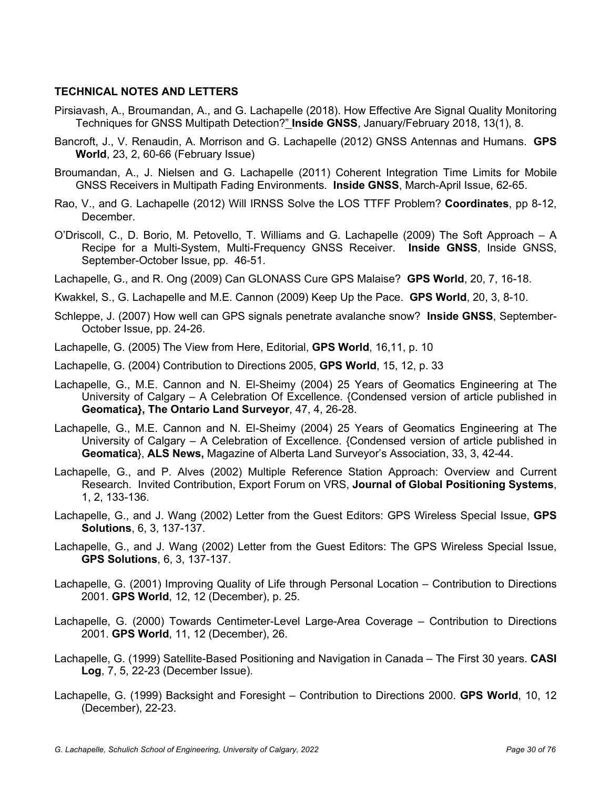# **TECHNICAL NOTES AND LETTERS**

- Pirsiavash, A., Broumandan, A., and G. Lachapelle (2018). How Effective Are Signal Quality Monitoring Techniques for GNSS Multipath Detection?" **Inside GNSS**, January/February 2018, 13(1), 8.
- Bancroft, J., V. Renaudin, A. Morrison and G. Lachapelle (2012) GNSS Antennas and Humans. **GPS World**, 23, 2, 60-66 (February Issue)
- Broumandan, A., J. Nielsen and G. Lachapelle (2011) Coherent Integration Time Limits for Mobile GNSS Receivers in Multipath Fading Environments. **Inside GNSS**, March-April Issue, 62-65.
- Rao, V., and G. Lachapelle (2012) Will IRNSS Solve the LOS TTFF Problem? **Coordinates**, pp 8-12, December.
- O'Driscoll, C., D. Borio, M. Petovello, T. Williams and G. Lachapelle (2009) The Soft Approach A Recipe for a Multi-System, Multi-Frequency GNSS Receiver. **Inside GNSS**, Inside GNSS, September-October Issue, pp. 46-51.
- Lachapelle, G., and R. Ong (2009) Can GLONASS Cure GPS Malaise? **GPS World**, 20, 7, 16-18.
- Kwakkel, S., G. Lachapelle and M.E. Cannon (2009) Keep Up the Pace. **GPS World**, 20, 3, 8-10.
- Schleppe, J. (2007) How well can GPS signals penetrate avalanche snow? **Inside GNSS**, September-October Issue, pp. 24-26.
- Lachapelle, G. (2005) The View from Here, Editorial, **GPS World**, 16,11, p. 10
- Lachapelle, G. (2004) Contribution to Directions 2005, **GPS World**, 15, 12, p. 33
- Lachapelle, G., M.E. Cannon and N. El-Sheimy (2004) 25 Years of Geomatics Engineering at The University of Calgary – A Celebration Of Excellence. {Condensed version of article published in **Geomatica}, The Ontario Land Surveyor**, 47, 4, 26-28.
- Lachapelle, G., M.E. Cannon and N. El-Sheimy (2004) 25 Years of Geomatics Engineering at The University of Calgary – A Celebration of Excellence. {Condensed version of article published in **Geomatica**}, **ALS News,** Magazine of Alberta Land Surveyor's Association, 33, 3, 42-44.
- Lachapelle, G., and P. Alves (2002) Multiple Reference Station Approach: Overview and Current Research. Invited Contribution, Export Forum on VRS, **Journal of Global Positioning Systems**, 1, 2, 133-136.
- Lachapelle, G., and J. Wang (2002) Letter from the Guest Editors: GPS Wireless Special Issue, **GPS Solutions**, 6, 3, 137-137.
- Lachapelle, G., and J. Wang (2002) Letter from the Guest Editors: The GPS Wireless Special Issue, **GPS Solutions**, 6, 3, 137-137.
- Lachapelle, G. (2001) Improving Quality of Life through Personal Location Contribution to Directions 2001. **GPS World**, 12, 12 (December), p. 25.
- Lachapelle, G. (2000) Towards Centimeter-Level Large-Area Coverage Contribution to Directions 2001. **GPS World**, 11, 12 (December), 26.
- Lachapelle, G. (1999) Satellite-Based Positioning and Navigation in Canada The First 30 years. **CASI Log**, 7, 5, 22-23 (December Issue).
- Lachapelle, G. (1999) Backsight and Foresight Contribution to Directions 2000. **GPS World**, 10, 12 (December), 22-23.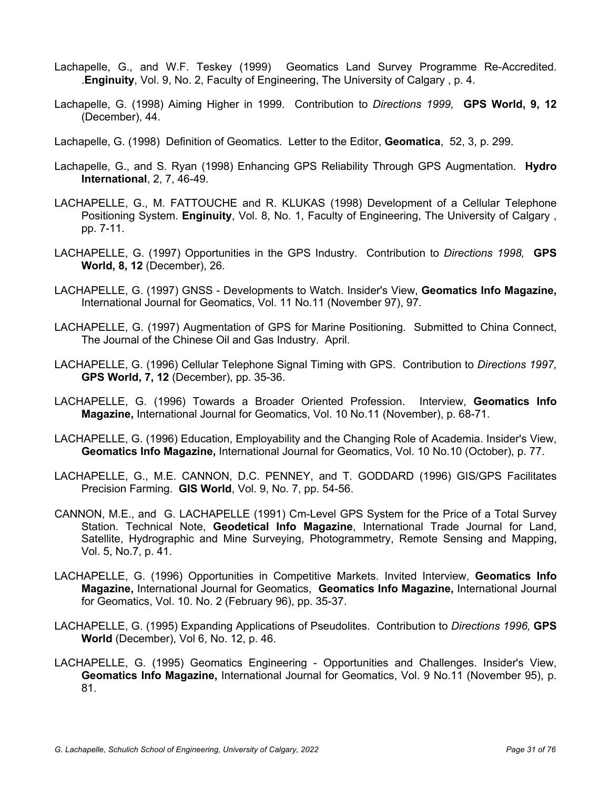- Lachapelle, G., and W.F. Teskey (1999) Geomatics Land Survey Programme Re-Accredited. .**Enginuity**, Vol. 9, No. 2, Faculty of Engineering, The University of Calgary , p. 4.
- Lachapelle, G. (1998) Aiming Higher in 1999. Contribution to *Directions 1999,* **GPS World, 9, 12** (December), 44.
- Lachapelle, G. (1998) Definition of Geomatics. Letter to the Editor, **Geomatica**, 52, 3, p. 299.
- Lachapelle, G., and S. Ryan (1998) Enhancing GPS Reliability Through GPS Augmentation. **Hydro International**, 2, 7, 46-49.
- LACHAPELLE, G., M. FATTOUCHE and R. KLUKAS (1998) Development of a Cellular Telephone Positioning System. **Enginuity**, Vol. 8, No. 1, Faculty of Engineering, The University of Calgary , pp. 7-11.
- LACHAPELLE, G. (1997) Opportunities in the GPS Industry. Contribution to *Directions 1998,* **GPS World, 8, 12** (December), 26.
- LACHAPELLE, G. (1997) GNSS Developments to Watch. Insider's View, **Geomatics Info Magazine,**  International Journal for Geomatics, Vol. 11 No.11 (November 97), 97.
- LACHAPELLE, G. (1997) Augmentation of GPS for Marine Positioning. Submitted to China Connect, The Journal of the Chinese Oil and Gas Industry. April.
- LACHAPELLE, G. (1996) Cellular Telephone Signal Timing with GPS. Contribution to *Directions 1997,*  **GPS World, 7, 12** (December), pp. 35-36.
- LACHAPELLE, G. (1996) Towards a Broader Oriented Profession. Interview, **Geomatics Info Magazine,** International Journal for Geomatics, Vol. 10 No.11 (November), p. 68-71.
- LACHAPELLE, G. (1996) Education, Employability and the Changing Role of Academia. Insider's View, **Geomatics Info Magazine,** International Journal for Geomatics, Vol. 10 No.10 (October), p. 77.
- LACHAPELLE, G., M.E. CANNON, D.C. PENNEY, and T. GODDARD (1996) GIS/GPS Facilitates Precision Farming. **GIS World**, Vol. 9, No. 7, pp. 54-56.
- CANNON, M.E., and G. LACHAPELLE (1991) Cm-Level GPS System for the Price of a Total Survey Station. Technical Note, **Geodetical Info Magazine**, International Trade Journal for Land, Satellite, Hydrographic and Mine Surveying, Photogrammetry, Remote Sensing and Mapping, Vol. 5, No.7, p. 41.
- LACHAPELLE, G. (1996) Opportunities in Competitive Markets. Invited Interview, **Geomatics Info Magazine,** International Journal for Geomatics, **Geomatics Info Magazine,** International Journal for Geomatics, Vol. 10. No. 2 (February 96), pp. 35-37.
- LACHAPELLE, G. (1995) Expanding Applications of Pseudolites. Contribution to *Directions 1996,* **GPS World** (December), Vol 6, No. 12, p. 46.
- LACHAPELLE, G. (1995) Geomatics Engineering Opportunities and Challenges. Insider's View, **Geomatics Info Magazine,** International Journal for Geomatics, Vol. 9 No.11 (November 95), p. 81.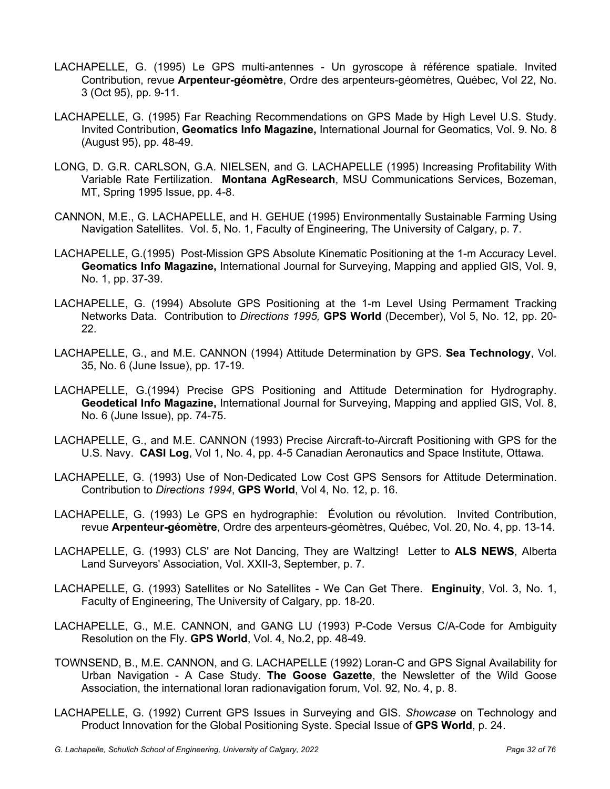- LACHAPELLE, G. (1995) Le GPS multi-antennes Un gyroscope à référence spatiale. Invited Contribution, revue **Arpenteur-géomètre**, Ordre des arpenteurs-géomètres, Québec, Vol 22, No. 3 (Oct 95), pp. 9-11.
- LACHAPELLE, G. (1995) Far Reaching Recommendations on GPS Made by High Level U.S. Study. Invited Contribution, **Geomatics Info Magazine,** International Journal for Geomatics, Vol. 9. No. 8 (August 95), pp. 48-49.
- LONG, D. G.R. CARLSON, G.A. NIELSEN, and G. LACHAPELLE (1995) Increasing Profitability With Variable Rate Fertilization. **Montana AgResearch**, MSU Communications Services, Bozeman, MT, Spring 1995 Issue, pp. 4-8.
- CANNON, M.E., G. LACHAPELLE, and H. GEHUE (1995) Environmentally Sustainable Farming Using Navigation Satellites. Vol. 5, No. 1, Faculty of Engineering, The University of Calgary, p. 7.
- LACHAPELLE, G.(1995) Post-Mission GPS Absolute Kinematic Positioning at the 1-m Accuracy Level. **Geomatics Info Magazine,** International Journal for Surveying, Mapping and applied GIS, Vol. 9, No. 1, pp. 37-39.
- LACHAPELLE, G. (1994) Absolute GPS Positioning at the 1-m Level Using Permament Tracking Networks Data. Contribution to *Directions 1995,* **GPS World** (December), Vol 5, No. 12, pp. 20- 22.
- LACHAPELLE, G., and M.E. CANNON (1994) Attitude Determination by GPS. **Sea Technology**, Vol. 35, No. 6 (June Issue), pp. 17-19.
- LACHAPELLE, G.(1994) Precise GPS Positioning and Attitude Determination for Hydrography. **Geodetical Info Magazine,** International Journal for Surveying, Mapping and applied GIS, Vol. 8, No. 6 (June Issue), pp. 74-75.
- LACHAPELLE, G., and M.E. CANNON (1993) Precise Aircraft-to-Aircraft Positioning with GPS for the U.S. Navy. **CASI Log**, Vol 1, No. 4, pp. 4-5 Canadian Aeronautics and Space Institute, Ottawa.
- LACHAPELLE, G. (1993) Use of Non-Dedicated Low Cost GPS Sensors for Attitude Determination. Contribution to *Directions 1994*, **GPS World**, Vol 4, No. 12, p. 16.
- LACHAPELLE, G. (1993) Le GPS en hydrographie: Évolution ou révolution. Invited Contribution, revue **Arpenteur-géomètre**, Ordre des arpenteurs-géomètres, Québec, Vol. 20, No. 4, pp. 13-14.
- LACHAPELLE, G. (1993) CLS' are Not Dancing, They are Waltzing! Letter to **ALS NEWS**, Alberta Land Surveyors' Association, Vol. XXII-3, September, p. 7.
- LACHAPELLE, G. (1993) Satellites or No Satellites We Can Get There. **Enginuity**, Vol. 3, No. 1, Faculty of Engineering, The University of Calgary, pp. 18-20.
- LACHAPELLE, G., M.E. CANNON, and GANG LU (1993) P-Code Versus C/A-Code for Ambiguity Resolution on the Fly. **GPS World**, Vol. 4, No.2, pp. 48-49.
- TOWNSEND, B., M.E. CANNON, and G. LACHAPELLE (1992) Loran-C and GPS Signal Availability for Urban Navigation - A Case Study. **The Goose Gazette**, the Newsletter of the Wild Goose Association, the international loran radionavigation forum, Vol. 92, No. 4, p. 8.
- LACHAPELLE, G. (1992) Current GPS Issues in Surveying and GIS. *Showcase* on Technology and Product Innovation for the Global Positioning Syste. Special Issue of **GPS World**, p. 24.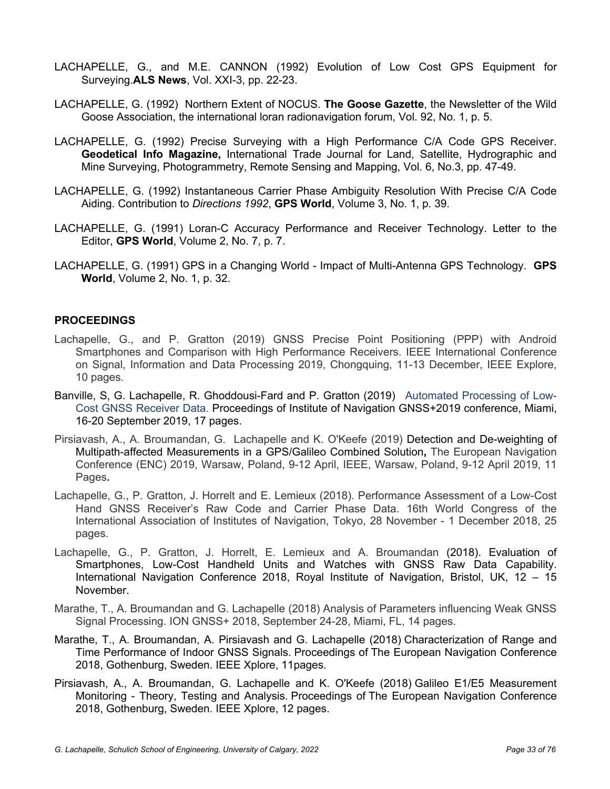- LACHAPELLE, G., and M.E. CANNON (1992) Evolution of Low Cost GPS Equipment for Surveying.**ALS News**, Vol. XXI-3, pp. 22-23.
- LACHAPELLE, G. (1992) Northern Extent of NOCUS. **The Goose Gazette**, the Newsletter of the Wild Goose Association, the international loran radionavigation forum, Vol. 92, No. 1, p. 5.
- LACHAPELLE, G. (1992) Precise Surveying with a High Performance C/A Code GPS Receiver. **Geodetical Info Magazine,** International Trade Journal for Land, Satellite, Hydrographic and Mine Surveying, Photogrammetry, Remote Sensing and Mapping, Vol. 6, No.3, pp. 47-49.
- LACHAPELLE, G. (1992) Instantaneous Carrier Phase Ambiguity Resolution With Precise C/A Code Aiding. Contribution to *Directions 1992*, **GPS World**, Volume 3, No. 1, p. 39.
- LACHAPELLE, G. (1991) Loran-C Accuracy Performance and Receiver Technology. Letter to the Editor, **GPS World**, Volume 2, No. 7, p. 7.
- LACHAPELLE, G. (1991) GPS in a Changing World Impact of Multi-Antenna GPS Technology. **GPS World**, Volume 2, No. 1, p. 32.

#### **PROCEEDINGS**

- Lachapelle, G., and P. Gratton (2019) GNSS Precise Point Positioning (PPP) with Android Smartphones and Comparison with High Performance Receivers. IEEE International Conference on Signal, Information and Data Processing 2019, Chongquing, 11-13 December, IEEE Explore, 10 pages.
- Banville, S, G. Lachapelle, R. Ghoddousi-Fard and P. Gratton (2019) Automated Processing of Low-Cost GNSS Receiver Data. Proceedings of Institute of Navigation GNSS+2019 conference, Miami, 16-20 September 2019, 17 pages.
- Pirsiavash, A., A. Broumandan, G. Lachapelle and K. O'Keefe (2019) Detection and De-weighting of Multipath-affected Measurements in a GPS/Galileo Combined Solution**,** The European Navigation Conference (ENC) 2019, Warsaw, Poland, 9-12 April, IEEE, Warsaw, Poland, 9-12 April 2019, 11 Pages**.**
- Lachapelle, G., P. Gratton, J. Horrelt and E. Lemieux (2018). Performance Assessment of a Low-Cost Hand GNSS Receiver's Raw Code and Carrier Phase Data. 16th World Congress of the International Association of Institutes of Navigation, Tokyo, 28 November - 1 December 2018, 25 pages.
- Lachapelle, G., P. Gratton, J. Horrelt, E. Lemieux and A. Broumandan (2018). Evaluation of Smartphones, Low-Cost Handheld Units and Watches with GNSS Raw Data Capability. International Navigation Conference 2018, Royal Institute of Navigation, Bristol, UK, 12 – 15 November.
- Marathe, T., A. Broumandan and G. Lachapelle (2018) Analysis of Parameters influencing Weak GNSS Signal Processing. ION GNSS+ 2018, September 24-28, Miami, FL, 14 pages.
- Marathe, T., A. Broumandan, A. Pirsiavash and G. Lachapelle (2018) Characterization of Range and Time Performance of Indoor GNSS Signals. Proceedings of The European Navigation Conference 2018, Gothenburg, Sweden. IEEE Xplore, 11pages.
- Pirsiavash, A., A. Broumandan, G. Lachapelle and K. O'Keefe (2018) Galileo E1/E5 Measurement Monitoring - Theory, Testing and Analysis. Proceedings of The European Navigation Conference 2018, Gothenburg, Sweden. IEEE Xplore, 12 pages.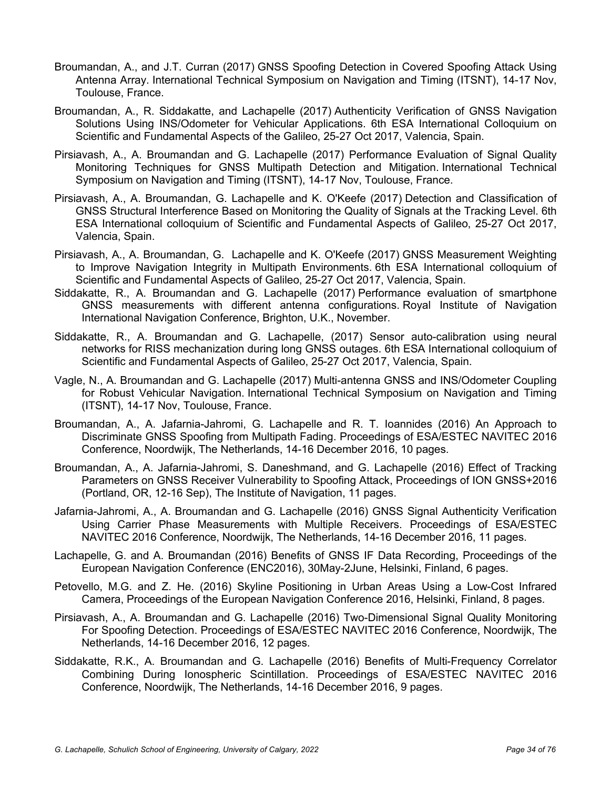- Broumandan, A., and J.T. Curran (2017) GNSS Spoofing Detection in Covered Spoofing Attack Using Antenna Array. International Technical Symposium on Navigation and Timing (ITSNT), 14-17 Nov, Toulouse, France.
- Broumandan, A., R. Siddakatte, and Lachapelle (2017) Authenticity Verification of GNSS Navigation Solutions Using INS/Odometer for Vehicular Applications. 6th ESA International Colloquium on Scientific and Fundamental Aspects of the Galileo, 25-27 Oct 2017, Valencia, Spain.
- Pirsiavash, A., A. Broumandan and G. Lachapelle (2017) Performance Evaluation of Signal Quality Monitoring Techniques for GNSS Multipath Detection and Mitigation. International Technical Symposium on Navigation and Timing (ITSNT), 14-17 Nov, Toulouse, France.
- Pirsiavash, A., A. Broumandan, G. Lachapelle and K. O'Keefe (2017) Detection and Classification of GNSS Structural Interference Based on Monitoring the Quality of Signals at the Tracking Level. 6th ESA International colloquium of Scientific and Fundamental Aspects of Galileo, 25-27 Oct 2017, Valencia, Spain.
- Pirsiavash, A., A. Broumandan, G. Lachapelle and K. O'Keefe (2017) GNSS Measurement Weighting to Improve Navigation Integrity in Multipath Environments. 6th ESA International colloquium of Scientific and Fundamental Aspects of Galileo, 25-27 Oct 2017, Valencia, Spain.
- Siddakatte, R., A. Broumandan and G. Lachapelle (2017) Performance evaluation of smartphone GNSS measurements with different antenna configurations. Royal Institute of Navigation International Navigation Conference, Brighton, U.K., November.
- Siddakatte, R., A. Broumandan and G. Lachapelle, (2017) Sensor auto-calibration using neural networks for RISS mechanization during long GNSS outages. 6th ESA International colloquium of Scientific and Fundamental Aspects of Galileo, 25-27 Oct 2017, Valencia, Spain.
- Vagle, N., A. Broumandan and G. Lachapelle (2017) Multi-antenna GNSS and INS/Odometer Coupling for Robust Vehicular Navigation. International Technical Symposium on Navigation and Timing (ITSNT), 14-17 Nov, Toulouse, France.
- Broumandan, A., A. Jafarnia-Jahromi, G. Lachapelle and R. T. Ioannides (2016) An Approach to Discriminate GNSS Spoofing from Multipath Fading. Proceedings of ESA/ESTEC NAVITEC 2016 Conference, Noordwijk, The Netherlands, 14-16 December 2016, 10 pages.
- Broumandan, A., A. Jafarnia-Jahromi, S. Daneshmand, and G. Lachapelle (2016) Effect of Tracking Parameters on GNSS Receiver Vulnerability to Spoofing Attack, Proceedings of ION GNSS+2016 (Portland, OR, 12-16 Sep), The Institute of Navigation, 11 pages.
- Jafarnia-Jahromi, A., A. Broumandan and G. Lachapelle (2016) GNSS Signal Authenticity Verification Using Carrier Phase Measurements with Multiple Receivers. Proceedings of ESA/ESTEC NAVITEC 2016 Conference, Noordwijk, The Netherlands, 14-16 December 2016, 11 pages.
- Lachapelle, G. and A. Broumandan (2016) Benefits of GNSS IF Data Recording, Proceedings of the European Navigation Conference (ENC2016), 30May-2June, Helsinki, Finland, 6 pages.
- Petovello, M.G. and Z. He. (2016) Skyline Positioning in Urban Areas Using a Low-Cost Infrared Camera, Proceedings of the European Navigation Conference 2016, Helsinki, Finland, 8 pages.
- Pirsiavash, A., A. Broumandan and G. Lachapelle (2016) Two-Dimensional Signal Quality Monitoring For Spoofing Detection. Proceedings of ESA/ESTEC NAVITEC 2016 Conference, Noordwijk, The Netherlands, 14-16 December 2016, 12 pages.
- Siddakatte, R.K., A. Broumandan and G. Lachapelle (2016) Benefits of Multi-Frequency Correlator Combining During Ionospheric Scintillation. Proceedings of ESA/ESTEC NAVITEC 2016 Conference, Noordwijk, The Netherlands, 14-16 December 2016, 9 pages.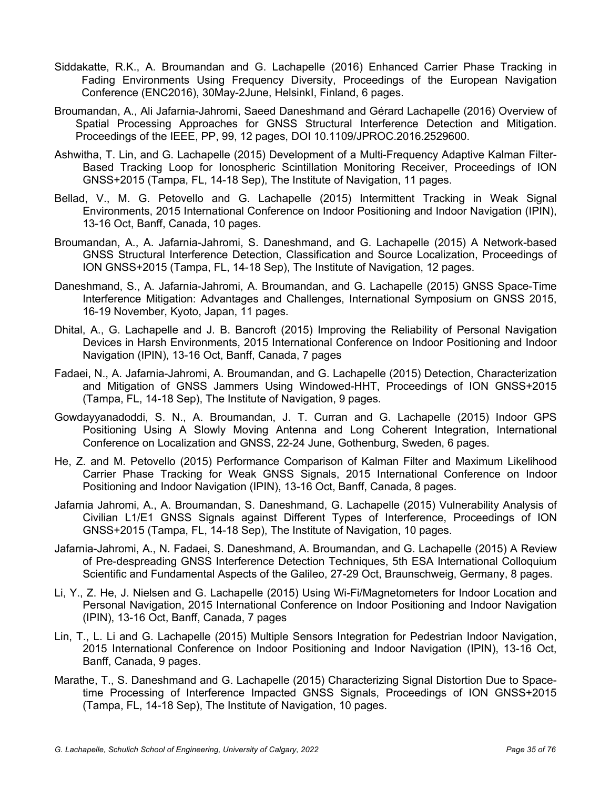- Siddakatte, R.K., A. Broumandan and G. Lachapelle (2016) Enhanced Carrier Phase Tracking in Fading Environments Using Frequency Diversity, Proceedings of the European Navigation Conference (ENC2016), 30May-2June, HelsinkI, Finland, 6 pages.
- Broumandan, A., Ali Jafarnia-Jahromi, Saeed Daneshmand and Gérard Lachapelle (2016) Overview of Spatial Processing Approaches for GNSS Structural Interference Detection and Mitigation. Proceedings of the IEEE, PP, 99, 12 pages, DOI 10.1109/JPROC.2016.2529600.
- Ashwitha, T. Lin, and G. Lachapelle (2015) Development of a Multi-Frequency Adaptive Kalman Filter-Based Tracking Loop for Ionospheric Scintillation Monitoring Receiver, Proceedings of ION GNSS+2015 (Tampa, FL, 14-18 Sep), The Institute of Navigation, 11 pages.
- Bellad, V., M. G. Petovello and G. Lachapelle (2015) Intermittent Tracking in Weak Signal Environments, 2015 International Conference on Indoor Positioning and Indoor Navigation (IPIN), 13-16 Oct, Banff, Canada, 10 pages.
- Broumandan, A., A. Jafarnia-Jahromi, S. Daneshmand, and G. Lachapelle (2015) A Network-based GNSS Structural Interference Detection, Classification and Source Localization, Proceedings of ION GNSS+2015 (Tampa, FL, 14-18 Sep), The Institute of Navigation, 12 pages.
- Daneshmand, S., A. Jafarnia-Jahromi, A. Broumandan, and G. Lachapelle (2015) GNSS Space-Time Interference Mitigation: Advantages and Challenges, International Symposium on GNSS 2015, 16-19 November, Kyoto, Japan, 11 pages.
- Dhital, A., G. Lachapelle and J. B. Bancroft (2015) Improving the Reliability of Personal Navigation Devices in Harsh Environments, 2015 International Conference on Indoor Positioning and Indoor Navigation (IPIN), 13-16 Oct, Banff, Canada, 7 pages
- Fadaei, N., A. Jafarnia-Jahromi, A. Broumandan, and G. Lachapelle (2015) Detection, Characterization and Mitigation of GNSS Jammers Using Windowed-HHT, Proceedings of ION GNSS+2015 (Tampa, FL, 14-18 Sep), The Institute of Navigation, 9 pages.
- Gowdayyanadoddi, S. N., A. Broumandan, J. T. Curran and G. Lachapelle (2015) Indoor GPS Positioning Using A Slowly Moving Antenna and Long Coherent Integration, International Conference on Localization and GNSS, 22-24 June, Gothenburg, Sweden, 6 pages.
- He, Z. and M. Petovello (2015) Performance Comparison of Kalman Filter and Maximum Likelihood Carrier Phase Tracking for Weak GNSS Signals, 2015 International Conference on Indoor Positioning and Indoor Navigation (IPIN), 13-16 Oct, Banff, Canada, 8 pages.
- Jafarnia Jahromi, A., A. Broumandan, S. Daneshmand, G. Lachapelle (2015) Vulnerability Analysis of Civilian L1/E1 GNSS Signals against Different Types of Interference, Proceedings of ION GNSS+2015 (Tampa, FL, 14-18 Sep), The Institute of Navigation, 10 pages.
- Jafarnia-Jahromi, A., N. Fadaei, S. Daneshmand, A. Broumandan, and G. Lachapelle (2015) A Review of Pre-despreading GNSS Interference Detection Techniques, 5th ESA International Colloquium Scientific and Fundamental Aspects of the Galileo, 27-29 Oct, Braunschweig, Germany, 8 pages.
- Li, Y., Z. He, J. Nielsen and G. Lachapelle (2015) Using Wi-Fi/Magnetometers for Indoor Location and Personal Navigation, 2015 International Conference on Indoor Positioning and Indoor Navigation (IPIN), 13-16 Oct, Banff, Canada, 7 pages
- Lin, T., L. Li and G. Lachapelle (2015) Multiple Sensors Integration for Pedestrian Indoor Navigation, 2015 International Conference on Indoor Positioning and Indoor Navigation (IPIN), 13-16 Oct, Banff, Canada, 9 pages.
- Marathe, T., S. Daneshmand and G. Lachapelle (2015) Characterizing Signal Distortion Due to Spacetime Processing of Interference Impacted GNSS Signals, Proceedings of ION GNSS+2015 (Tampa, FL, 14-18 Sep), The Institute of Navigation, 10 pages.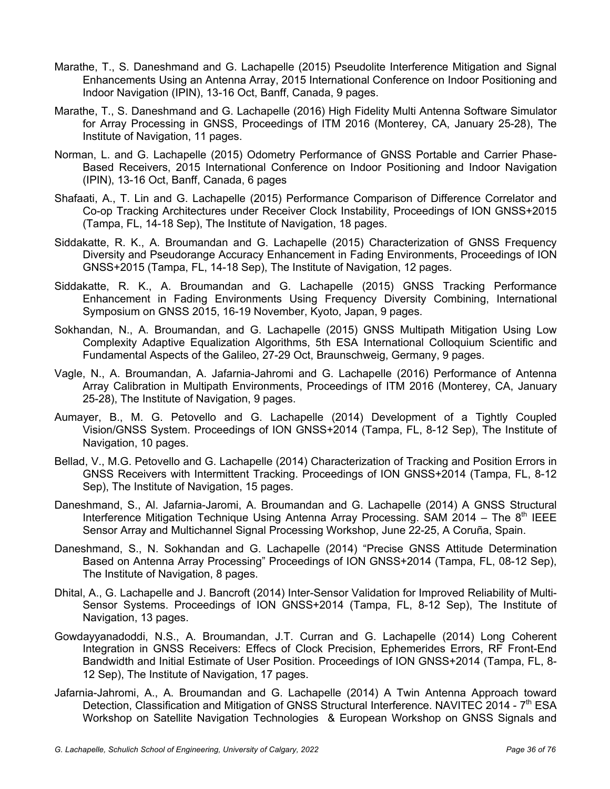- Marathe, T., S. Daneshmand and G. Lachapelle (2015) Pseudolite Interference Mitigation and Signal Enhancements Using an Antenna Array, 2015 International Conference on Indoor Positioning and Indoor Navigation (IPIN), 13-16 Oct, Banff, Canada, 9 pages.
- Marathe, T., S. Daneshmand and G. Lachapelle (2016) High Fidelity Multi Antenna Software Simulator for Array Processing in GNSS, Proceedings of ITM 2016 (Monterey, CA, January 25-28), The Institute of Navigation, 11 pages.
- Norman, L. and G. Lachapelle (2015) Odometry Performance of GNSS Portable and Carrier Phase-Based Receivers, 2015 International Conference on Indoor Positioning and Indoor Navigation (IPIN), 13-16 Oct, Banff, Canada, 6 pages
- Shafaati, A., T. Lin and G. Lachapelle (2015) Performance Comparison of Difference Correlator and Co-op Tracking Architectures under Receiver Clock Instability, Proceedings of ION GNSS+2015 (Tampa, FL, 14-18 Sep), The Institute of Navigation, 18 pages.
- Siddakatte, R. K., A. Broumandan and G. Lachapelle (2015) Characterization of GNSS Frequency Diversity and Pseudorange Accuracy Enhancement in Fading Environments, Proceedings of ION GNSS+2015 (Tampa, FL, 14-18 Sep), The Institute of Navigation, 12 pages.
- Siddakatte, R. K., A. Broumandan and G. Lachapelle (2015) GNSS Tracking Performance Enhancement in Fading Environments Using Frequency Diversity Combining, International Symposium on GNSS 2015, 16-19 November, Kyoto, Japan, 9 pages.
- Sokhandan, N., A. Broumandan, and G. Lachapelle (2015) GNSS Multipath Mitigation Using Low Complexity Adaptive Equalization Algorithms, 5th ESA International Colloquium Scientific and Fundamental Aspects of the Galileo, 27-29 Oct, Braunschweig, Germany, 9 pages.
- Vagle, N., A. Broumandan, A. Jafarnia-Jahromi and G. Lachapelle (2016) Performance of Antenna Array Calibration in Multipath Environments, Proceedings of ITM 2016 (Monterey, CA, January 25-28), The Institute of Navigation, 9 pages.
- Aumayer, B., M. G. Petovello and G. Lachapelle (2014) Development of a Tightly Coupled Vision/GNSS System. Proceedings of ION GNSS+2014 (Tampa, FL, 8-12 Sep), The Institute of Navigation, 10 pages.
- Bellad, V., M.G. Petovello and G. Lachapelle (2014) Characterization of Tracking and Position Errors in GNSS Receivers with Intermittent Tracking. Proceedings of ION GNSS+2014 (Tampa, FL, 8-12 Sep), The Institute of Navigation, 15 pages.
- Daneshmand, S., Al. Jafarnia-Jaromi, A. Broumandan and G. Lachapelle (2014) A GNSS Structural Interference Mitigation Technique Using Antenna Array Processing. SAM 2014 – The  $8<sup>th</sup>$  IEEE Sensor Array and Multichannel Signal Processing Workshop, June 22-25, A Coruña, Spain.
- Daneshmand, S., N. Sokhandan and G. Lachapelle (2014) "Precise GNSS Attitude Determination Based on Antenna Array Processing" Proceedings of ION GNSS+2014 (Tampa, FL, 08-12 Sep), The Institute of Navigation, 8 pages.
- Dhital, A., G. Lachapelle and J. Bancroft (2014) Inter-Sensor Validation for Improved Reliability of Multi-Sensor Systems. Proceedings of ION GNSS+2014 (Tampa, FL, 8-12 Sep), The Institute of Navigation, 13 pages.
- Gowdayyanadoddi, N.S., A. Broumandan, J.T. Curran and G. Lachapelle (2014) Long Coherent Integration in GNSS Receivers: Effecs of Clock Precision, Ephemerides Errors, RF Front-End Bandwidth and Initial Estimate of User Position. Proceedings of ION GNSS+2014 (Tampa, FL, 8- 12 Sep), The Institute of Navigation, 17 pages.
- Jafarnia-Jahromi, A., A. Broumandan and G. Lachapelle (2014) A Twin Antenna Approach toward Detection, Classification and Mitigation of GNSS Structural Interference. NAVITEC 2014 - 7<sup>th</sup> ESA Workshop on Satellite Navigation Technologies & European Workshop on GNSS Signals and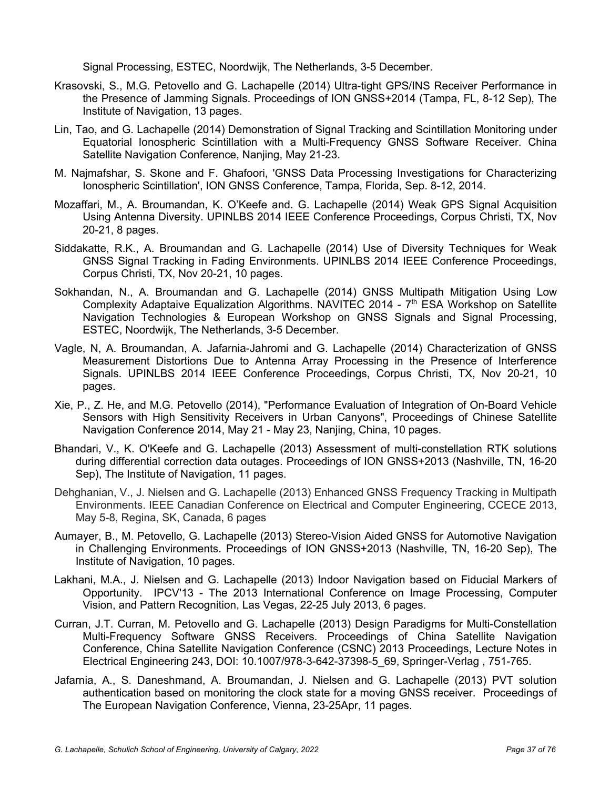Signal Processing, ESTEC, Noordwijk, The Netherlands, 3-5 December.

- Krasovski, S., M.G. Petovello and G. Lachapelle (2014) Ultra-tight GPS/INS Receiver Performance in the Presence of Jamming Signals. Proceedings of ION GNSS+2014 (Tampa, FL, 8-12 Sep), The Institute of Navigation, 13 pages.
- Lin, Tao, and G. Lachapelle (2014) Demonstration of Signal Tracking and Scintillation Monitoring under Equatorial Ionospheric Scintillation with a Multi-Frequency GNSS Software Receiver. China Satellite Navigation Conference, Nanjing, May 21-23.
- M. Najmafshar, S. Skone and F. Ghafoori, 'GNSS Data Processing Investigations for Characterizing Ionospheric Scintillation', ION GNSS Conference, Tampa, Florida, Sep. 8-12, 2014.
- Mozaffari, M., A. Broumandan, K. O'Keefe and. G. Lachapelle (2014) Weak GPS Signal Acquisition Using Antenna Diversity. UPINLBS 2014 IEEE Conference Proceedings, Corpus Christi, TX, Nov 20-21, 8 pages.
- Siddakatte, R.K., A. Broumandan and G. Lachapelle (2014) Use of Diversity Techniques for Weak GNSS Signal Tracking in Fading Environments. UPINLBS 2014 IEEE Conference Proceedings, Corpus Christi, TX, Nov 20-21, 10 pages.
- Sokhandan, N., A. Broumandan and G. Lachapelle (2014) GNSS Multipath Mitigation Using Low Complexity Adaptaive Equalization Algorithms. NAVITEC 2014 -  $7<sup>th</sup>$  ESA Workshop on Satellite Navigation Technologies & European Workshop on GNSS Signals and Signal Processing, ESTEC, Noordwijk, The Netherlands, 3-5 December.
- Vagle, N, A. Broumandan, A. Jafarnia-Jahromi and G. Lachapelle (2014) Characterization of GNSS Measurement Distortions Due to Antenna Array Processing in the Presence of Interference Signals. UPINLBS 2014 IEEE Conference Proceedings, Corpus Christi, TX, Nov 20-21, 10 pages.
- Xie, P., Z. He, and M.G. Petovello (2014), "Performance Evaluation of Integration of On-Board Vehicle Sensors with High Sensitivity Receivers in Urban Canyons", Proceedings of Chinese Satellite Navigation Conference 2014, May 21 - May 23, Nanjing, China, 10 pages.
- Bhandari, V., K. O'Keefe and G. Lachapelle (2013) Assessment of multi-constellation RTK solutions during differential correction data outages. Proceedings of ION GNSS+2013 (Nashville, TN, 16-20 Sep), The Institute of Navigation, 11 pages.
- Dehghanian, V., J. Nielsen and G. Lachapelle (2013) Enhanced GNSS Frequency Tracking in Multipath Environments. IEEE Canadian Conference on Electrical and Computer Engineering, CCECE 2013, May 5-8, Regina, SK, Canada, 6 pages
- Aumayer, B., M. Petovello, G. Lachapelle (2013) Stereo-Vision Aided GNSS for Automotive Navigation in Challenging Environments. Proceedings of ION GNSS+2013 (Nashville, TN, 16-20 Sep), The Institute of Navigation, 10 pages.
- Lakhani, M.A., J. Nielsen and G. Lachapelle (2013) Indoor Navigation based on Fiducial Markers of Opportunity. IPCV'13 - The 2013 International Conference on Image Processing, Computer Vision, and Pattern Recognition, Las Vegas, 22-25 July 2013, 6 pages.
- Curran, J.T. Curran, M. Petovello and G. Lachapelle (2013) Design Paradigms for Multi-Constellation Multi-Frequency Software GNSS Receivers. Proceedings of China Satellite Navigation Conference, China Satellite Navigation Conference (CSNC) 2013 Proceedings, Lecture Notes in Electrical Engineering 243, DOI: 10.1007/978-3-642-37398-5\_69, Springer-Verlag , 751-765.
- Jafarnia, A., S. Daneshmand, A. Broumandan, J. Nielsen and G. Lachapelle (2013) PVT solution authentication based on monitoring the clock state for a moving GNSS receiver. Proceedings of The European Navigation Conference, Vienna, 23-25Apr, 11 pages.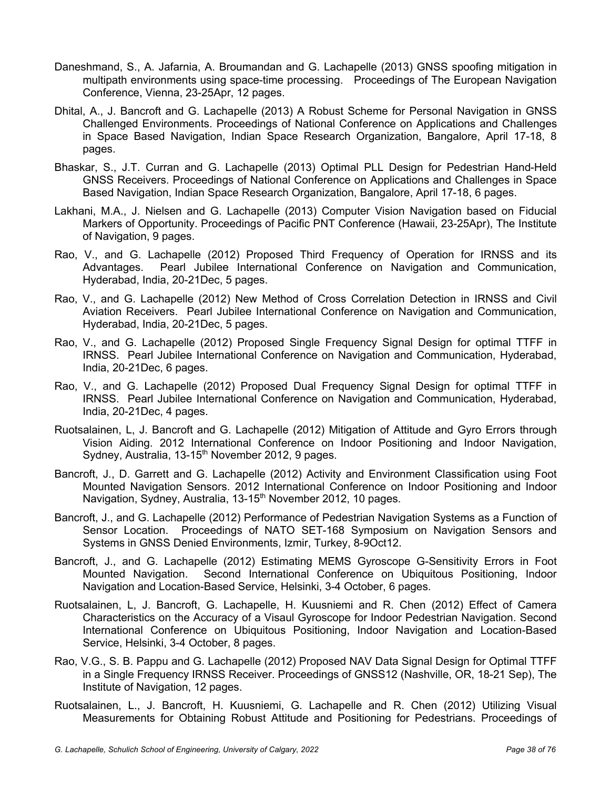- Daneshmand, S., A. Jafarnia, A. Broumandan and G. Lachapelle (2013) GNSS spoofing mitigation in multipath environments using space-time processing. Proceedings of The European Navigation Conference, Vienna, 23-25Apr, 12 pages.
- Dhital, A., J. Bancroft and G. Lachapelle (2013) A Robust Scheme for Personal Navigation in GNSS Challenged Environments. Proceedings of National Conference on Applications and Challenges in Space Based Navigation, Indian Space Research Organization, Bangalore, April 17-18, 8 pages.
- Bhaskar, S., J.T. Curran and G. Lachapelle (2013) Optimal PLL Design for Pedestrian Hand-Held GNSS Receivers. Proceedings of National Conference on Applications and Challenges in Space Based Navigation, Indian Space Research Organization, Bangalore, April 17-18, 6 pages.
- Lakhani, M.A., J. Nielsen and G. Lachapelle (2013) Computer Vision Navigation based on Fiducial Markers of Opportunity. Proceedings of Pacific PNT Conference (Hawaii, 23-25Apr), The Institute of Navigation, 9 pages.
- Rao, V., and G. Lachapelle (2012) Proposed Third Frequency of Operation for IRNSS and its Advantages. Pearl Jubilee International Conference on Navigation and Communication, Hyderabad, India, 20-21Dec, 5 pages.
- Rao, V., and G. Lachapelle (2012) New Method of Cross Correlation Detection in IRNSS and Civil Aviation Receivers. Pearl Jubilee International Conference on Navigation and Communication, Hyderabad, India, 20-21Dec, 5 pages.
- Rao, V., and G. Lachapelle (2012) Proposed Single Frequency Signal Design for optimal TTFF in IRNSS. Pearl Jubilee International Conference on Navigation and Communication, Hyderabad, India, 20-21Dec, 6 pages.
- Rao, V., and G. Lachapelle (2012) Proposed Dual Frequency Signal Design for optimal TTFF in IRNSS. Pearl Jubilee International Conference on Navigation and Communication, Hyderabad, India, 20-21Dec, 4 pages.
- Ruotsalainen, L, J. Bancroft and G. Lachapelle (2012) Mitigation of Attitude and Gyro Errors through Vision Aiding. 2012 International Conference on Indoor Positioning and Indoor Navigation, Sydney, Australia, 13-15<sup>th</sup> November 2012, 9 pages.
- Bancroft, J., D. Garrett and G. Lachapelle (2012) Activity and Environment Classification using Foot Mounted Navigation Sensors. 2012 International Conference on Indoor Positioning and Indoor Navigation, Sydney, Australia, 13-15<sup>th</sup> November 2012, 10 pages.
- Bancroft, J., and G. Lachapelle (2012) Performance of Pedestrian Navigation Systems as a Function of Sensor Location. Proceedings of NATO SET-168 Symposium on Navigation Sensors and Systems in GNSS Denied Environments, Izmir, Turkey, 8-9Oct12.
- Bancroft, J., and G. Lachapelle (2012) Estimating MEMS Gyroscope G-Sensitivity Errors in Foot Mounted Navigation. Second International Conference on Ubiquitous Positioning, Indoor Navigation and Location-Based Service, Helsinki, 3-4 October, 6 pages.
- Ruotsalainen, L, J. Bancroft, G. Lachapelle, H. Kuusniemi and R. Chen (2012) Effect of Camera Characteristics on the Accuracy of a Visaul Gyroscope for Indoor Pedestrian Navigation. Second International Conference on Ubiquitous Positioning, Indoor Navigation and Location-Based Service, Helsinki, 3-4 October, 8 pages.
- Rao, V.G., S. B. Pappu and G. Lachapelle (2012) Proposed NAV Data Signal Design for Optimal TTFF in a Single Frequency IRNSS Receiver. Proceedings of GNSS12 (Nashville, OR, 18-21 Sep), The Institute of Navigation, 12 pages.
- Ruotsalainen, L., J. Bancroft, H. Kuusniemi, G. Lachapelle and R. Chen (2012) Utilizing Visual Measurements for Obtaining Robust Attitude and Positioning for Pedestrians. Proceedings of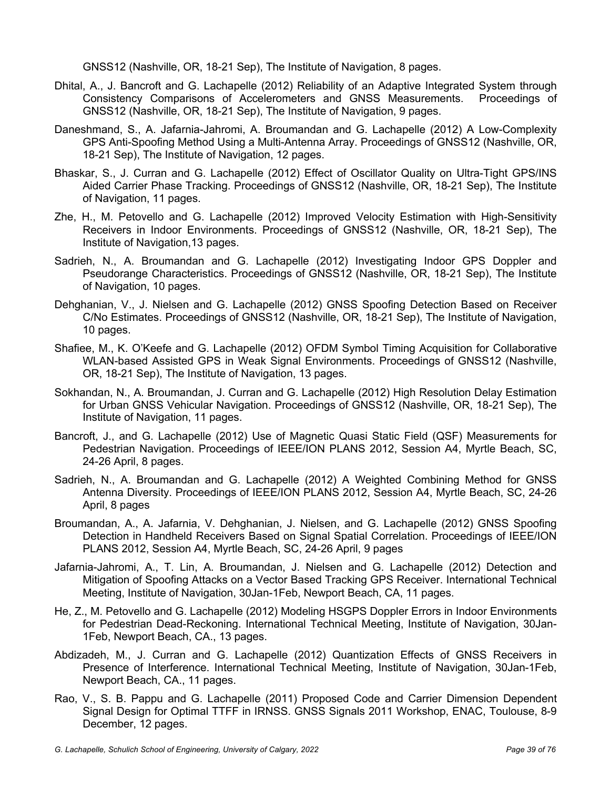GNSS12 (Nashville, OR, 18-21 Sep), The Institute of Navigation, 8 pages.

- Dhital, A., J. Bancroft and G. Lachapelle (2012) Reliability of an Adaptive Integrated System through Consistency Comparisons of Accelerometers and GNSS Measurements. Proceedings of GNSS12 (Nashville, OR, 18-21 Sep), The Institute of Navigation, 9 pages.
- Daneshmand, S., A. Jafarnia-Jahromi, A. Broumandan and G. Lachapelle (2012) A Low-Complexity GPS Anti-Spoofing Method Using a Multi-Antenna Array. Proceedings of GNSS12 (Nashville, OR, 18-21 Sep), The Institute of Navigation, 12 pages.
- Bhaskar, S., J. Curran and G. Lachapelle (2012) Effect of Oscillator Quality on Ultra-Tight GPS/INS Aided Carrier Phase Tracking. Proceedings of GNSS12 (Nashville, OR, 18-21 Sep), The Institute of Navigation, 11 pages.
- Zhe, H., M. Petovello and G. Lachapelle (2012) Improved Velocity Estimation with High-Sensitivity Receivers in Indoor Environments. Proceedings of GNSS12 (Nashville, OR, 18-21 Sep), The Institute of Navigation,13 pages.
- Sadrieh, N., A. Broumandan and G. Lachapelle (2012) Investigating Indoor GPS Doppler and Pseudorange Characteristics. Proceedings of GNSS12 (Nashville, OR, 18-21 Sep), The Institute of Navigation, 10 pages.
- Dehghanian, V., J. Nielsen and G. Lachapelle (2012) GNSS Spoofing Detection Based on Receiver C/No Estimates. Proceedings of GNSS12 (Nashville, OR, 18-21 Sep), The Institute of Navigation, 10 pages.
- Shafiee, M., K. O'Keefe and G. Lachapelle (2012) OFDM Symbol Timing Acquisition for Collaborative WLAN-based Assisted GPS in Weak Signal Environments. Proceedings of GNSS12 (Nashville, OR, 18-21 Sep), The Institute of Navigation, 13 pages.
- Sokhandan, N., A. Broumandan, J. Curran and G. Lachapelle (2012) High Resolution Delay Estimation for Urban GNSS Vehicular Navigation. Proceedings of GNSS12 (Nashville, OR, 18-21 Sep), The Institute of Navigation, 11 pages.
- Bancroft, J., and G. Lachapelle (2012) Use of Magnetic Quasi Static Field (QSF) Measurements for Pedestrian Navigation. Proceedings of IEEE/ION PLANS 2012, Session A4, Myrtle Beach, SC, 24-26 April, 8 pages.
- Sadrieh, N., A. Broumandan and G. Lachapelle (2012) A Weighted Combining Method for GNSS Antenna Diversity. Proceedings of IEEE/ION PLANS 2012, Session A4, Myrtle Beach, SC, 24-26 April, 8 pages
- Broumandan, A., A. Jafarnia, V. Dehghanian, J. Nielsen, and G. Lachapelle (2012) GNSS Spoofing Detection in Handheld Receivers Based on Signal Spatial Correlation. Proceedings of IEEE/ION PLANS 2012, Session A4, Myrtle Beach, SC, 24-26 April, 9 pages
- Jafarnia-Jahromi, A., T. Lin, A. Broumandan, J. Nielsen and G. Lachapelle (2012) Detection and Mitigation of Spoofing Attacks on a Vector Based Tracking GPS Receiver. International Technical Meeting, Institute of Navigation, 30Jan-1Feb, Newport Beach, CA, 11 pages.
- He, Z., M. Petovello and G. Lachapelle (2012) Modeling HSGPS Doppler Errors in Indoor Environments for Pedestrian Dead-Reckoning. International Technical Meeting, Institute of Navigation, 30Jan-1Feb, Newport Beach, CA., 13 pages.
- Abdizadeh, M., J. Curran and G. Lachapelle (2012) Quantization Effects of GNSS Receivers in Presence of Interference. International Technical Meeting, Institute of Navigation, 30Jan-1Feb, Newport Beach, CA., 11 pages.
- Rao, V., S. B. Pappu and G. Lachapelle (2011) Proposed Code and Carrier Dimension Dependent Signal Design for Optimal TTFF in IRNSS. GNSS Signals 2011 Workshop, ENAC, Toulouse, 8-9 December, 12 pages.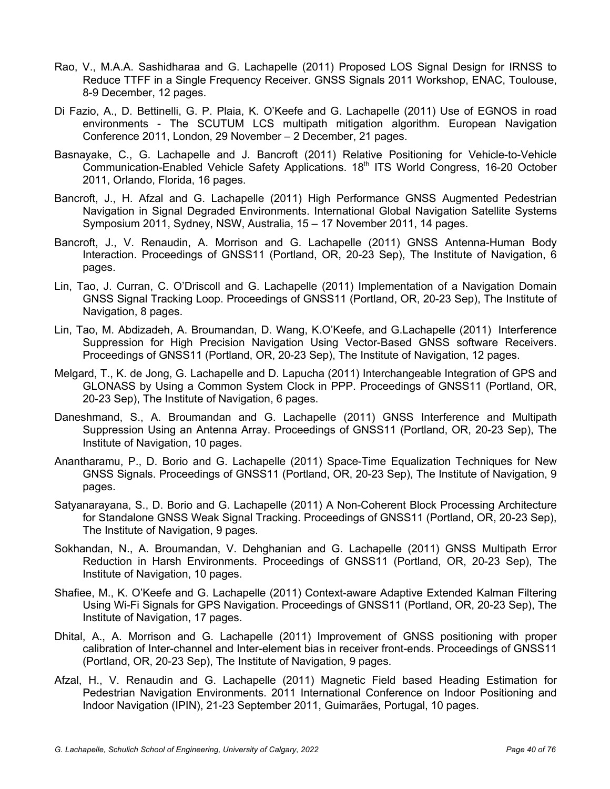- Rao, V., M.A.A. Sashidharaa and G. Lachapelle (2011) Proposed LOS Signal Design for IRNSS to Reduce TTFF in a Single Frequency Receiver. GNSS Signals 2011 Workshop, ENAC, Toulouse, 8-9 December, 12 pages.
- Di Fazio, A., D. Bettinelli, G. P. Plaia, K. O'Keefe and G. Lachapelle (2011) Use of EGNOS in road environments - The SCUTUM LCS multipath mitigation algorithm. European Navigation Conference 2011, London, 29 November – 2 December, 21 pages.
- Basnayake, C., G. Lachapelle and J. Bancroft (2011) Relative Positioning for Vehicle-to-Vehicle Communication-Enabled Vehicle Safety Applications. 18<sup>th</sup> ITS World Congress, 16-20 October 2011, Orlando, Florida, 16 pages.
- Bancroft, J., H. Afzal and G. Lachapelle (2011) High Performance GNSS Augmented Pedestrian Navigation in Signal Degraded Environments. International Global Navigation Satellite Systems Symposium 2011, Sydney, NSW, Australia, 15 – 17 November 2011, 14 pages.
- Bancroft, J., V. Renaudin, A. Morrison and G. Lachapelle (2011) GNSS Antenna-Human Body Interaction. Proceedings of GNSS11 (Portland, OR, 20-23 Sep), The Institute of Navigation, 6 pages.
- Lin, Tao, J. Curran, C. O'Driscoll and G. Lachapelle (2011) Implementation of a Navigation Domain GNSS Signal Tracking Loop. Proceedings of GNSS11 (Portland, OR, 20-23 Sep), The Institute of Navigation, 8 pages.
- Lin, Tao, M. Abdizadeh, A. Broumandan, D. Wang, K.O'Keefe, and G.Lachapelle (2011) Interference Suppression for High Precision Navigation Using Vector-Based GNSS software Receivers. Proceedings of GNSS11 (Portland, OR, 20-23 Sep), The Institute of Navigation, 12 pages.
- Melgard, T., K. de Jong, G. Lachapelle and D. Lapucha (2011) Interchangeable Integration of GPS and GLONASS by Using a Common System Clock in PPP. Proceedings of GNSS11 (Portland, OR, 20-23 Sep), The Institute of Navigation, 6 pages.
- Daneshmand, S., A. Broumandan and G. Lachapelle (2011) GNSS Interference and Multipath Suppression Using an Antenna Array. Proceedings of GNSS11 (Portland, OR, 20-23 Sep), The Institute of Navigation, 10 pages.
- Anantharamu, P., D. Borio and G. Lachapelle (2011) Space-Time Equalization Techniques for New GNSS Signals. Proceedings of GNSS11 (Portland, OR, 20-23 Sep), The Institute of Navigation, 9 pages.
- Satyanarayana, S., D. Borio and G. Lachapelle (2011) A Non-Coherent Block Processing Architecture for Standalone GNSS Weak Signal Tracking. Proceedings of GNSS11 (Portland, OR, 20-23 Sep), The Institute of Navigation, 9 pages.
- Sokhandan, N., A. Broumandan, V. Dehghanian and G. Lachapelle (2011) GNSS Multipath Error Reduction in Harsh Environments. Proceedings of GNSS11 (Portland, OR, 20-23 Sep), The Institute of Navigation, 10 pages.
- Shafiee, M., K. O'Keefe and G. Lachapelle (2011) Context-aware Adaptive Extended Kalman Filtering Using Wi-Fi Signals for GPS Navigation. Proceedings of GNSS11 (Portland, OR, 20-23 Sep), The Institute of Navigation, 17 pages.
- Dhital, A., A. Morrison and G. Lachapelle (2011) Improvement of GNSS positioning with proper calibration of Inter-channel and Inter-element bias in receiver front-ends. Proceedings of GNSS11 (Portland, OR, 20-23 Sep), The Institute of Navigation, 9 pages.
- Afzal, H., V. Renaudin and G. Lachapelle (2011) Magnetic Field based Heading Estimation for Pedestrian Navigation Environments. 2011 International Conference on Indoor Positioning and Indoor Navigation (IPIN), 21-23 September 2011, Guimarães, Portugal, 10 pages.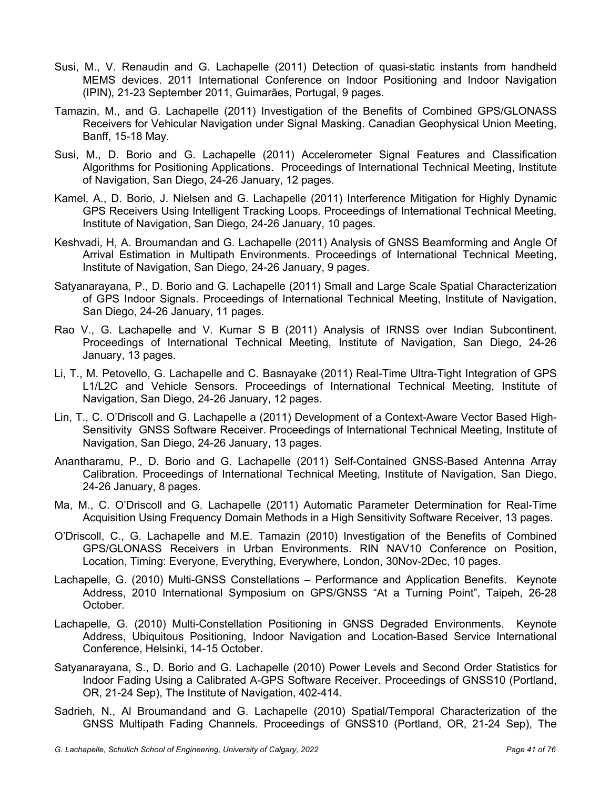- Susi, M., V. Renaudin and G. Lachapelle (2011) Detection of quasi-static instants from handheld MEMS devices. 2011 International Conference on Indoor Positioning and Indoor Navigation (IPIN), 21-23 September 2011, Guimarães, Portugal, 9 pages.
- Tamazin, M., and G. Lachapelle (2011) Investigation of the Benefits of Combined GPS/GLONASS Receivers for Vehicular Navigation under Signal Masking. Canadian Geophysical Union Meeting, Banff, 15-18 May.
- Susi, M., D. Borio and G. Lachapelle (2011) Accelerometer Signal Features and Classification Algorithms for Positioning Applications. Proceedings of International Technical Meeting, Institute of Navigation, San Diego, 24-26 January, 12 pages.
- Kamel, A., D. Borio, J. Nielsen and G. Lachapelle (2011) Interference Mitigation for Highly Dynamic GPS Receivers Using Intelligent Tracking Loops. Proceedings of International Technical Meeting, Institute of Navigation, San Diego, 24-26 January, 10 pages.
- Keshvadi, H, A. Broumandan and G. Lachapelle (2011) Analysis of GNSS Beamforming and Angle Of Arrival Estimation in Multipath Environments. Proceedings of International Technical Meeting, Institute of Navigation, San Diego, 24-26 January, 9 pages.
- Satyanarayana, P., D. Borio and G. Lachapelle (2011) Small and Large Scale Spatial Characterization of GPS Indoor Signals. Proceedings of International Technical Meeting, Institute of Navigation, San Diego, 24-26 January, 11 pages.
- Rao V., G. Lachapelle and V. Kumar S B (2011) Analysis of IRNSS over Indian Subcontinent. Proceedings of International Technical Meeting, Institute of Navigation, San Diego, 24-26 January, 13 pages.
- Li, T., M. Petovello, G. Lachapelle and C. Basnayake (2011) Real-Time Ultra-Tight Integration of GPS L1/L2C and Vehicle Sensors. Proceedings of International Technical Meeting, Institute of Navigation, San Diego, 24-26 January, 12 pages.
- Lin, T., C. O'Driscoll and G. Lachapelle a (2011) Development of a Context-Aware Vector Based High-Sensitivity GNSS Software Receiver. Proceedings of International Technical Meeting, Institute of Navigation, San Diego, 24-26 January, 13 pages.
- Anantharamu, P., D. Borio and G. Lachapelle (2011) Self-Contained GNSS-Based Antenna Array Calibration. Proceedings of International Technical Meeting, Institute of Navigation, San Diego, 24-26 January, 8 pages.
- Ma, M., C. O'Driscoll and G. Lachapelle (2011) Automatic Parameter Determination for Real-Time Acquisition Using Frequency Domain Methods in a High Sensitivity Software Receiver, 13 pages.
- O'Driscoll, C., G. Lachapelle and M.E. Tamazin (2010) Investigation of the Benefits of Combined GPS/GLONASS Receivers in Urban Environments. RIN NAV10 Conference on Position, Location, Timing: Everyone, Everything, Everywhere, London, 30Nov-2Dec, 10 pages.
- Lachapelle, G. (2010) Multi-GNSS Constellations Performance and Application Benefits. Keynote Address, 2010 International Symposium on GPS/GNSS "At a Turning Point", Taipeh, 26-28 October.
- Lachapelle, G. (2010) Multi-Constellation Positioning in GNSS Degraded Environments. Keynote Address, Ubiquitous Positioning, Indoor Navigation and Location-Based Service International Conference, Helsinki, 14-15 October.
- Satyanarayana, S., D. Borio and G. Lachapelle (2010) Power Levels and Second Order Statistics for Indoor Fading Using a Calibrated A-GPS Software Receiver. Proceedings of GNSS10 (Portland, OR, 21-24 Sep), The Institute of Navigation, 402-414.
- Sadrieh, N., Al Broumandand and G. Lachapelle (2010) Spatial/Temporal Characterization of the GNSS Multipath Fading Channels. Proceedings of GNSS10 (Portland, OR, 21-24 Sep), The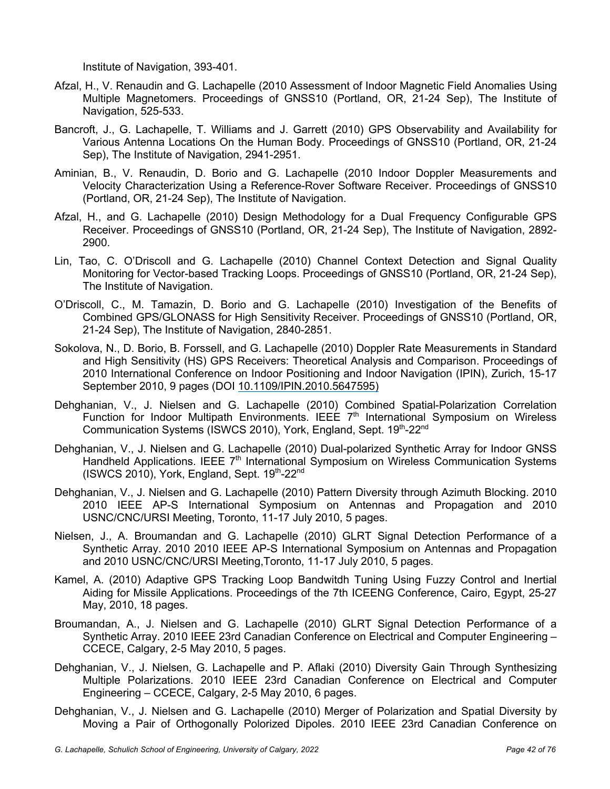Institute of Navigation, 393-401.

- Afzal, H., V. Renaudin and G. Lachapelle (2010 Assessment of Indoor Magnetic Field Anomalies Using Multiple Magnetomers. Proceedings of GNSS10 (Portland, OR, 21-24 Sep), The Institute of Navigation, 525-533.
- Bancroft, J., G. Lachapelle, T. Williams and J. Garrett (2010) GPS Observability and Availability for Various Antenna Locations On the Human Body. Proceedings of GNSS10 (Portland, OR, 21-24 Sep), The Institute of Navigation, 2941-2951.
- Aminian, B., V. Renaudin, D. Borio and G. Lachapelle (2010 Indoor Doppler Measurements and Velocity Characterization Using a Reference-Rover Software Receiver. Proceedings of GNSS10 (Portland, OR, 21-24 Sep), The Institute of Navigation.
- Afzal, H., and G. Lachapelle (2010) Design Methodology for a Dual Frequency Configurable GPS Receiver. Proceedings of GNSS10 (Portland, OR, 21-24 Sep), The Institute of Navigation, 2892- 2900.
- Lin, Tao, C. O'Driscoll and G. Lachapelle (2010) Channel Context Detection and Signal Quality Monitoring for Vector-based Tracking Loops. Proceedings of GNSS10 (Portland, OR, 21-24 Sep), The Institute of Navigation.
- O'Driscoll, C., M. Tamazin, D. Borio and G. Lachapelle (2010) Investigation of the Benefits of Combined GPS/GLONASS for High Sensitivity Receiver. Proceedings of GNSS10 (Portland, OR, 21-24 Sep), The Institute of Navigation, 2840-2851.
- Sokolova, N., D. Borio, B. Forssell, and G. Lachapelle (2010) Doppler Rate Measurements in Standard and High Sensitivity (HS) GPS Receivers: Theoretical Analysis and Comparison. Proceedings of 2010 International Conference on Indoor Positioning and Indoor Navigation (IPIN), Zurich, 15-17 September 2010, 9 pages (DOI 10.1109/IPIN.2010.5647595)
- Dehghanian, V., J. Nielsen and G. Lachapelle (2010) Combined Spatial-Polarization Correlation Function for Indoor Multipath Environments. IEEE 7<sup>th</sup> International Symposium on Wireless Communication Systems (ISWCS 2010), York, England, Sept. 19th-22nd
- Dehghanian, V., J. Nielsen and G. Lachapelle (2010) Dual-polarized Synthetic Array for Indoor GNSS Handheld Applications. IEEE  $7<sup>th</sup>$  International Symposium on Wireless Communication Systems  $(ISWCS 2010)$ , York, England, Sept.  $19<sup>th</sup>$ -22<sup>nd</sup>
- Dehghanian, V., J. Nielsen and G. Lachapelle (2010) Pattern Diversity through Azimuth Blocking. 2010 2010 IEEE AP-S International Symposium on Antennas and Propagation and 2010 USNC/CNC/URSI Meeting, Toronto, 11-17 July 2010, 5 pages.
- Nielsen, J., A. Broumandan and G. Lachapelle (2010) GLRT Signal Detection Performance of a Synthetic Array. 2010 2010 IEEE AP-S International Symposium on Antennas and Propagation and 2010 USNC/CNC/URSI Meeting,Toronto, 11-17 July 2010, 5 pages.
- Kamel, A. (2010) Adaptive GPS Tracking Loop Bandwitdh Tuning Using Fuzzy Control and Inertial Aiding for Missile Applications. Proceedings of the 7th ICEENG Conference, Cairo, Egypt, 25-27 May, 2010, 18 pages.
- Broumandan, A., J. Nielsen and G. Lachapelle (2010) GLRT Signal Detection Performance of a Synthetic Array. 2010 IEEE 23rd Canadian Conference on Electrical and Computer Engineering – CCECE, Calgary, 2-5 May 2010, 5 pages.
- Dehghanian, V., J. Nielsen, G. Lachapelle and P. Aflaki (2010) Diversity Gain Through Synthesizing Multiple Polarizations. 2010 IEEE 23rd Canadian Conference on Electrical and Computer Engineering – CCECE, Calgary, 2-5 May 2010, 6 pages.
- Dehghanian, V., J. Nielsen and G. Lachapelle (2010) Merger of Polarization and Spatial Diversity by Moving a Pair of Orthogonally Polorized Dipoles. 2010 IEEE 23rd Canadian Conference on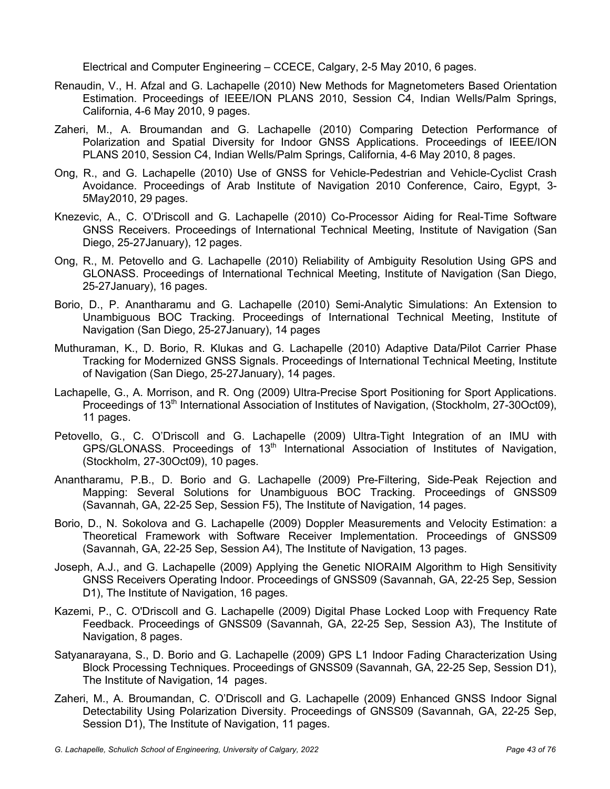Electrical and Computer Engineering – CCECE, Calgary, 2-5 May 2010, 6 pages.

- Renaudin, V., H. Afzal and G. Lachapelle (2010) New Methods for Magnetometers Based Orientation Estimation. Proceedings of IEEE/ION PLANS 2010, Session C4, Indian Wells/Palm Springs, California, 4-6 May 2010, 9 pages.
- Zaheri, M., A. Broumandan and G. Lachapelle (2010) Comparing Detection Performance of Polarization and Spatial Diversity for Indoor GNSS Applications. Proceedings of IEEE/ION PLANS 2010, Session C4, Indian Wells/Palm Springs, California, 4-6 May 2010, 8 pages.
- Ong, R., and G. Lachapelle (2010) Use of GNSS for Vehicle-Pedestrian and Vehicle-Cyclist Crash Avoidance. Proceedings of Arab Institute of Navigation 2010 Conference, Cairo, Egypt, 3- 5May2010, 29 pages.
- Knezevic, A., C. O'Driscoll and G. Lachapelle (2010) Co-Processor Aiding for Real-Time Software GNSS Receivers. Proceedings of International Technical Meeting, Institute of Navigation (San Diego, 25-27January), 12 pages.
- Ong, R., M. Petovello and G. Lachapelle (2010) Reliability of Ambiguity Resolution Using GPS and GLONASS. Proceedings of International Technical Meeting, Institute of Navigation (San Diego, 25-27January), 16 pages.
- Borio, D., P. Anantharamu and G. Lachapelle (2010) Semi-Analytic Simulations: An Extension to Unambiguous BOC Tracking. Proceedings of International Technical Meeting, Institute of Navigation (San Diego, 25-27January), 14 pages
- Muthuraman, K., D. Borio, R. Klukas and G. Lachapelle (2010) Adaptive Data/Pilot Carrier Phase Tracking for Modernized GNSS Signals. Proceedings of International Technical Meeting, Institute of Navigation (San Diego, 25-27January), 14 pages.
- Lachapelle, G., A. Morrison, and R. Ong (2009) Ultra-Precise Sport Positioning for Sport Applications. Proceedings of 13<sup>th</sup> International Association of Institutes of Navigation, (Stockholm, 27-30Oct09), 11 pages.
- Petovello, G., C. O'Driscoll and G. Lachapelle (2009) Ultra-Tight Integration of an IMU with  $GPS/GLONASS$ . Proceedings of  $13<sup>th</sup>$  International Association of Institutes of Navigation, (Stockholm, 27-30Oct09), 10 pages.
- Anantharamu, P.B., D. Borio and G. Lachapelle (2009) Pre-Filtering, Side-Peak Rejection and Mapping: Several Solutions for Unambiguous BOC Tracking. Proceedings of GNSS09 (Savannah, GA, 22-25 Sep, Session F5), The Institute of Navigation, 14 pages.
- Borio, D., N. Sokolova and G. Lachapelle (2009) Doppler Measurements and Velocity Estimation: a Theoretical Framework with Software Receiver Implementation. Proceedings of GNSS09 (Savannah, GA, 22-25 Sep, Session A4), The Institute of Navigation, 13 pages.
- Joseph, A.J., and G. Lachapelle (2009) Applying the Genetic NIORAIM Algorithm to High Sensitivity GNSS Receivers Operating Indoor. Proceedings of GNSS09 (Savannah, GA, 22-25 Sep, Session D1), The Institute of Navigation, 16 pages.
- Kazemi, P., C. O'Driscoll and G. Lachapelle (2009) Digital Phase Locked Loop with Frequency Rate Feedback. Proceedings of GNSS09 (Savannah, GA, 22-25 Sep, Session A3), The Institute of Navigation, 8 pages.
- Satyanarayana, S., D. Borio and G. Lachapelle (2009) GPS L1 Indoor Fading Characterization Using Block Processing Techniques. Proceedings of GNSS09 (Savannah, GA, 22-25 Sep, Session D1), The Institute of Navigation, 14 pages.
- Zaheri, M., A. Broumandan, C. O'Driscoll and G. Lachapelle (2009) Enhanced GNSS Indoor Signal Detectability Using Polarization Diversity. Proceedings of GNSS09 (Savannah, GA, 22-25 Sep, Session D1), The Institute of Navigation, 11 pages.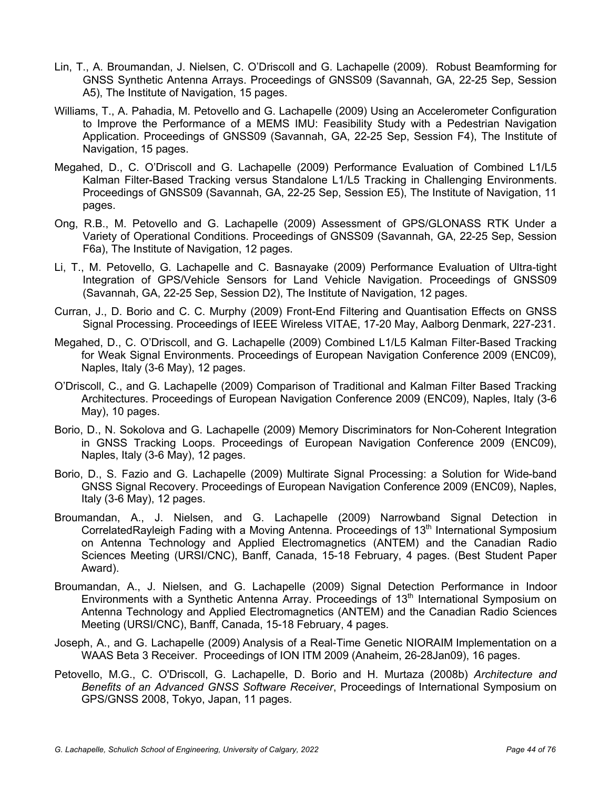- Lin, T., A. Broumandan, J. Nielsen, C. O'Driscoll and G. Lachapelle (2009). Robust Beamforming for GNSS Synthetic Antenna Arrays. Proceedings of GNSS09 (Savannah, GA, 22-25 Sep, Session A5), The Institute of Navigation, 15 pages.
- Williams, T., A. Pahadia, M. Petovello and G. Lachapelle (2009) Using an Accelerometer Configuration to Improve the Performance of a MEMS IMU: Feasibility Study with a Pedestrian Navigation Application. Proceedings of GNSS09 (Savannah, GA, 22-25 Sep, Session F4), The Institute of Navigation, 15 pages.
- Megahed, D., C. O'Driscoll and G. Lachapelle (2009) Performance Evaluation of Combined L1/L5 Kalman Filter-Based Tracking versus Standalone L1/L5 Tracking in Challenging Environments. Proceedings of GNSS09 (Savannah, GA, 22-25 Sep, Session E5), The Institute of Navigation, 11 pages.
- Ong, R.B., M. Petovello and G. Lachapelle (2009) Assessment of GPS/GLONASS RTK Under a Variety of Operational Conditions. Proceedings of GNSS09 (Savannah, GA, 22-25 Sep, Session F6a), The Institute of Navigation, 12 pages.
- Li, T., M. Petovello, G. Lachapelle and C. Basnayake (2009) Performance Evaluation of Ultra-tight Integration of GPS/Vehicle Sensors for Land Vehicle Navigation. Proceedings of GNSS09 (Savannah, GA, 22-25 Sep, Session D2), The Institute of Navigation, 12 pages.
- Curran, J., D. Borio and C. C. Murphy (2009) Front-End Filtering and Quantisation Effects on GNSS Signal Processing. Proceedings of IEEE Wireless VITAE, 17-20 May, Aalborg Denmark, 227-231.
- Megahed, D., C. O'Driscoll, and G. Lachapelle (2009) Combined L1/L5 Kalman Filter-Based Tracking for Weak Signal Environments. Proceedings of European Navigation Conference 2009 (ENC09), Naples, Italy (3-6 May), 12 pages.
- O'Driscoll, C., and G. Lachapelle (2009) Comparison of Traditional and Kalman Filter Based Tracking Architectures. Proceedings of European Navigation Conference 2009 (ENC09), Naples, Italy (3-6 May), 10 pages.
- Borio, D., N. Sokolova and G. Lachapelle (2009) Memory Discriminators for Non-Coherent Integration in GNSS Tracking Loops. Proceedings of European Navigation Conference 2009 (ENC09), Naples, Italy (3-6 May), 12 pages.
- Borio, D., S. Fazio and G. Lachapelle (2009) Multirate Signal Processing: a Solution for Wide-band GNSS Signal Recovery. Proceedings of European Navigation Conference 2009 (ENC09), Naples, Italy (3-6 May), 12 pages.
- Broumandan, A., J. Nielsen, and G. Lachapelle (2009) Narrowband Signal Detection in CorrelatedRayleigh Fading with a Moving Antenna. Proceedings of 13<sup>th</sup> International Symposium on Antenna Technology and Applied Electromagnetics (ANTEM) and the Canadian Radio Sciences Meeting (URSI/CNC), Banff, Canada, 15-18 February, 4 pages. (Best Student Paper Award).
- Broumandan, A., J. Nielsen, and G. Lachapelle (2009) Signal Detection Performance in Indoor Environments with a Synthetic Antenna Array. Proceedings of 13<sup>th</sup> International Symposium on Antenna Technology and Applied Electromagnetics (ANTEM) and the Canadian Radio Sciences Meeting (URSI/CNC), Banff, Canada, 15-18 February, 4 pages.
- Joseph, A., and G. Lachapelle (2009) Analysis of a Real-Time Genetic NIORAIM Implementation on a WAAS Beta 3 Receiver. Proceedings of ION ITM 2009 (Anaheim, 26-28Jan09), 16 pages.
- Petovello, M.G., C. O'Driscoll, G. Lachapelle, D. Borio and H. Murtaza (2008b) *Architecture and Benefits of an Advanced GNSS Software Receiver*, Proceedings of International Symposium on GPS/GNSS 2008, Tokyo, Japan, 11 pages.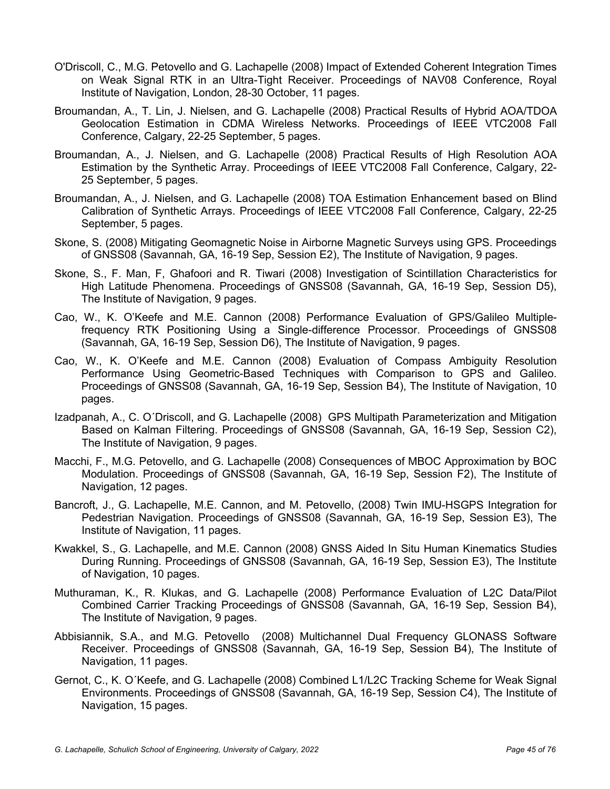- O'Driscoll, C., M.G. Petovello and G. Lachapelle (2008) Impact of Extended Coherent Integration Times on Weak Signal RTK in an Ultra-Tight Receiver. Proceedings of NAV08 Conference, Royal Institute of Navigation, London, 28-30 October, 11 pages.
- Broumandan, A., T. Lin, J. Nielsen, and G. Lachapelle (2008) Practical Results of Hybrid AOA/TDOA Geolocation Estimation in CDMA Wireless Networks. Proceedings of IEEE VTC2008 Fall Conference, Calgary, 22-25 September, 5 pages.
- Broumandan, A., J. Nielsen, and G. Lachapelle (2008) Practical Results of High Resolution AOA Estimation by the Synthetic Array. Proceedings of IEEE VTC2008 Fall Conference, Calgary, 22- 25 September, 5 pages.
- Broumandan, A., J. Nielsen, and G. Lachapelle (2008) TOA Estimation Enhancement based on Blind Calibration of Synthetic Arrays. Proceedings of IEEE VTC2008 Fall Conference, Calgary, 22-25 September, 5 pages.
- Skone, S. (2008) Mitigating Geomagnetic Noise in Airborne Magnetic Surveys using GPS. Proceedings of GNSS08 (Savannah, GA, 16-19 Sep, Session E2), The Institute of Navigation, 9 pages.
- Skone, S., F. Man, F, Ghafoori and R. Tiwari (2008) Investigation of Scintillation Characteristics for High Latitude Phenomena. Proceedings of GNSS08 (Savannah, GA, 16-19 Sep, Session D5), The Institute of Navigation, 9 pages.
- Cao, W., K. O'Keefe and M.E. Cannon (2008) Performance Evaluation of GPS/Galileo Multiplefrequency RTK Positioning Using a Single-difference Processor. Proceedings of GNSS08 (Savannah, GA, 16-19 Sep, Session D6), The Institute of Navigation, 9 pages.
- Cao, W., K. O'Keefe and M.E. Cannon (2008) Evaluation of Compass Ambiguity Resolution Performance Using Geometric-Based Techniques with Comparison to GPS and Galileo. Proceedings of GNSS08 (Savannah, GA, 16-19 Sep, Session B4), The Institute of Navigation, 10 pages.
- Izadpanah, A., C. O´Driscoll, and G. Lachapelle (2008) GPS Multipath Parameterization and Mitigation Based on Kalman Filtering. Proceedings of GNSS08 (Savannah, GA, 16-19 Sep, Session C2), The Institute of Navigation, 9 pages.
- Macchi, F., M.G. Petovello, and G. Lachapelle (2008) Consequences of MBOC Approximation by BOC Modulation. Proceedings of GNSS08 (Savannah, GA, 16-19 Sep, Session F2), The Institute of Navigation, 12 pages.
- Bancroft, J., G. Lachapelle, M.E. Cannon, and M. Petovello, (2008) Twin IMU-HSGPS Integration for Pedestrian Navigation. Proceedings of GNSS08 (Savannah, GA, 16-19 Sep, Session E3), The Institute of Navigation, 11 pages.
- Kwakkel, S., G. Lachapelle, and M.E. Cannon (2008) GNSS Aided In Situ Human Kinematics Studies During Running. Proceedings of GNSS08 (Savannah, GA, 16-19 Sep, Session E3), The Institute of Navigation, 10 pages.
- Muthuraman, K., R. Klukas, and G. Lachapelle (2008) Performance Evaluation of L2C Data/Pilot Combined Carrier Tracking Proceedings of GNSS08 (Savannah, GA, 16-19 Sep, Session B4), The Institute of Navigation, 9 pages.
- Abbisiannik, S.A., and M.G. Petovello (2008) Multichannel Dual Frequency GLONASS Software Receiver. Proceedings of GNSS08 (Savannah, GA, 16-19 Sep, Session B4), The Institute of Navigation, 11 pages.
- Gernot, C., K. O´Keefe, and G. Lachapelle (2008) Combined L1/L2C Tracking Scheme for Weak Signal Environments. Proceedings of GNSS08 (Savannah, GA, 16-19 Sep, Session C4), The Institute of Navigation, 15 pages.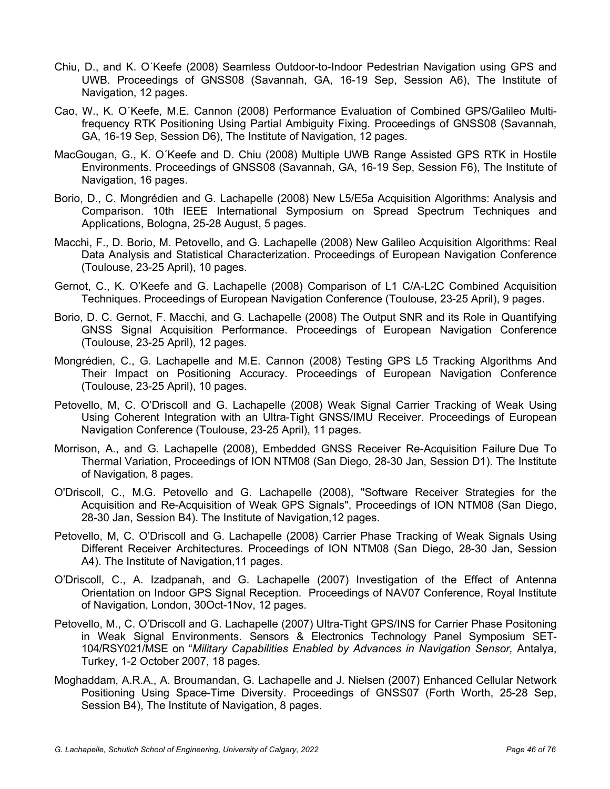- Chiu, D., and K. O´Keefe (2008) Seamless Outdoor-to-Indoor Pedestrian Navigation using GPS and UWB. Proceedings of GNSS08 (Savannah, GA, 16-19 Sep, Session A6), The Institute of Navigation, 12 pages.
- Cao, W., K. O´Keefe, M.E. Cannon (2008) Performance Evaluation of Combined GPS/Galileo Multifrequency RTK Positioning Using Partial Ambiguity Fixing. Proceedings of GNSS08 (Savannah, GA, 16-19 Sep, Session D6), The Institute of Navigation, 12 pages.
- MacGougan, G., K. O´Keefe and D. Chiu (2008) Multiple UWB Range Assisted GPS RTK in Hostile Environments. Proceedings of GNSS08 (Savannah, GA, 16-19 Sep, Session F6), The Institute of Navigation, 16 pages.
- Borio, D., C. Mongrédien and G. Lachapelle (2008) New L5/E5a Acquisition Algorithms: Analysis and Comparison. 10th IEEE International Symposium on Spread Spectrum Techniques and Applications, Bologna, 25-28 August, 5 pages.
- Macchi, F., D. Borio, M. Petovello, and G. Lachapelle (2008) New Galileo Acquisition Algorithms: Real Data Analysis and Statistical Characterization. Proceedings of European Navigation Conference (Toulouse, 23-25 April), 10 pages.
- Gernot, C., K. O'Keefe and G. Lachapelle (2008) Comparison of L1 C/A-L2C Combined Acquisition Techniques. Proceedings of European Navigation Conference (Toulouse, 23-25 April), 9 pages.
- Borio, D. C. Gernot, F. Macchi, and G. Lachapelle (2008) The Output SNR and its Role in Quantifying GNSS Signal Acquisition Performance. Proceedings of European Navigation Conference (Toulouse, 23-25 April), 12 pages.
- Mongrédien, C., G. Lachapelle and M.E. Cannon (2008) Testing GPS L5 Tracking Algorithms And Their Impact on Positioning Accuracy. Proceedings of European Navigation Conference (Toulouse, 23-25 April), 10 pages.
- Petovello, M, C. O'Driscoll and G. Lachapelle (2008) Weak Signal Carrier Tracking of Weak Using Using Coherent Integration with an Ultra-Tight GNSS/IMU Receiver. Proceedings of European Navigation Conference (Toulouse, 23-25 April), 11 pages.
- Morrison, A., and G. Lachapelle (2008), Embedded GNSS Receiver Re-Acquisition Failure Due To Thermal Variation, Proceedings of ION NTM08 (San Diego, 28-30 Jan, Session D1). The Institute of Navigation, 8 pages.
- O'Driscoll, C., M.G. Petovello and G. Lachapelle (2008), "Software Receiver Strategies for the Acquisition and Re-Acquisition of Weak GPS Signals", Proceedings of ION NTM08 (San Diego, 28-30 Jan, Session B4). The Institute of Navigation,12 pages.
- Petovello, M, C. O'Driscoll and G. Lachapelle (2008) Carrier Phase Tracking of Weak Signals Using Different Receiver Architectures. Proceedings of ION NTM08 (San Diego, 28-30 Jan, Session A4). The Institute of Navigation,11 pages.
- O'Driscoll, C., A. Izadpanah, and G. Lachapelle (2007) Investigation of the Effect of Antenna Orientation on Indoor GPS Signal Reception. Proceedings of NAV07 Conference, Royal Institute of Navigation, London, 30Oct-1Nov, 12 pages.
- Petovello, M., C. O'Driscoll and G. Lachapelle (2007) Ultra-Tight GPS/INS for Carrier Phase Positoning in Weak Signal Environments. Sensors & Electronics Technology Panel Symposium SET-104/RSY021/MSE on "*Military Capabilities Enabled by Advances in Navigation Sensor,* Antalya, Turkey, 1-2 October 2007, 18 pages.
- Moghaddam, A.R.A., A. Broumandan, G. Lachapelle and J. Nielsen (2007) Enhanced Cellular Network Positioning Using Space-Time Diversity. Proceedings of GNSS07 (Forth Worth, 25-28 Sep, Session B4), The Institute of Navigation, 8 pages.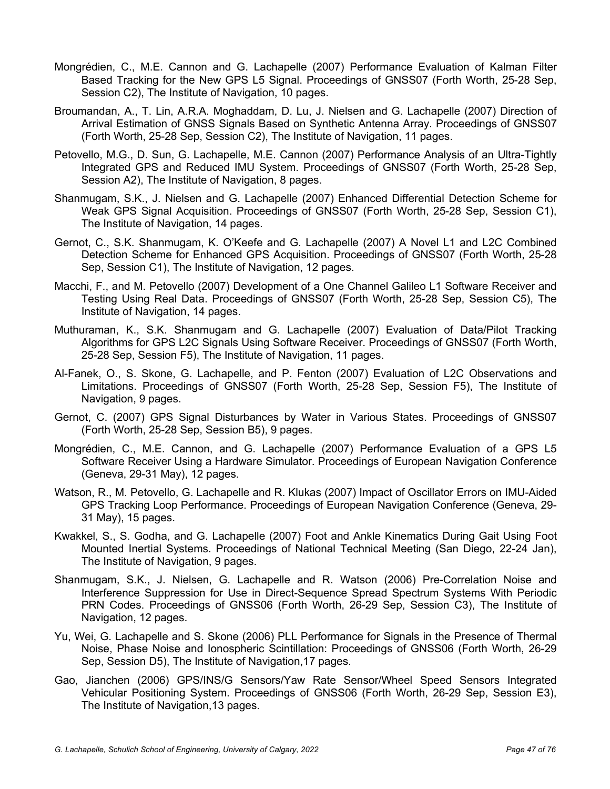- Mongrédien, C., M.E. Cannon and G. Lachapelle (2007) Performance Evaluation of Kalman Filter Based Tracking for the New GPS L5 Signal. Proceedings of GNSS07 (Forth Worth, 25-28 Sep, Session C2), The Institute of Navigation, 10 pages.
- Broumandan, A., T. Lin, A.R.A. Moghaddam, D. Lu, J. Nielsen and G. Lachapelle (2007) Direction of Arrival Estimation of GNSS Signals Based on Synthetic Antenna Array. Proceedings of GNSS07 (Forth Worth, 25-28 Sep, Session C2), The Institute of Navigation, 11 pages.
- Petovello, M.G., D. Sun, G. Lachapelle, M.E. Cannon (2007) Performance Analysis of an Ultra-Tightly Integrated GPS and Reduced IMU System. Proceedings of GNSS07 (Forth Worth, 25-28 Sep, Session A2), The Institute of Navigation, 8 pages.
- Shanmugam, S.K., J. Nielsen and G. Lachapelle (2007) Enhanced Differential Detection Scheme for Weak GPS Signal Acquisition. Proceedings of GNSS07 (Forth Worth, 25-28 Sep, Session C1), The Institute of Navigation, 14 pages.
- Gernot, C., S.K. Shanmugam, K. O'Keefe and G. Lachapelle (2007) A Novel L1 and L2C Combined Detection Scheme for Enhanced GPS Acquisition. Proceedings of GNSS07 (Forth Worth, 25-28 Sep, Session C1), The Institute of Navigation, 12 pages.
- Macchi, F., and M. Petovello (2007) Development of a One Channel Galileo L1 Software Receiver and Testing Using Real Data. Proceedings of GNSS07 (Forth Worth, 25-28 Sep, Session C5), The Institute of Navigation, 14 pages.
- Muthuraman, K., S.K. Shanmugam and G. Lachapelle (2007) Evaluation of Data/Pilot Tracking Algorithms for GPS L2C Signals Using Software Receiver. Proceedings of GNSS07 (Forth Worth, 25-28 Sep, Session F5), The Institute of Navigation, 11 pages.
- Al-Fanek, O., S. Skone, G. Lachapelle, and P. Fenton (2007) Evaluation of L2C Observations and Limitations. Proceedings of GNSS07 (Forth Worth, 25-28 Sep, Session F5), The Institute of Navigation, 9 pages.
- Gernot, C. (2007) GPS Signal Disturbances by Water in Various States. Proceedings of GNSS07 (Forth Worth, 25-28 Sep, Session B5), 9 pages.
- Mongrédien, C., M.E. Cannon, and G. Lachapelle (2007) Performance Evaluation of a GPS L5 Software Receiver Using a Hardware Simulator. Proceedings of European Navigation Conference (Geneva, 29-31 May), 12 pages.
- Watson, R., M. Petovello, G. Lachapelle and R. Klukas (2007) Impact of Oscillator Errors on IMU-Aided GPS Tracking Loop Performance. Proceedings of European Navigation Conference (Geneva, 29- 31 May), 15 pages.
- Kwakkel, S., S. Godha, and G. Lachapelle (2007) Foot and Ankle Kinematics During Gait Using Foot Mounted Inertial Systems. Proceedings of National Technical Meeting (San Diego, 22-24 Jan), The Institute of Navigation, 9 pages.
- Shanmugam, S.K., J. Nielsen, G. Lachapelle and R. Watson (2006) Pre-Correlation Noise and Interference Suppression for Use in Direct-Sequence Spread Spectrum Systems With Periodic PRN Codes. Proceedings of GNSS06 (Forth Worth, 26-29 Sep, Session C3), The Institute of Navigation, 12 pages.
- Yu, Wei, G. Lachapelle and S. Skone (2006) PLL Performance for Signals in the Presence of Thermal Noise, Phase Noise and Ionospheric Scintillation: Proceedings of GNSS06 (Forth Worth, 26-29 Sep, Session D5), The Institute of Navigation,17 pages.
- Gao, Jianchen (2006) GPS/INS/G Sensors/Yaw Rate Sensor/Wheel Speed Sensors Integrated Vehicular Positioning System. Proceedings of GNSS06 (Forth Worth, 26-29 Sep, Session E3), The Institute of Navigation,13 pages.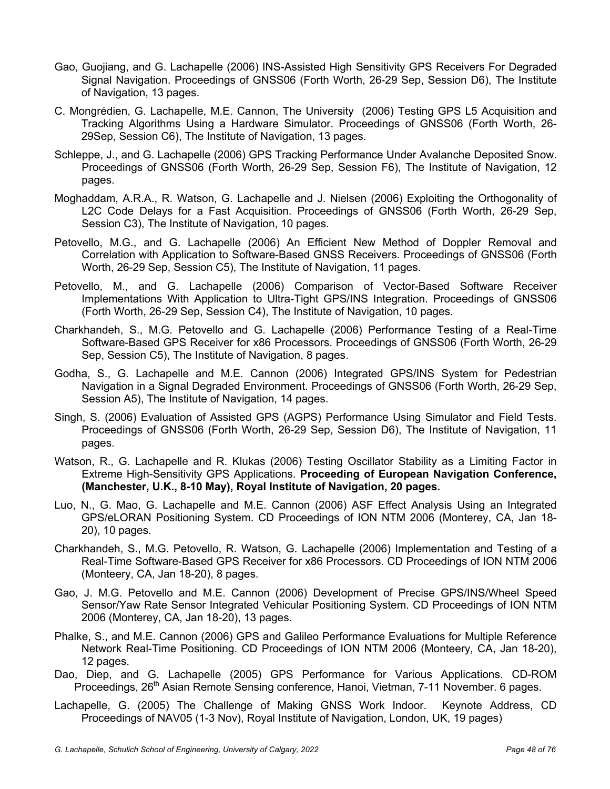- Gao, Guojiang, and G. Lachapelle (2006) INS-Assisted High Sensitivity GPS Receivers For Degraded Signal Navigation. Proceedings of GNSS06 (Forth Worth, 26-29 Sep, Session D6), The Institute of Navigation, 13 pages.
- C. Mongrédien, G. Lachapelle, M.E. Cannon, The University (2006) Testing GPS L5 Acquisition and Tracking Algorithms Using a Hardware Simulator. Proceedings of GNSS06 (Forth Worth, 26- 29Sep, Session C6), The Institute of Navigation, 13 pages.
- Schleppe, J., and G. Lachapelle (2006) GPS Tracking Performance Under Avalanche Deposited Snow. Proceedings of GNSS06 (Forth Worth, 26-29 Sep, Session F6), The Institute of Navigation, 12 pages.
- Moghaddam, A.R.A., R. Watson, G. Lachapelle and J. Nielsen (2006) Exploiting the Orthogonality of L2C Code Delays for a Fast Acquisition. Proceedings of GNSS06 (Forth Worth, 26-29 Sep, Session C3), The Institute of Navigation, 10 pages.
- Petovello, M.G., and G. Lachapelle (2006) An Efficient New Method of Doppler Removal and Correlation with Application to Software-Based GNSS Receivers. Proceedings of GNSS06 (Forth Worth, 26-29 Sep, Session C5), The Institute of Navigation, 11 pages.
- Petovello, M., and G. Lachapelle (2006) Comparison of Vector-Based Software Receiver Implementations With Application to Ultra-Tight GPS/INS Integration. Proceedings of GNSS06 (Forth Worth, 26-29 Sep, Session C4), The Institute of Navigation, 10 pages.
- Charkhandeh, S., M.G. Petovello and G. Lachapelle (2006) Performance Testing of a Real-Time Software-Based GPS Receiver for x86 Processors. Proceedings of GNSS06 (Forth Worth, 26-29 Sep, Session C5), The Institute of Navigation, 8 pages.
- Godha, S., G. Lachapelle and M.E. Cannon (2006) Integrated GPS/INS System for Pedestrian Navigation in a Signal Degraded Environment. Proceedings of GNSS06 (Forth Worth, 26-29 Sep, Session A5), The Institute of Navigation, 14 pages.
- Singh, S. (2006) Evaluation of Assisted GPS (AGPS) Performance Using Simulator and Field Tests. Proceedings of GNSS06 (Forth Worth, 26-29 Sep, Session D6), The Institute of Navigation, 11 pages.
- Watson, R., G. Lachapelle and R. Klukas (2006) Testing Oscillator Stability as a Limiting Factor in Extreme High-Sensitivity GPS Applications. **Proceeding of European Navigation Conference, (Manchester, U.K., 8-10 May), Royal Institute of Navigation, 20 pages.**
- Luo, N., G. Mao, G. Lachapelle and M.E. Cannon (2006) ASF Effect Analysis Using an Integrated GPS/eLORAN Positioning System. CD Proceedings of ION NTM 2006 (Monterey, CA, Jan 18- 20), 10 pages.
- Charkhandeh, S., M.G. Petovello, R. Watson, G. Lachapelle (2006) Implementation and Testing of a Real-Time Software-Based GPS Receiver for x86 Processors. CD Proceedings of ION NTM 2006 (Monteery, CA, Jan 18-20), 8 pages.
- Gao, J. M.G. Petovello and M.E. Cannon (2006) Development of Precise GPS/INS/Wheel Speed Sensor/Yaw Rate Sensor Integrated Vehicular Positioning System. CD Proceedings of ION NTM 2006 (Monterey, CA, Jan 18-20), 13 pages.
- Phalke, S., and M.E. Cannon (2006) GPS and Galileo Performance Evaluations for Multiple Reference Network Real-Time Positioning. CD Proceedings of ION NTM 2006 (Monteery, CA, Jan 18-20), 12 pages.
- Dao, Diep, and G. Lachapelle (2005) GPS Performance for Various Applications. CD-ROM Proceedings, 26<sup>th</sup> Asian Remote Sensing conference, Hanoi, Vietman, 7-11 November. 6 pages.
- Lachapelle, G. (2005) The Challenge of Making GNSS Work Indoor. Keynote Address, CD Proceedings of NAV05 (1-3 Nov), Royal Institute of Navigation, London, UK, 19 pages)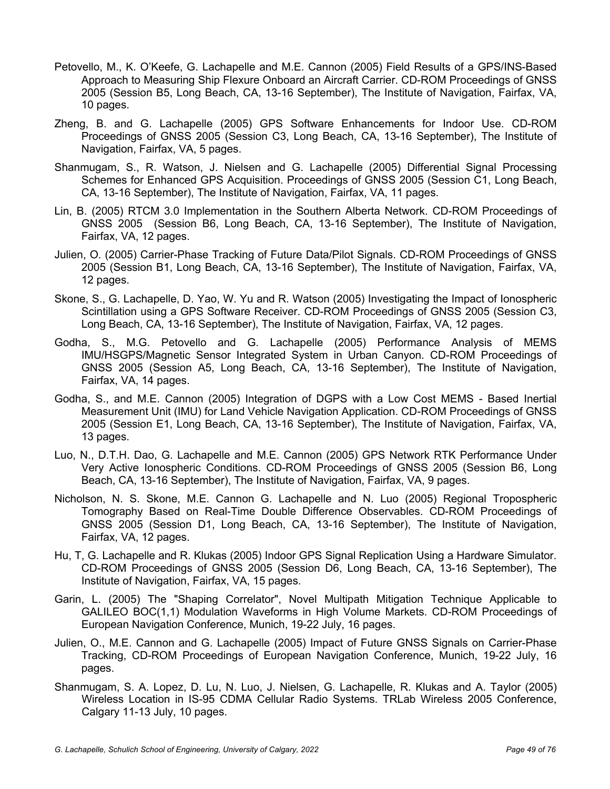- Petovello, M., K. O'Keefe, G. Lachapelle and M.E. Cannon (2005) Field Results of a GPS/INS-Based Approach to Measuring Ship Flexure Onboard an Aircraft Carrier. CD-ROM Proceedings of GNSS 2005 (Session B5, Long Beach, CA, 13-16 September), The Institute of Navigation, Fairfax, VA, 10 pages.
- Zheng, B. and G. Lachapelle (2005) GPS Software Enhancements for Indoor Use. CD-ROM Proceedings of GNSS 2005 (Session C3, Long Beach, CA, 13-16 September), The Institute of Navigation, Fairfax, VA, 5 pages.
- Shanmugam, S., R. Watson, J. Nielsen and G. Lachapelle (2005) Differential Signal Processing Schemes for Enhanced GPS Acquisition. Proceedings of GNSS 2005 (Session C1, Long Beach, CA, 13-16 September), The Institute of Navigation, Fairfax, VA, 11 pages.
- Lin, B. (2005) RTCM 3.0 Implementation in the Southern Alberta Network. CD-ROM Proceedings of GNSS 2005 (Session B6, Long Beach, CA, 13-16 September), The Institute of Navigation, Fairfax, VA, 12 pages.
- Julien, O. (2005) Carrier-Phase Tracking of Future Data/Pilot Signals. CD-ROM Proceedings of GNSS 2005 (Session B1, Long Beach, CA, 13-16 September), The Institute of Navigation, Fairfax, VA, 12 pages.
- Skone, S., G. Lachapelle, D. Yao, W. Yu and R. Watson (2005) Investigating the Impact of Ionospheric Scintillation using a GPS Software Receiver. CD-ROM Proceedings of GNSS 2005 (Session C3, Long Beach, CA, 13-16 September), The Institute of Navigation, Fairfax, VA, 12 pages.
- Godha, S., M.G. Petovello and G. Lachapelle (2005) Performance Analysis of MEMS IMU/HSGPS/Magnetic Sensor Integrated System in Urban Canyon. CD-ROM Proceedings of GNSS 2005 (Session A5, Long Beach, CA, 13-16 September), The Institute of Navigation, Fairfax, VA, 14 pages.
- Godha, S., and M.E. Cannon (2005) Integration of DGPS with a Low Cost MEMS Based Inertial Measurement Unit (IMU) for Land Vehicle Navigation Application. CD-ROM Proceedings of GNSS 2005 (Session E1, Long Beach, CA, 13-16 September), The Institute of Navigation, Fairfax, VA, 13 pages.
- Luo, N., D.T.H. Dao, G. Lachapelle and M.E. Cannon (2005) GPS Network RTK Performance Under Very Active Ionospheric Conditions. CD-ROM Proceedings of GNSS 2005 (Session B6, Long Beach, CA, 13-16 September), The Institute of Navigation, Fairfax, VA, 9 pages.
- Nicholson, N. S. Skone, M.E. Cannon G. Lachapelle and N. Luo (2005) Regional Tropospheric Tomography Based on Real-Time Double Difference Observables. CD-ROM Proceedings of GNSS 2005 (Session D1, Long Beach, CA, 13-16 September), The Institute of Navigation, Fairfax, VA, 12 pages.
- Hu, T, G. Lachapelle and R. Klukas (2005) Indoor GPS Signal Replication Using a Hardware Simulator. CD-ROM Proceedings of GNSS 2005 (Session D6, Long Beach, CA, 13-16 September), The Institute of Navigation, Fairfax, VA, 15 pages.
- Garin, L. (2005) The "Shaping Correlator", Novel Multipath Mitigation Technique Applicable to GALILEO BOC(1,1) Modulation Waveforms in High Volume Markets. CD-ROM Proceedings of European Navigation Conference, Munich, 19-22 July, 16 pages.
- Julien, O., M.E. Cannon and G. Lachapelle (2005) Impact of Future GNSS Signals on Carrier-Phase Tracking, CD-ROM Proceedings of European Navigation Conference, Munich, 19-22 July, 16 pages.
- Shanmugam, S. A. Lopez, D. Lu, N. Luo, J. Nielsen, G. Lachapelle, R. Klukas and A. Taylor (2005) Wireless Location in IS-95 CDMA Cellular Radio Systems. TRLab Wireless 2005 Conference, Calgary 11-13 July, 10 pages.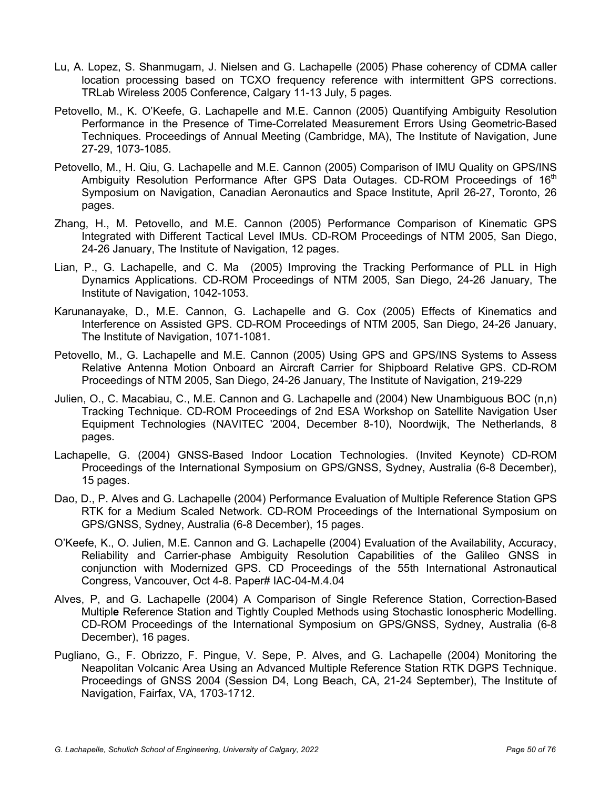- Lu, A. Lopez, S. Shanmugam, J. Nielsen and G. Lachapelle (2005) Phase coherency of CDMA caller location processing based on TCXO frequency reference with intermittent GPS corrections. TRLab Wireless 2005 Conference, Calgary 11-13 July, 5 pages.
- Petovello, M., K. O'Keefe, G. Lachapelle and M.E. Cannon (2005) Quantifying Ambiguity Resolution Performance in the Presence of Time-Correlated Measurement Errors Using Geometric-Based Techniques. Proceedings of Annual Meeting (Cambridge, MA), The Institute of Navigation, June 27-29, 1073-1085.
- Petovello, M., H. Qiu, G. Lachapelle and M.E. Cannon (2005) Comparison of IMU Quality on GPS/INS Ambiguity Resolution Performance After GPS Data Outages. CD-ROM Proceedings of 16<sup>th</sup> Symposium on Navigation, Canadian Aeronautics and Space Institute, April 26-27, Toronto, 26 pages.
- Zhang, H., M. Petovello, and M.E. Cannon (2005) Performance Comparison of Kinematic GPS Integrated with Different Tactical Level IMUs. CD-ROM Proceedings of NTM 2005, San Diego, 24-26 January, The Institute of Navigation, 12 pages.
- Lian, P., G. Lachapelle, and C. Ma (2005) Improving the Tracking Performance of PLL in High Dynamics Applications. CD-ROM Proceedings of NTM 2005, San Diego, 24-26 January, The Institute of Navigation, 1042-1053.
- Karunanayake, D., M.E. Cannon, G. Lachapelle and G. Cox (2005) Effects of Kinematics and Interference on Assisted GPS. CD-ROM Proceedings of NTM 2005, San Diego, 24-26 January, The Institute of Navigation, 1071-1081.
- Petovello, M., G. Lachapelle and M.E. Cannon (2005) Using GPS and GPS/INS Systems to Assess Relative Antenna Motion Onboard an Aircraft Carrier for Shipboard Relative GPS. CD-ROM Proceedings of NTM 2005, San Diego, 24-26 January, The Institute of Navigation, 219-229
- Julien, O., C. Macabiau, C., M.E. Cannon and G. Lachapelle and (2004) New Unambiguous BOC (n,n) Tracking Technique. CD-ROM Proceedings of 2nd ESA Workshop on Satellite Navigation User Equipment Technologies (NAVITEC '2004, December 8-10), Noordwijk, The Netherlands, 8 pages.
- Lachapelle, G. (2004) GNSS-Based Indoor Location Technologies. (Invited Keynote) CD-ROM Proceedings of the International Symposium on GPS/GNSS, Sydney, Australia (6-8 December), 15 pages.
- Dao, D., P. Alves and G. Lachapelle (2004) Performance Evaluation of Multiple Reference Station GPS RTK for a Medium Scaled Network. CD-ROM Proceedings of the International Symposium on GPS/GNSS, Sydney, Australia (6-8 December), 15 pages.
- O'Keefe, K., O. Julien, M.E. Cannon and G. Lachapelle (2004) Evaluation of the Availability, Accuracy, Reliability and Carrier-phase Ambiguity Resolution Capabilities of the Galileo GNSS in conjunction with Modernized GPS. CD Proceedings of the 55th International Astronautical Congress, Vancouver, Oct 4-8. Paper# IAC-04-M.4.04
- Alves, P, and G. Lachapelle (2004) A Comparison of Single Reference Station, Correction-Based Multipl**e** Reference Station and Tightly Coupled Methods using Stochastic Ionospheric Modelling. CD-ROM Proceedings of the International Symposium on GPS/GNSS, Sydney, Australia (6-8 December), 16 pages.
- Pugliano, G., F. Obrizzo, F. Pingue, V. Sepe, P. Alves, and G. Lachapelle (2004) Monitoring the Neapolitan Volcanic Area Using an Advanced Multiple Reference Station RTK DGPS Technique. Proceedings of GNSS 2004 (Session D4, Long Beach, CA, 21-24 September), The Institute of Navigation, Fairfax, VA, 1703-1712.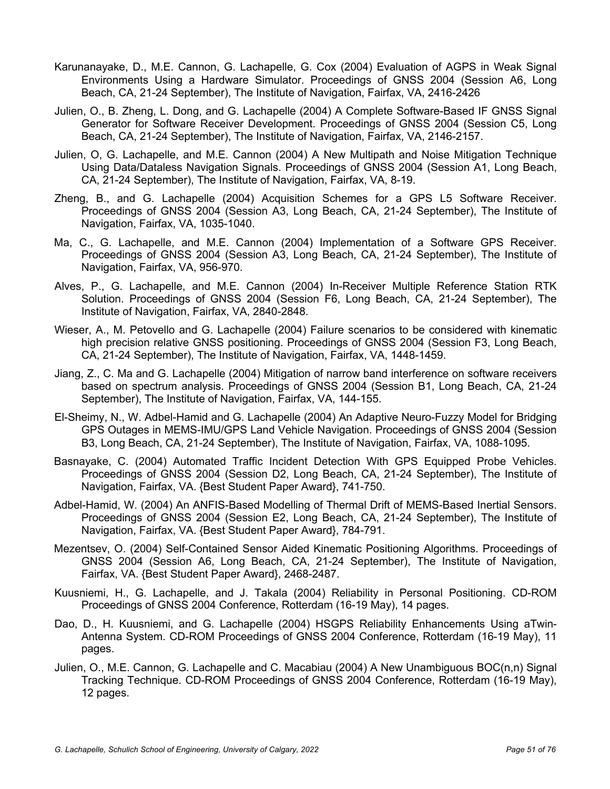- Karunanayake, D., M.E. Cannon, G. Lachapelle, G. Cox (2004) Evaluation of AGPS in Weak Signal Environments Using a Hardware Simulator. Proceedings of GNSS 2004 (Session A6, Long Beach, CA, 21-24 September), The Institute of Navigation, Fairfax, VA, 2416-2426
- Julien, O., B. Zheng, L. Dong, and G. Lachapelle (2004) A Complete Software-Based IF GNSS Signal Generator for Software Receiver Development. Proceedings of GNSS 2004 (Session C5, Long Beach, CA, 21-24 September), The Institute of Navigation, Fairfax, VA, 2146-2157.
- Julien, O, G. Lachapelle, and M.E. Cannon (2004) A New Multipath and Noise Mitigation Technique Using Data/Dataless Navigation Signals. Proceedings of GNSS 2004 (Session A1, Long Beach, CA, 21-24 September), The Institute of Navigation, Fairfax, VA, 8-19.
- Zheng, B., and G. Lachapelle (2004) Acquisition Schemes for a GPS L5 Software Receiver. Proceedings of GNSS 2004 (Session A3, Long Beach, CA, 21-24 September), The Institute of Navigation, Fairfax, VA, 1035-1040.
- Ma, C., G. Lachapelle, and M.E. Cannon (2004) Implementation of a Software GPS Receiver. Proceedings of GNSS 2004 (Session A3, Long Beach, CA, 21-24 September), The Institute of Navigation, Fairfax, VA, 956-970.
- Alves, P., G. Lachapelle, and M.E. Cannon (2004) In-Receiver Multiple Reference Station RTK Solution. Proceedings of GNSS 2004 (Session F6, Long Beach, CA, 21-24 September), The Institute of Navigation, Fairfax, VA, 2840-2848.
- Wieser, A., M. Petovello and G. Lachapelle (2004) Failure scenarios to be considered with kinematic high precision relative GNSS positioning. Proceedings of GNSS 2004 (Session F3, Long Beach, CA, 21-24 September), The Institute of Navigation, Fairfax, VA, 1448-1459.
- Jiang, Z., C. Ma and G. Lachapelle (2004) Mitigation of narrow band interference on software receivers based on spectrum analysis. Proceedings of GNSS 2004 (Session B1, Long Beach, CA, 21-24 September), The Institute of Navigation, Fairfax, VA, 144-155.
- El-Sheimy, N., W. Adbel-Hamid and G. Lachapelle (2004) An Adaptive Neuro-Fuzzy Model for Bridging GPS Outages in MEMS-IMU/GPS Land Vehicle Navigation. Proceedings of GNSS 2004 (Session B3, Long Beach, CA, 21-24 September), The Institute of Navigation, Fairfax, VA, 1088-1095.
- Basnayake, C. (2004) Automated Traffic Incident Detection With GPS Equipped Probe Vehicles. Proceedings of GNSS 2004 (Session D2, Long Beach, CA, 21-24 September), The Institute of Navigation, Fairfax, VA. {Best Student Paper Award}, 741-750.
- Adbel-Hamid, W. (2004) An ANFIS-Based Modelling of Thermal Drift of MEMS-Based Inertial Sensors. Proceedings of GNSS 2004 (Session E2, Long Beach, CA, 21-24 September), The Institute of Navigation, Fairfax, VA. {Best Student Paper Award}, 784-791.
- Mezentsev, O. (2004) Self-Contained Sensor Aided Kinematic Positioning Algorithms. Proceedings of GNSS 2004 (Session A6, Long Beach, CA, 21-24 September), The Institute of Navigation, Fairfax, VA. {Best Student Paper Award}, 2468-2487.
- Kuusniemi, H., G. Lachapelle, and J. Takala (2004) Reliability in Personal Positioning. CD-ROM Proceedings of GNSS 2004 Conference, Rotterdam (16-19 May), 14 pages.
- Dao, D., H. Kuusniemi, and G. Lachapelle (2004) HSGPS Reliability Enhancements Using aTwin-Antenna System. CD-ROM Proceedings of GNSS 2004 Conference, Rotterdam (16-19 May), 11 pages.
- Julien, O., M.E. Cannon, G. Lachapelle and C. Macabiau (2004) A New Unambiguous BOC(n,n) Signal Tracking Technique. CD-ROM Proceedings of GNSS 2004 Conference, Rotterdam (16-19 May), 12 pages.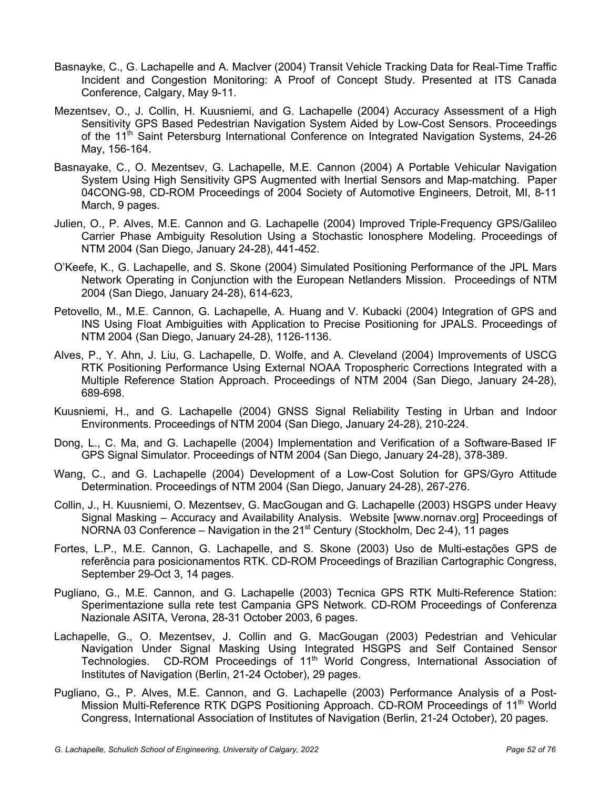- Basnayke, C., G. Lachapelle and A. MacIver (2004) Transit Vehicle Tracking Data for Real-Time Traffic Incident and Congestion Monitoring: A Proof of Concept Study. Presented at ITS Canada Conference, Calgary, May 9-11.
- Mezentsev, O., J. Collin, H. Kuusniemi, and G. Lachapelle (2004) Accuracy Assessment of a High Sensitivity GPS Based Pedestrian Navigation System Aided by Low-Cost Sensors. Proceedings of the 11<sup>th</sup> Saint Petersburg International Conference on Integrated Navigation Systems, 24-26 May, 156-164.
- Basnayake, C., O. Mezentsev, G. Lachapelle, M.E. Cannon (2004) A Portable Vehicular Navigation System Using High Sensitivity GPS Augmented with Inertial Sensors and Map-matching. Paper 04CONG-98, CD-ROM Proceedings of 2004 Society of Automotive Engineers, Detroit, MI, 8-11 March, 9 pages.
- Julien, O., P. Alves, M.E. Cannon and G. Lachapelle (2004) Improved Triple-Frequency GPS/Galileo Carrier Phase Ambiguity Resolution Using a Stochastic Ionosphere Modeling. Proceedings of NTM 2004 (San Diego, January 24-28), 441-452.
- O'Keefe, K., G. Lachapelle, and S. Skone (2004) Simulated Positioning Performance of the JPL Mars Network Operating in Conjunction with the European Netlanders Mission. Proceedings of NTM 2004 (San Diego, January 24-28), 614-623,
- Petovello, M., M.E. Cannon, G. Lachapelle, A. Huang and V. Kubacki (2004) Integration of GPS and INS Using Float Ambiguities with Application to Precise Positioning for JPALS. Proceedings of NTM 2004 (San Diego, January 24-28), 1126-1136.
- Alves, P., Y. Ahn, J. Liu, G. Lachapelle, D. Wolfe, and A. Cleveland (2004) Improvements of USCG RTK Positioning Performance Using External NOAA Tropospheric Corrections Integrated with a Multiple Reference Station Approach. Proceedings of NTM 2004 (San Diego, January 24-28), 689-698.
- Kuusniemi, H., and G. Lachapelle (2004) GNSS Signal Reliability Testing in Urban and Indoor Environments. Proceedings of NTM 2004 (San Diego, January 24-28), 210-224.
- Dong, L., C. Ma, and G. Lachapelle (2004) Implementation and Verification of a Software-Based IF GPS Signal Simulator. Proceedings of NTM 2004 (San Diego, January 24-28), 378-389.
- Wang, C., and G. Lachapelle (2004) Development of a Low-Cost Solution for GPS/Gyro Attitude Determination. Proceedings of NTM 2004 (San Diego, January 24-28), 267-276.
- Collin, J., H. Kuusniemi, O. Mezentsev, G. MacGougan and G. Lachapelle (2003) HSGPS under Heavy Signal Masking – Accuracy and Availability Analysis. Website [www.nornav.org] Proceedings of NORNA 03 Conference – Navigation in the  $21<sup>st</sup>$  Century (Stockholm, Dec 2-4), 11 pages
- Fortes, L.P., M.E. Cannon, G. Lachapelle, and S. Skone (2003) Uso de Multi-estações GPS de referência para posicionamentos RTK. CD-ROM Proceedings of Brazilian Cartographic Congress, September 29-Oct 3, 14 pages.
- Pugliano, G., M.E. Cannon, and G. Lachapelle (2003) Tecnica GPS RTK Multi-Reference Station: Sperimentazione sulla rete test Campania GPS Network. CD-ROM Proceedings of Conferenza Nazionale ASITA, Verona, 28-31 October 2003, 6 pages.
- Lachapelle, G., O. Mezentsev, J. Collin and G. MacGougan (2003) Pedestrian and Vehicular Navigation Under Signal Masking Using Integrated HSGPS and Self Contained Sensor Technologies. CD-ROM Proceedings of 11<sup>th</sup> World Congress, International Association of Institutes of Navigation (Berlin, 21-24 October), 29 pages.
- Pugliano, G., P. Alves, M.E. Cannon, and G. Lachapelle (2003) Performance Analysis of a Post-Mission Multi-Reference RTK DGPS Positioning Approach. CD-ROM Proceedings of 11<sup>th</sup> World Congress, International Association of Institutes of Navigation (Berlin, 21-24 October), 20 pages.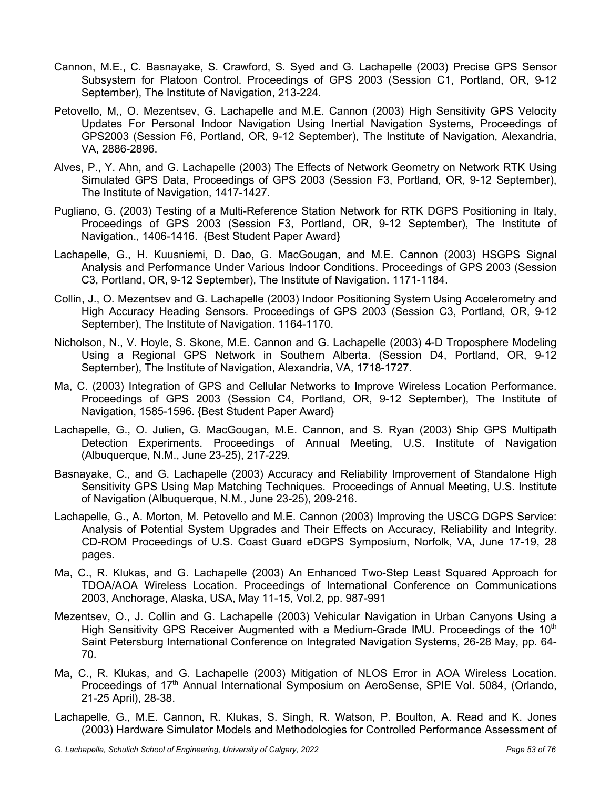- Cannon, M.E., C. Basnayake, S. Crawford, S. Syed and G. Lachapelle (2003) Precise GPS Sensor Subsystem for Platoon Control. Proceedings of GPS 2003 (Session C1, Portland, OR, 9-12 September), The Institute of Navigation, 213-224.
- Petovello, M,, O. Mezentsev, G. Lachapelle and M.E. Cannon (2003) High Sensitivity GPS Velocity Updates For Personal Indoor Navigation Using Inertial Navigation Systems**,** Proceedings of GPS2003 (Session F6, Portland, OR, 9-12 September), The Institute of Navigation, Alexandria, VA, 2886-2896.
- Alves, P., Y. Ahn, and G. Lachapelle (2003) The Effects of Network Geometry on Network RTK Using Simulated GPS Data, Proceedings of GPS 2003 (Session F3, Portland, OR, 9-12 September), The Institute of Navigation, 1417-1427.
- Pugliano, G. (2003) Testing of a Multi-Reference Station Network for RTK DGPS Positioning in Italy, Proceedings of GPS 2003 (Session F3, Portland, OR, 9-12 September), The Institute of Navigation., 1406-1416. {Best Student Paper Award}
- Lachapelle, G., H. Kuusniemi, D. Dao, G. MacGougan, and M.E. Cannon (2003) HSGPS Signal Analysis and Performance Under Various Indoor Conditions. Proceedings of GPS 2003 (Session C3, Portland, OR, 9-12 September), The Institute of Navigation. 1171-1184.
- Collin, J., O. Mezentsev and G. Lachapelle (2003) Indoor Positioning System Using Accelerometry and High Accuracy Heading Sensors. Proceedings of GPS 2003 (Session C3, Portland, OR, 9-12 September), The Institute of Navigation. 1164-1170.
- Nicholson, N., V. Hoyle, S. Skone, M.E. Cannon and G. Lachapelle (2003) 4-D Troposphere Modeling Using a Regional GPS Network in Southern Alberta. (Session D4, Portland, OR, 9-12 September), The Institute of Navigation, Alexandria, VA, 1718-1727.
- Ma, C. (2003) Integration of GPS and Cellular Networks to Improve Wireless Location Performance. Proceedings of GPS 2003 (Session C4, Portland, OR, 9-12 September), The Institute of Navigation, 1585-1596. {Best Student Paper Award}
- Lachapelle, G., O. Julien, G. MacGougan, M.E. Cannon, and S. Ryan (2003) Ship GPS Multipath Detection Experiments. Proceedings of Annual Meeting, U.S. Institute of Navigation (Albuquerque, N.M., June 23-25), 217-229.
- Basnayake, C., and G. Lachapelle (2003) Accuracy and Reliability Improvement of Standalone High Sensitivity GPS Using Map Matching Techniques. Proceedings of Annual Meeting, U.S. Institute of Navigation (Albuquerque, N.M., June 23-25), 209-216.
- Lachapelle, G., A. Morton, M. Petovello and M.E. Cannon (2003) Improving the USCG DGPS Service: Analysis of Potential System Upgrades and Their Effects on Accuracy, Reliability and Integrity. CD-ROM Proceedings of U.S. Coast Guard eDGPS Symposium, Norfolk, VA, June 17-19, 28 pages.
- Ma, C., R. Klukas, and G. Lachapelle (2003) An Enhanced Two-Step Least Squared Approach for TDOA/AOA Wireless Location. Proceedings of International Conference on Communications 2003, Anchorage, Alaska, USA, May 11-15, Vol.2, pp. 987-991
- Mezentsev, O., J. Collin and G. Lachapelle (2003) Vehicular Navigation in Urban Canyons Using a High Sensitivity GPS Receiver Augmented with a Medium-Grade IMU. Proceedings of the  $10<sup>th</sup>$ Saint Petersburg International Conference on Integrated Navigation Systems, 26-28 May, pp. 64- 70.
- Ma, C., R. Klukas, and G. Lachapelle (2003) Mitigation of NLOS Error in AOA Wireless Location. Proceedings of 17<sup>th</sup> Annual International Symposium on AeroSense, SPIE Vol. 5084, (Orlando, 21-25 April), 28-38.
- Lachapelle, G., M.E. Cannon, R. Klukas, S. Singh, R. Watson, P. Boulton, A. Read and K. Jones (2003) Hardware Simulator Models and Methodologies for Controlled Performance Assessment of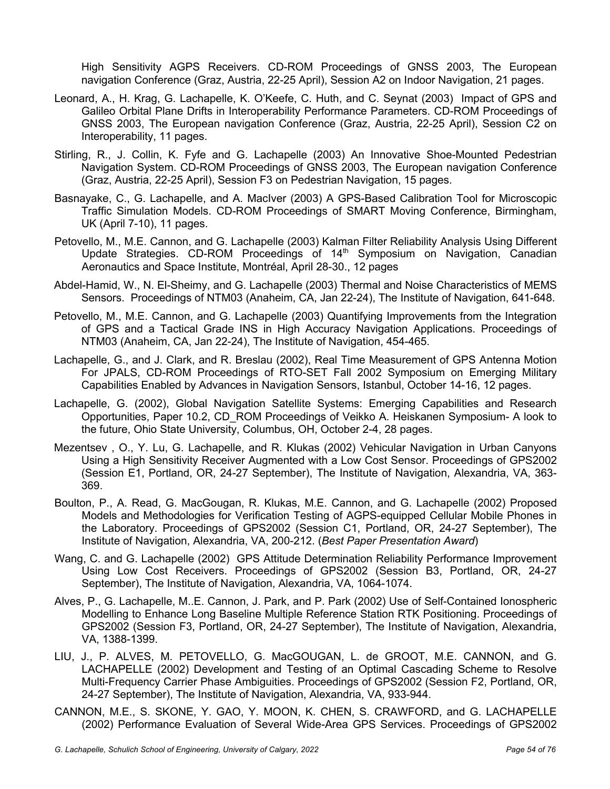High Sensitivity AGPS Receivers. CD-ROM Proceedings of GNSS 2003, The European navigation Conference (Graz, Austria, 22-25 April), Session A2 on Indoor Navigation, 21 pages.

- Leonard, A., H. Krag, G. Lachapelle, K. O'Keefe, C. Huth, and C. Seynat (2003) Impact of GPS and Galileo Orbital Plane Drifts in Interoperability Performance Parameters. CD-ROM Proceedings of GNSS 2003, The European navigation Conference (Graz, Austria, 22-25 April), Session C2 on Interoperability, 11 pages.
- Stirling, R., J. Collin, K. Fyfe and G. Lachapelle (2003) An Innovative Shoe-Mounted Pedestrian Navigation System. CD-ROM Proceedings of GNSS 2003, The European navigation Conference (Graz, Austria, 22-25 April), Session F3 on Pedestrian Navigation, 15 pages.
- Basnayake, C., G. Lachapelle, and A. MacIver (2003) A GPS-Based Calibration Tool for Microscopic Traffic Simulation Models. CD-ROM Proceedings of SMART Moving Conference, Birmingham, UK (April 7-10), 11 pages.
- Petovello, M., M.E. Cannon, and G. Lachapelle (2003) Kalman Filter Reliability Analysis Using Different Update Strategies. CD-ROM Proceedings of 14<sup>th</sup> Symposium on Navigation, Canadian Aeronautics and Space Institute, Montréal, April 28-30., 12 pages
- Abdel-Hamid, W., N. El-Sheimy, and G. Lachapelle (2003) Thermal and Noise Characteristics of MEMS Sensors. Proceedings of NTM03 (Anaheim, CA, Jan 22-24), The Institute of Navigation, 641-648.
- Petovello, M., M.E. Cannon, and G. Lachapelle (2003) Quantifying Improvements from the Integration of GPS and a Tactical Grade INS in High Accuracy Navigation Applications. Proceedings of NTM03 (Anaheim, CA, Jan 22-24), The Institute of Navigation, 454-465.
- Lachapelle, G., and J. Clark, and R. Breslau (2002), Real Time Measurement of GPS Antenna Motion For JPALS, CD-ROM Proceedings of RTO-SET Fall 2002 Symposium on Emerging Military Capabilities Enabled by Advances in Navigation Sensors, Istanbul, October 14-16, 12 pages.
- Lachapelle, G. (2002), Global Navigation Satellite Systems: Emerging Capabilities and Research Opportunities, Paper 10.2, CD\_ROM Proceedings of Veikko A. Heiskanen Symposium- A look to the future, Ohio State University, Columbus, OH, October 2-4, 28 pages.
- Mezentsev , O., Y. Lu, G. Lachapelle, and R. Klukas (2002) Vehicular Navigation in Urban Canyons Using a High Sensitivity Receiver Augmented with a Low Cost Sensor. Proceedings of GPS2002 (Session E1, Portland, OR, 24-27 September), The Institute of Navigation, Alexandria, VA, 363- 369.
- Boulton, P., A. Read, G. MacGougan, R. Klukas, M.E. Cannon, and G. Lachapelle (2002) Proposed Models and Methodologies for Verification Testing of AGPS-equipped Cellular Mobile Phones in the Laboratory. Proceedings of GPS2002 (Session C1, Portland, OR, 24-27 September), The Institute of Navigation, Alexandria, VA, 200-212. (*Best Paper Presentation Award*)
- Wang, C. and G. Lachapelle (2002) GPS Attitude Determination Reliability Performance Improvement Using Low Cost Receivers. Proceedings of GPS2002 (Session B3, Portland, OR, 24-27 September), The Institute of Navigation, Alexandria, VA, 1064-1074.
- Alves, P., G. Lachapelle, M..E. Cannon, J. Park, and P. Park (2002) Use of Self-Contained Ionospheric Modelling to Enhance Long Baseline Multiple Reference Station RTK Positioning. Proceedings of GPS2002 (Session F3, Portland, OR, 24-27 September), The Institute of Navigation, Alexandria, VA, 1388-1399.
- LIU, J., P. ALVES, M. PETOVELLO, G. MacGOUGAN, L. de GROOT, M.E. CANNON, and G. LACHAPELLE (2002) Development and Testing of an Optimal Cascading Scheme to Resolve Multi-Frequency Carrier Phase Ambiguities. Proceedings of GPS2002 (Session F2, Portland, OR, 24-27 September), The Institute of Navigation, Alexandria, VA, 933-944.
- CANNON, M.E., S. SKONE, Y. GAO, Y. MOON, K. CHEN, S. CRAWFORD, and G. LACHAPELLE (2002) Performance Evaluation of Several Wide-Area GPS Services. Proceedings of GPS2002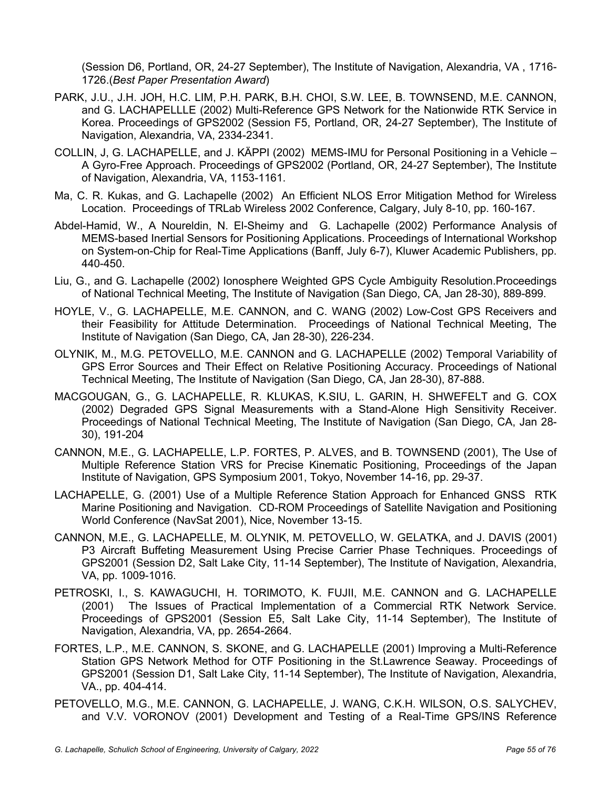(Session D6, Portland, OR, 24-27 September), The Institute of Navigation, Alexandria, VA , 1716- 1726.(*Best Paper Presentation Award*)

- PARK, J.U., J.H. JOH, H.C. LIM, P.H. PARK, B.H. CHOI, S.W. LEE, B. TOWNSEND, M.E. CANNON, and G. LACHAPELLLE (2002) Multi-Reference GPS Network for the Nationwide RTK Service in Korea. Proceedings of GPS2002 (Session F5, Portland, OR, 24-27 September), The Institute of Navigation, Alexandria, VA, 2334-2341.
- COLLIN, J, G. LACHAPELLE, and J. KÄPPI (2002) MEMS-IMU for Personal Positioning in a Vehicle A Gyro-Free Approach. Proceedings of GPS2002 (Portland, OR, 24-27 September), The Institute of Navigation, Alexandria, VA, 1153-1161.
- Ma, C. R. Kukas, and G. Lachapelle (2002) An Efficient NLOS Error Mitigation Method for Wireless Location. Proceedings of TRLab Wireless 2002 Conference, Calgary, July 8-10, pp. 160-167.
- Abdel-Hamid, W., A Noureldin, N. El-Sheimy and G. Lachapelle (2002) Performance Analysis of MEMS-based Inertial Sensors for Positioning Applications. Proceedings of International Workshop on System-on-Chip for Real-Time Applications (Banff, July 6-7), Kluwer Academic Publishers, pp. 440-450.
- Liu, G., and G. Lachapelle (2002) Ionosphere Weighted GPS Cycle Ambiguity Resolution.Proceedings of National Technical Meeting, The Institute of Navigation (San Diego, CA, Jan 28-30), 889-899.
- HOYLE, V., G. LACHAPELLE, M.E. CANNON, and C. WANG (2002) Low-Cost GPS Receivers and their Feasibility for Attitude Determination. Proceedings of National Technical Meeting, The Institute of Navigation (San Diego, CA, Jan 28-30), 226-234.
- OLYNIK, M., M.G. PETOVELLO, M.E. CANNON and G. LACHAPELLE (2002) Temporal Variability of GPS Error Sources and Their Effect on Relative Positioning Accuracy. Proceedings of National Technical Meeting, The Institute of Navigation (San Diego, CA, Jan 28-30), 87-888.
- MACGOUGAN, G., G. LACHAPELLE, R. KLUKAS, K.SIU, L. GARIN, H. SHWEFELT and G. COX (2002) Degraded GPS Signal Measurements with a Stand-Alone High Sensitivity Receiver. Proceedings of National Technical Meeting, The Institute of Navigation (San Diego, CA, Jan 28- 30), 191-204
- CANNON, M.E., G. LACHAPELLE, L.P. FORTES, P. ALVES, and B. TOWNSEND (2001), The Use of Multiple Reference Station VRS for Precise Kinematic Positioning, Proceedings of the Japan Institute of Navigation, GPS Symposium 2001, Tokyo, November 14-16, pp. 29-37.
- LACHAPELLE, G. (2001) Use of a Multiple Reference Station Approach for Enhanced GNSS RTK Marine Positioning and Navigation. CD-ROM Proceedings of Satellite Navigation and Positioning World Conference (NavSat 2001), Nice, November 13-15.
- CANNON, M.E., G. LACHAPELLE, M. OLYNIK, M. PETOVELLO, W. GELATKA, and J. DAVIS (2001) P3 Aircraft Buffeting Measurement Using Precise Carrier Phase Techniques. Proceedings of GPS2001 (Session D2, Salt Lake City, 11-14 September), The Institute of Navigation, Alexandria, VA, pp. 1009-1016.
- PETROSKI, I., S. KAWAGUCHI, H. TORIMOTO, K. FUJII, M.E. CANNON and G. LACHAPELLE (2001) The Issues of Practical Implementation of a Commercial RTK Network Service. Proceedings of GPS2001 (Session E5, Salt Lake City, 11-14 September), The Institute of Navigation, Alexandria, VA, pp. 2654-2664.
- FORTES, L.P., M.E. CANNON, S. SKONE, and G. LACHAPELLE (2001) Improving a Multi-Reference Station GPS Network Method for OTF Positioning in the St.Lawrence Seaway. Proceedings of GPS2001 (Session D1, Salt Lake City, 11-14 September), The Institute of Navigation, Alexandria, VA., pp. 404-414.
- PETOVELLO, M.G., M.E. CANNON, G. LACHAPELLE, J. WANG, C.K.H. WILSON, O.S. SALYCHEV, and V.V. VORONOV (2001) Development and Testing of a Real-Time GPS/INS Reference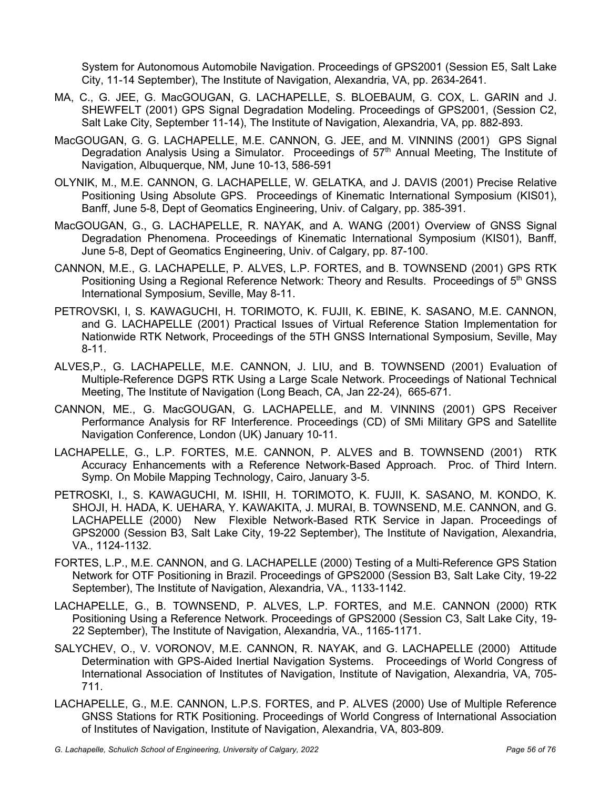System for Autonomous Automobile Navigation. Proceedings of GPS2001 (Session E5, Salt Lake City, 11-14 September), The Institute of Navigation, Alexandria, VA, pp. 2634-2641.

- MA, C., G. JEE, G. MacGOUGAN, G. LACHAPELLE, S. BLOEBAUM, G. COX, L. GARIN and J. SHEWFELT (2001) GPS Signal Degradation Modeling. Proceedings of GPS2001, (Session C2, Salt Lake City, September 11-14), The Institute of Navigation, Alexandria, VA, pp. 882-893.
- MacGOUGAN, G. G. LACHAPELLE, M.E. CANNON, G. JEE, and M. VINNINS (2001) GPS Signal Degradation Analysis Using a Simulator. Proceedings of 57<sup>th</sup> Annual Meeting, The Institute of Navigation, Albuquerque, NM, June 10-13, 586-591
- OLYNIK, M., M.E. CANNON, G. LACHAPELLE, W. GELATKA, and J. DAVIS (2001) Precise Relative Positioning Using Absolute GPS. Proceedings of Kinematic International Symposium (KIS01), Banff, June 5-8, Dept of Geomatics Engineering, Univ. of Calgary, pp. 385-391.
- MacGOUGAN, G., G. LACHAPELLE, R. NAYAK, and A. WANG (2001) Overview of GNSS Signal Degradation Phenomena. Proceedings of Kinematic International Symposium (KIS01), Banff, June 5-8, Dept of Geomatics Engineering, Univ. of Calgary, pp. 87-100.
- CANNON, M.E., G. LACHAPELLE, P. ALVES, L.P. FORTES, and B. TOWNSEND (2001) GPS RTK Positioning Using a Regional Reference Network: Theory and Results. Proceedings of 5<sup>th</sup> GNSS International Symposium, Seville, May 8-11.
- PETROVSKI, I, S. KAWAGUCHI, H. TORIMOTO, K. FUJII, K. EBINE, K. SASANO, M.E. CANNON, and G. LACHAPELLE (2001) Practical Issues of Virtual Reference Station Implementation for Nationwide RTK Network, Proceedings of the 5TH GNSS International Symposium, Seville, May 8-11.
- ALVES,P., G. LACHAPELLE, M.E. CANNON, J. LIU, and B. TOWNSEND (2001) Evaluation of Multiple-Reference DGPS RTK Using a Large Scale Network. Proceedings of National Technical Meeting, The Institute of Navigation (Long Beach, CA, Jan 22-24), 665-671.
- CANNON, ME., G. MacGOUGAN, G. LACHAPELLE, and M. VINNINS (2001) GPS Receiver Performance Analysis for RF Interference. Proceedings (CD) of SMi Military GPS and Satellite Navigation Conference, London (UK) January 10-11.
- LACHAPELLE, G., L.P. FORTES, M.E. CANNON, P. ALVES and B. TOWNSEND (2001) RTK Accuracy Enhancements with a Reference Network-Based Approach. Proc. of Third Intern. Symp. On Mobile Mapping Technology, Cairo, January 3-5.
- PETROSKI, I., S. KAWAGUCHI, M. ISHII, H. TORIMOTO, K. FUJII, K. SASANO, M. KONDO, K. SHOJI, H. HADA, K. UEHARA, Y. KAWAKITA, J. MURAI, B. TOWNSEND, M.E. CANNON, and G. LACHAPELLE (2000) New Flexible Network-Based RTK Service in Japan. Proceedings of GPS2000 (Session B3, Salt Lake City, 19-22 September), The Institute of Navigation, Alexandria, VA., 1124-1132.
- FORTES, L.P., M.E. CANNON, and G. LACHAPELLE (2000) Testing of a Multi-Reference GPS Station Network for OTF Positioning in Brazil. Proceedings of GPS2000 (Session B3, Salt Lake City, 19-22 September), The Institute of Navigation, Alexandria, VA., 1133-1142.
- LACHAPELLE, G., B. TOWNSEND, P. ALVES, L.P. FORTES, and M.E. CANNON (2000) RTK Positioning Using a Reference Network. Proceedings of GPS2000 (Session C3, Salt Lake City, 19- 22 September), The Institute of Navigation, Alexandria, VA., 1165-1171.
- SALYCHEV, O., V. VORONOV, M.E. CANNON, R. NAYAK, and G. LACHAPELLE (2000) Attitude Determination with GPS-Aided Inertial Navigation Systems. Proceedings of World Congress of International Association of Institutes of Navigation, Institute of Navigation, Alexandria, VA, 705- 711.
- LACHAPELLE, G., M.E. CANNON, L.P.S. FORTES, and P. ALVES (2000) Use of Multiple Reference GNSS Stations for RTK Positioning. Proceedings of World Congress of International Association of Institutes of Navigation, Institute of Navigation, Alexandria, VA, 803-809.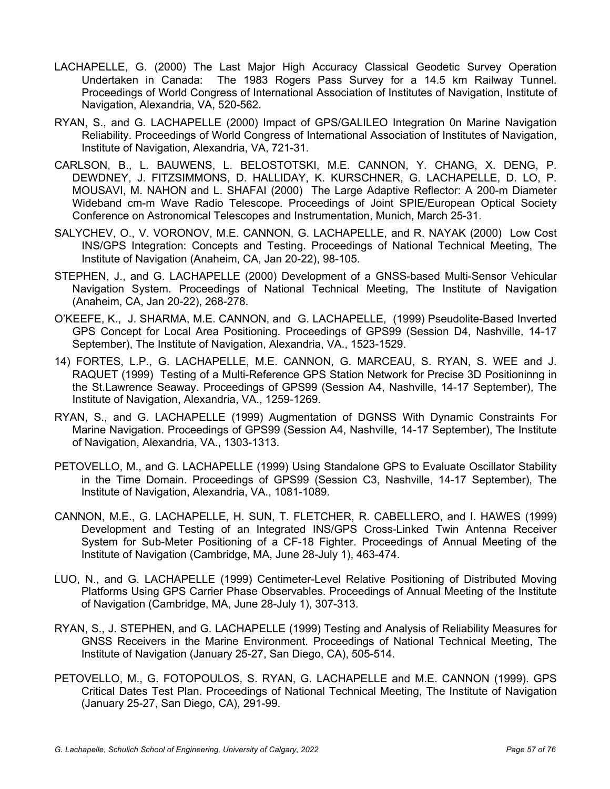- LACHAPELLE, G. (2000) The Last Major High Accuracy Classical Geodetic Survey Operation Undertaken in Canada: The 1983 Rogers Pass Survey for a 14.5 km Railway Tunnel. Proceedings of World Congress of International Association of Institutes of Navigation, Institute of Navigation, Alexandria, VA, 520-562.
- RYAN, S., and G. LACHAPELLE (2000) Impact of GPS/GALILEO Integration 0n Marine Navigation Reliability. Proceedings of World Congress of International Association of Institutes of Navigation, Institute of Navigation, Alexandria, VA, 721-31.
- CARLSON, B., L. BAUWENS, L. BELOSTOTSKI, M.E. CANNON, Y. CHANG, X. DENG, P. DEWDNEY, J. FITZSIMMONS, D. HALLIDAY, K. KURSCHNER, G. LACHAPELLE, D. LO, P. MOUSAVI, M. NAHON and L. SHAFAI (2000) The Large Adaptive Reflector: A 200-m Diameter Wideband cm-m Wave Radio Telescope. Proceedings of Joint SPIE/European Optical Society Conference on Astronomical Telescopes and Instrumentation, Munich, March 25-31.
- SALYCHEV, O., V. VORONOV, M.E. CANNON, G. LACHAPELLE, and R. NAYAK (2000) Low Cost INS/GPS Integration: Concepts and Testing. Proceedings of National Technical Meeting, The Institute of Navigation (Anaheim, CA, Jan 20-22), 98-105.
- STEPHEN, J., and G. LACHAPELLE (2000) Development of a GNSS-based Multi-Sensor Vehicular Navigation System. Proceedings of National Technical Meeting, The Institute of Navigation (Anaheim, CA, Jan 20-22), 268-278.
- O'KEEFE, K., J. SHARMA, M.E. CANNON, and G. LACHAPELLE, (1999) Pseudolite-Based Inverted GPS Concept for Local Area Positioning. Proceedings of GPS99 (Session D4, Nashville, 14-17 September), The Institute of Navigation, Alexandria, VA., 1523-1529.
- 14) FORTES, L.P., G. LACHAPELLE, M.E. CANNON, G. MARCEAU, S. RYAN, S. WEE and J. RAQUET (1999) Testing of a Multi-Reference GPS Station Network for Precise 3D Positioninng in the St.Lawrence Seaway. Proceedings of GPS99 (Session A4, Nashville, 14-17 September), The Institute of Navigation, Alexandria, VA., 1259-1269.
- RYAN, S., and G. LACHAPELLE (1999) Augmentation of DGNSS With Dynamic Constraints For Marine Navigation. Proceedings of GPS99 (Session A4, Nashville, 14-17 September), The Institute of Navigation, Alexandria, VA., 1303-1313.
- PETOVELLO, M., and G. LACHAPELLE (1999) Using Standalone GPS to Evaluate Oscillator Stability in the Time Domain. Proceedings of GPS99 (Session C3, Nashville, 14-17 September), The Institute of Navigation, Alexandria, VA., 1081-1089.
- CANNON, M.E., G. LACHAPELLE, H. SUN, T. FLETCHER, R. CABELLERO, and I. HAWES (1999) Development and Testing of an Integrated INS/GPS Cross-Linked Twin Antenna Receiver System for Sub-Meter Positioning of a CF-18 Fighter. Proceedings of Annual Meeting of the Institute of Navigation (Cambridge, MA, June 28-July 1), 463-474.
- LUO, N., and G. LACHAPELLE (1999) Centimeter-Level Relative Positioning of Distributed Moving Platforms Using GPS Carrier Phase Observables. Proceedings of Annual Meeting of the Institute of Navigation (Cambridge, MA, June 28-July 1), 307-313.
- RYAN, S., J. STEPHEN, and G. LACHAPELLE (1999) Testing and Analysis of Reliability Measures for GNSS Receivers in the Marine Environment. Proceedings of National Technical Meeting, The Institute of Navigation (January 25-27, San Diego, CA), 505-514.
- PETOVELLO, M., G. FOTOPOULOS, S. RYAN, G. LACHAPELLE and M.E. CANNON (1999). GPS Critical Dates Test Plan. Proceedings of National Technical Meeting, The Institute of Navigation (January 25-27, San Diego, CA), 291-99.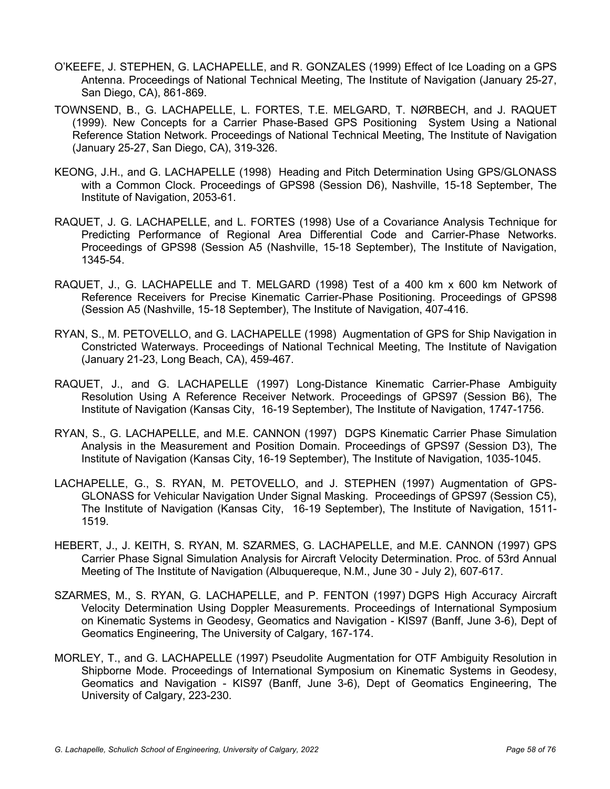- O'KEEFE, J. STEPHEN, G. LACHAPELLE, and R. GONZALES (1999) Effect of Ice Loading on a GPS Antenna. Proceedings of National Technical Meeting, The Institute of Navigation (January 25-27, San Diego, CA), 861-869.
- TOWNSEND, B., G. LACHAPELLE, L. FORTES, T.E. MELGARD, T. NØRBECH, and J. RAQUET (1999). New Concepts for a Carrier Phase-Based GPS Positioning System Using a National Reference Station Network. Proceedings of National Technical Meeting, The Institute of Navigation (January 25-27, San Diego, CA), 319-326.
- KEONG, J.H., and G. LACHAPELLE (1998) Heading and Pitch Determination Using GPS/GLONASS with a Common Clock. Proceedings of GPS98 (Session D6), Nashville, 15-18 September, The Institute of Navigation, 2053-61.
- RAQUET, J. G. LACHAPELLE, and L. FORTES (1998) Use of a Covariance Analysis Technique for Predicting Performance of Regional Area Differential Code and Carrier-Phase Networks. Proceedings of GPS98 (Session A5 (Nashville, 15-18 September), The Institute of Navigation, 1345-54.
- RAQUET, J., G. LACHAPELLE and T. MELGARD (1998) Test of a 400 km x 600 km Network of Reference Receivers for Precise Kinematic Carrier-Phase Positioning. Proceedings of GPS98 (Session A5 (Nashville, 15-18 September), The Institute of Navigation, 407-416.
- RYAN, S., M. PETOVELLO, and G. LACHAPELLE (1998) Augmentation of GPS for Ship Navigation in Constricted Waterways. Proceedings of National Technical Meeting, The Institute of Navigation (January 21-23, Long Beach, CA), 459-467.
- RAQUET, J., and G. LACHAPELLE (1997) Long-Distance Kinematic Carrier-Phase Ambiguity Resolution Using A Reference Receiver Network. Proceedings of GPS97 (Session B6), The Institute of Navigation (Kansas City, 16-19 September), The Institute of Navigation, 1747-1756.
- RYAN, S., G. LACHAPELLE, and M.E. CANNON (1997) DGPS Kinematic Carrier Phase Simulation Analysis in the Measurement and Position Domain. Proceedings of GPS97 (Session D3), The Institute of Navigation (Kansas City, 16-19 September), The Institute of Navigation, 1035-1045.
- LACHAPELLE, G., S. RYAN, M. PETOVELLO, and J. STEPHEN (1997) Augmentation of GPS-GLONASS for Vehicular Navigation Under Signal Masking. Proceedings of GPS97 (Session C5), The Institute of Navigation (Kansas City, 16-19 September), The Institute of Navigation, 1511- 1519.
- HEBERT, J., J. KEITH, S. RYAN, M. SZARMES, G. LACHAPELLE, and M.E. CANNON (1997) GPS Carrier Phase Signal Simulation Analysis for Aircraft Velocity Determination. Proc. of 53rd Annual Meeting of The Institute of Navigation (Albuquereque, N.M., June 30 - July 2), 607-617.
- SZARMES, M., S. RYAN, G. LACHAPELLE, and P. FENTON (1997) DGPS High Accuracy Aircraft Velocity Determination Using Doppler Measurements. Proceedings of International Symposium on Kinematic Systems in Geodesy, Geomatics and Navigation - KIS97 (Banff, June 3-6), Dept of Geomatics Engineering, The University of Calgary, 167-174.
- MORLEY, T., and G. LACHAPELLE (1997) Pseudolite Augmentation for OTF Ambiguity Resolution in Shipborne Mode. Proceedings of International Symposium on Kinematic Systems in Geodesy, Geomatics and Navigation - KIS97 (Banff, June 3-6), Dept of Geomatics Engineering, The University of Calgary, 223-230.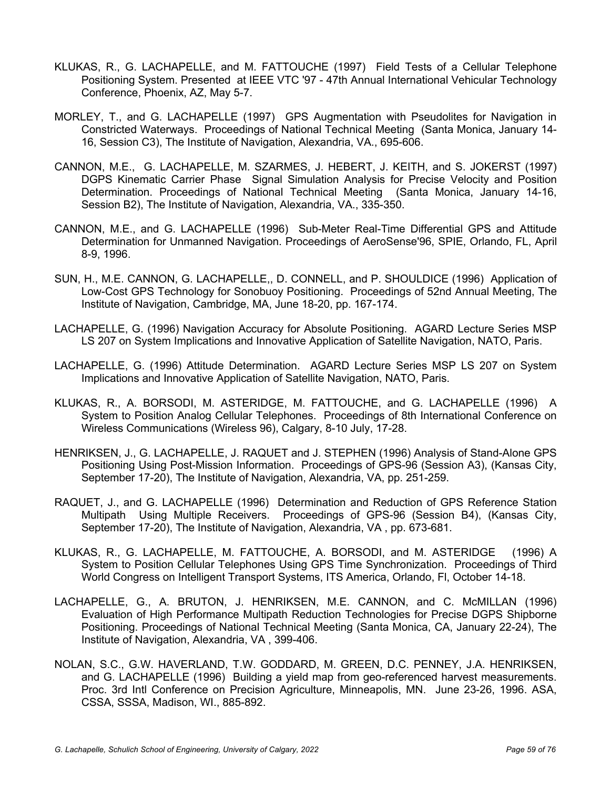- KLUKAS, R., G. LACHAPELLE, and M. FATTOUCHE (1997) Field Tests of a Cellular Telephone Positioning System. Presented at IEEE VTC '97 - 47th Annual International Vehicular Technology Conference, Phoenix, AZ, May 5-7.
- MORLEY, T., and G. LACHAPELLE (1997) GPS Augmentation with Pseudolites for Navigation in Constricted Waterways. Proceedings of National Technical Meeting (Santa Monica, January 14- 16, Session C3), The Institute of Navigation, Alexandria, VA., 695-606.
- CANNON, M.E., G. LACHAPELLE, M. SZARMES, J. HEBERT, J. KEITH, and S. JOKERST (1997) DGPS Kinematic Carrier Phase Signal Simulation Analysis for Precise Velocity and Position Determination. Proceedings of National Technical Meeting (Santa Monica, January 14-16, Session B2), The Institute of Navigation, Alexandria, VA., 335-350.
- CANNON, M.E., and G. LACHAPELLE (1996) Sub-Meter Real-Time Differential GPS and Attitude Determination for Unmanned Navigation. Proceedings of AeroSense'96, SPIE, Orlando, FL, April 8-9, 1996.
- SUN, H., M.E. CANNON, G. LACHAPELLE,, D. CONNELL, and P. SHOULDICE (1996) Application of Low-Cost GPS Technology for Sonobuoy Positioning. Proceedings of 52nd Annual Meeting, The Institute of Navigation, Cambridge, MA, June 18-20, pp. 167-174.
- LACHAPELLE, G. (1996) Navigation Accuracy for Absolute Positioning. AGARD Lecture Series MSP LS 207 on System Implications and Innovative Application of Satellite Navigation, NATO, Paris.
- LACHAPELLE, G. (1996) Attitude Determination. AGARD Lecture Series MSP LS 207 on System Implications and Innovative Application of Satellite Navigation, NATO, Paris.
- KLUKAS, R., A. BORSODI, M. ASTERIDGE, M. FATTOUCHE, and G. LACHAPELLE (1996) A System to Position Analog Cellular Telephones. Proceedings of 8th International Conference on Wireless Communications (Wireless 96), Calgary, 8-10 July, 17-28.
- HENRIKSEN, J., G. LACHAPELLE, J. RAQUET and J. STEPHEN (1996) Analysis of Stand-Alone GPS Positioning Using Post-Mission Information. Proceedings of GPS-96 (Session A3), (Kansas City, September 17-20), The Institute of Navigation, Alexandria, VA, pp. 251-259.
- RAQUET, J., and G. LACHAPELLE (1996) Determination and Reduction of GPS Reference Station Multipath Using Multiple Receivers. Proceedings of GPS-96 (Session B4), (Kansas City, September 17-20), The Institute of Navigation, Alexandria, VA , pp. 673-681.
- KLUKAS, R., G. LACHAPELLE, M. FATTOUCHE, A. BORSODI, and M. ASTERIDGE (1996) A System to Position Cellular Telephones Using GPS Time Synchronization. Proceedings of Third World Congress on Intelligent Transport Systems, ITS America, Orlando, Fl, October 14-18.
- LACHAPELLE, G., A. BRUTON, J. HENRIKSEN, M.E. CANNON, and C. McMILLAN (1996) Evaluation of High Performance Multipath Reduction Technologies for Precise DGPS Shipborne Positioning. Proceedings of National Technical Meeting (Santa Monica, CA, January 22-24), The Institute of Navigation, Alexandria, VA , 399-406.
- NOLAN, S.C., G.W. HAVERLAND, T.W. GODDARD, M. GREEN, D.C. PENNEY, J.A. HENRIKSEN, and G. LACHAPELLE (1996) Building a yield map from geo-referenced harvest measurements. Proc. 3rd Intl Conference on Precision Agriculture, Minneapolis, MN. June 23-26, 1996. ASA, CSSA, SSSA, Madison, WI., 885-892.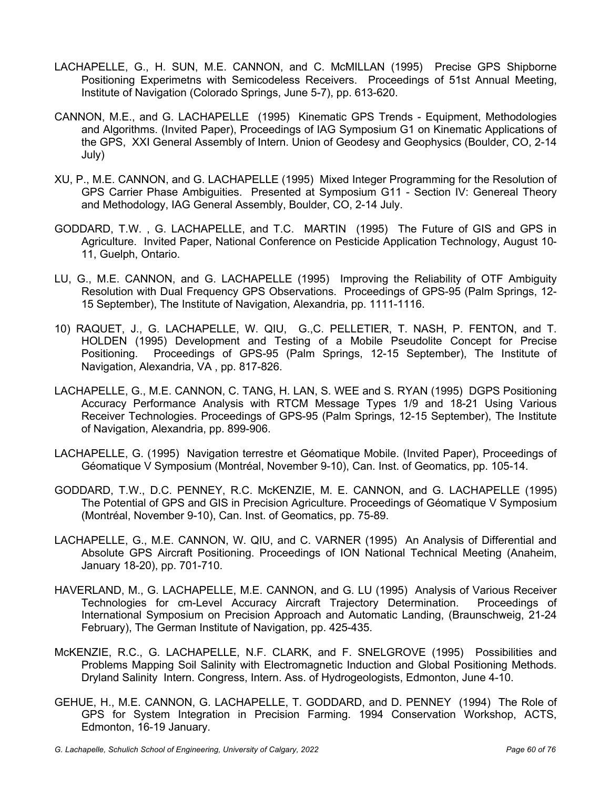- LACHAPELLE, G., H. SUN, M.E. CANNON, and C. McMILLAN (1995) Precise GPS Shipborne Positioning Experimetns with Semicodeless Receivers. Proceedings of 51st Annual Meeting, Institute of Navigation (Colorado Springs, June 5-7), pp. 613-620.
- CANNON, M.E., and G. LACHAPELLE (1995) Kinematic GPS Trends Equipment, Methodologies and Algorithms. (Invited Paper), Proceedings of IAG Symposium G1 on Kinematic Applications of the GPS, XXI General Assembly of Intern. Union of Geodesy and Geophysics (Boulder, CO, 2-14 July)
- XU, P., M.E. CANNON, and G. LACHAPELLE (1995) Mixed Integer Programming for the Resolution of GPS Carrier Phase Ambiguities. Presented at Symposium G11 - Section IV: Genereal Theory and Methodology, IAG General Assembly, Boulder, CO, 2-14 July.
- GODDARD, T.W. , G. LACHAPELLE, and T.C. MARTIN (1995) The Future of GIS and GPS in Agriculture. Invited Paper, National Conference on Pesticide Application Technology, August 10- 11, Guelph, Ontario.
- LU, G., M.E. CANNON, and G. LACHAPELLE (1995) Improving the Reliability of OTF Ambiguity Resolution with Dual Frequency GPS Observations. Proceedings of GPS-95 (Palm Springs, 12- 15 September), The Institute of Navigation, Alexandria, pp. 1111-1116.
- 10) RAQUET, J., G. LACHAPELLE, W. QIU, G.,C. PELLETIER, T. NASH, P. FENTON, and T. HOLDEN (1995) Development and Testing of a Mobile Pseudolite Concept for Precise Positioning. Proceedings of GPS-95 (Palm Springs, 12-15 September), The Institute of Navigation, Alexandria, VA , pp. 817-826.
- LACHAPELLE, G., M.E. CANNON, C. TANG, H. LAN, S. WEE and S. RYAN (1995) DGPS Positioning Accuracy Performance Analysis with RTCM Message Types 1/9 and 18-21 Using Various Receiver Technologies. Proceedings of GPS-95 (Palm Springs, 12-15 September), The Institute of Navigation, Alexandria, pp. 899-906.
- LACHAPELLE, G. (1995) Navigation terrestre et Géomatique Mobile. (Invited Paper), Proceedings of Géomatique V Symposium (Montréal, November 9-10), Can. Inst. of Geomatics, pp. 105-14.
- GODDARD, T.W., D.C. PENNEY, R.C. McKENZIE, M. E. CANNON, and G. LACHAPELLE (1995) The Potential of GPS and GIS in Precision Agriculture. Proceedings of Géomatique V Symposium (Montréal, November 9-10), Can. Inst. of Geomatics, pp. 75-89.
- LACHAPELLE, G., M.E. CANNON, W. QIU, and C. VARNER (1995) An Analysis of Differential and Absolute GPS Aircraft Positioning. Proceedings of ION National Technical Meeting (Anaheim, January 18-20), pp. 701-710.
- HAVERLAND, M., G. LACHAPELLE, M.E. CANNON, and G. LU (1995) Analysis of Various Receiver Technologies for cm-Level Accuracy Aircraft Trajectory Determination. Proceedings of International Symposium on Precision Approach and Automatic Landing, (Braunschweig, 21-24 February), The German Institute of Navigation, pp. 425-435.
- McKENZIE, R.C., G. LACHAPELLE, N.F. CLARK, and F. SNELGROVE (1995) Possibilities and Problems Mapping Soil Salinity with Electromagnetic Induction and Global Positioning Methods. Dryland Salinity Intern. Congress, Intern. Ass. of Hydrogeologists, Edmonton, June 4-10.
- GEHUE, H., M.E. CANNON, G. LACHAPELLE, T. GODDARD, and D. PENNEY (1994) The Role of GPS for System Integration in Precision Farming. 1994 Conservation Workshop, ACTS, Edmonton, 16-19 January.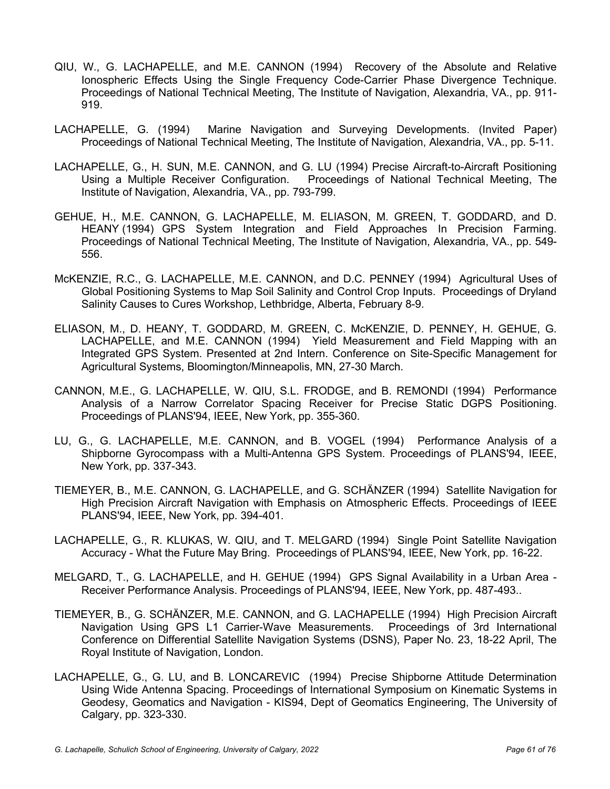- QIU, W., G. LACHAPELLE, and M.E. CANNON (1994) Recovery of the Absolute and Relative Ionospheric Effects Using the Single Frequency Code-Carrier Phase Divergence Technique. Proceedings of National Technical Meeting, The Institute of Navigation, Alexandria, VA., pp. 911- 919.
- LACHAPELLE, G. (1994) Marine Navigation and Surveying Developments. (Invited Paper) Proceedings of National Technical Meeting, The Institute of Navigation, Alexandria, VA., pp. 5-11.
- LACHAPELLE, G., H. SUN, M.E. CANNON, and G. LU (1994) Precise Aircraft-to-Aircraft Positioning Using a Multiple Receiver Configuration. Proceedings of National Technical Meeting, The Institute of Navigation, Alexandria, VA., pp. 793-799.
- GEHUE, H., M.E. CANNON, G. LACHAPELLE, M. ELIASON, M. GREEN, T. GODDARD, and D. HEANY (1994) GPS System Integration and Field Approaches In Precision Farming. Proceedings of National Technical Meeting, The Institute of Navigation, Alexandria, VA., pp. 549- 556.
- McKENZIE, R.C., G. LACHAPELLE, M.E. CANNON, and D.C. PENNEY (1994) Agricultural Uses of Global Positioning Systems to Map Soil Salinity and Control Crop Inputs. Proceedings of Dryland Salinity Causes to Cures Workshop, Lethbridge, Alberta, February 8-9.
- ELIASON, M., D. HEANY, T. GODDARD, M. GREEN, C. McKENZIE, D. PENNEY, H. GEHUE, G. LACHAPELLE, and M.E. CANNON (1994) Yield Measurement and Field Mapping with an Integrated GPS System. Presented at 2nd Intern. Conference on Site-Specific Management for Agricultural Systems, Bloomington/Minneapolis, MN, 27-30 March.
- CANNON, M.E., G. LACHAPELLE, W. QIU, S.L. FRODGE, and B. REMONDI (1994) Performance Analysis of a Narrow Correlator Spacing Receiver for Precise Static DGPS Positioning. Proceedings of PLANS'94, IEEE, New York, pp. 355-360.
- LU, G., G. LACHAPELLE, M.E. CANNON, and B. VOGEL (1994) Performance Analysis of a Shipborne Gyrocompass with a Multi-Antenna GPS System. Proceedings of PLANS'94, IEEE, New York, pp. 337-343.
- TIEMEYER, B., M.E. CANNON, G. LACHAPELLE, and G. SCHÄNZER (1994) Satellite Navigation for High Precision Aircraft Navigation with Emphasis on Atmospheric Effects. Proceedings of IEEE PLANS'94, IEEE, New York, pp. 394-401.
- LACHAPELLE, G., R. KLUKAS, W. QIU, and T. MELGARD (1994) Single Point Satellite Navigation Accuracy - What the Future May Bring. Proceedings of PLANS'94, IEEE, New York, pp. 16-22.
- MELGARD, T., G. LACHAPELLE, and H. GEHUE (1994) GPS Signal Availability in a Urban Area Receiver Performance Analysis. Proceedings of PLANS'94, IEEE, New York, pp. 487-493..
- TIEMEYER, B., G. SCHÄNZER, M.E. CANNON, and G. LACHAPELLE (1994) High Precision Aircraft Navigation Using GPS L1 Carrier-Wave Measurements. Proceedings of 3rd International Conference on Differential Satellite Navigation Systems (DSNS), Paper No. 23, 18-22 April, The Royal Institute of Navigation, London.
- LACHAPELLE, G., G. LU, and B. LONCAREVIC (1994) Precise Shipborne Attitude Determination Using Wide Antenna Spacing. Proceedings of International Symposium on Kinematic Systems in Geodesy, Geomatics and Navigation - KIS94, Dept of Geomatics Engineering, The University of Calgary, pp. 323-330.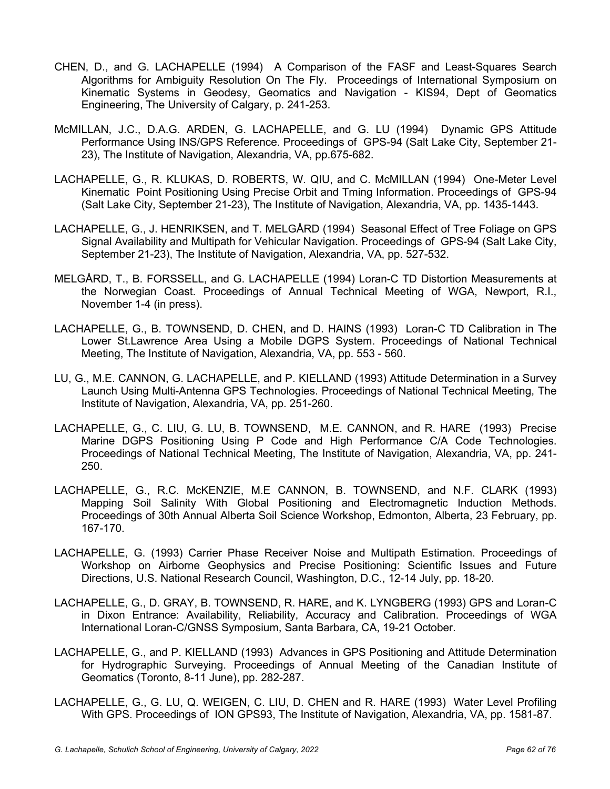- CHEN, D., and G. LACHAPELLE (1994) A Comparison of the FASF and Least-Squares Search Algorithms for Ambiguity Resolution On The Fly. Proceedings of International Symposium on Kinematic Systems in Geodesy, Geomatics and Navigation - KIS94, Dept of Geomatics Engineering, The University of Calgary, p. 241-253.
- McMILLAN, J.C., D.A.G. ARDEN, G. LACHAPELLE, and G. LU (1994) Dynamic GPS Attitude Performance Using INS/GPS Reference. Proceedings of GPS-94 (Salt Lake City, September 21- 23), The Institute of Navigation, Alexandria, VA, pp.675-682.
- LACHAPELLE, G., R. KLUKAS, D. ROBERTS, W. QIU, and C. McMILLAN (1994) One-Meter Level Kinematic Point Positioning Using Precise Orbit and Tming Information. Proceedings of GPS-94 (Salt Lake City, September 21-23), The Institute of Navigation, Alexandria, VA, pp. 1435-1443.
- LACHAPELLE, G., J. HENRIKSEN, and T. MELGÅRD (1994) Seasonal Effect of Tree Foliage on GPS Signal Availability and Multipath for Vehicular Navigation. Proceedings of GPS-94 (Salt Lake City, September 21-23), The Institute of Navigation, Alexandria, VA, pp. 527-532.
- MELGÅRD, T., B. FORSSELL, and G. LACHAPELLE (1994) Loran-C TD Distortion Measurements at the Norwegian Coast. Proceedings of Annual Technical Meeting of WGA, Newport, R.I., November 1-4 (in press).
- LACHAPELLE, G., B. TOWNSEND, D. CHEN, and D. HAINS (1993) Loran-C TD Calibration in The Lower St.Lawrence Area Using a Mobile DGPS System. Proceedings of National Technical Meeting, The Institute of Navigation, Alexandria, VA, pp. 553 - 560.
- LU, G., M.E. CANNON, G. LACHAPELLE, and P. KIELLAND (1993) Attitude Determination in a Survey Launch Using Multi-Antenna GPS Technologies. Proceedings of National Technical Meeting, The Institute of Navigation, Alexandria, VA, pp. 251-260.
- LACHAPELLE, G., C. LIU, G. LU, B. TOWNSEND, M.E. CANNON, and R. HARE (1993) Precise Marine DGPS Positioning Using P Code and High Performance C/A Code Technologies. Proceedings of National Technical Meeting, The Institute of Navigation, Alexandria, VA, pp. 241- 250.
- LACHAPELLE, G., R.C. McKENZIE, M.E CANNON, B. TOWNSEND, and N.F. CLARK (1993) Mapping Soil Salinity With Global Positioning and Electromagnetic Induction Methods. Proceedings of 30th Annual Alberta Soil Science Workshop, Edmonton, Alberta, 23 February, pp. 167-170.
- LACHAPELLE, G. (1993) Carrier Phase Receiver Noise and Multipath Estimation. Proceedings of Workshop on Airborne Geophysics and Precise Positioning: Scientific Issues and Future Directions, U.S. National Research Council, Washington, D.C., 12-14 July, pp. 18-20.
- LACHAPELLE, G., D. GRAY, B. TOWNSEND, R. HARE, and K. LYNGBERG (1993) GPS and Loran-C in Dixon Entrance: Availability, Reliability, Accuracy and Calibration. Proceedings of WGA International Loran-C/GNSS Symposium, Santa Barbara, CA, 19-21 October.
- LACHAPELLE, G., and P. KIELLAND (1993) Advances in GPS Positioning and Attitude Determination for Hydrographic Surveying. Proceedings of Annual Meeting of the Canadian Institute of Geomatics (Toronto, 8-11 June), pp. 282-287.
- LACHAPELLE, G., G. LU, Q. WEIGEN, C. LIU, D. CHEN and R. HARE (1993) Water Level Profiling With GPS. Proceedings of ION GPS93, The Institute of Navigation, Alexandria, VA, pp. 1581-87.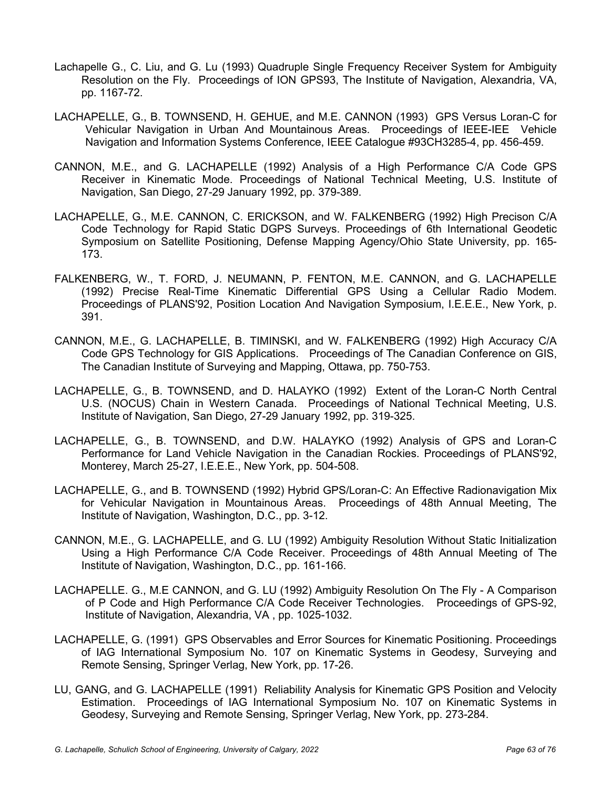- Lachapelle G., C. Liu, and G. Lu (1993) Quadruple Single Frequency Receiver System for Ambiguity Resolution on the Fly. Proceedings of ION GPS93, The Institute of Navigation, Alexandria, VA, pp. 1167-72.
- LACHAPELLE, G., B. TOWNSEND, H. GEHUE, and M.E. CANNON (1993) GPS Versus Loran-C for Vehicular Navigation in Urban And Mountainous Areas. Proceedings of IEEE-IEE Vehicle Navigation and Information Systems Conference, IEEE Catalogue #93CH3285-4, pp. 456-459.
- CANNON, M.E., and G. LACHAPELLE (1992) Analysis of a High Performance C/A Code GPS Receiver in Kinematic Mode. Proceedings of National Technical Meeting, U.S. Institute of Navigation, San Diego, 27-29 January 1992, pp. 379-389.
- LACHAPELLE, G., M.E. CANNON, C. ERICKSON, and W. FALKENBERG (1992) High Precison C/A Code Technology for Rapid Static DGPS Surveys. Proceedings of 6th International Geodetic Symposium on Satellite Positioning, Defense Mapping Agency/Ohio State University, pp. 165- 173.
- FALKENBERG, W., T. FORD, J. NEUMANN, P. FENTON, M.E. CANNON, and G. LACHAPELLE (1992) Precise Real-Time Kinematic Differential GPS Using a Cellular Radio Modem. Proceedings of PLANS'92, Position Location And Navigation Symposium, I.E.E.E., New York, p. 391.
- CANNON, M.E., G. LACHAPELLE, B. TIMINSKI, and W. FALKENBERG (1992) High Accuracy C/A Code GPS Technology for GIS Applications. Proceedings of The Canadian Conference on GIS, The Canadian Institute of Surveying and Mapping, Ottawa, pp. 750-753.
- LACHAPELLE, G., B. TOWNSEND, and D. HALAYKO (1992) Extent of the Loran-C North Central U.S. (NOCUS) Chain in Western Canada. Proceedings of National Technical Meeting, U.S. Institute of Navigation, San Diego, 27-29 January 1992, pp. 319-325.
- LACHAPELLE, G., B. TOWNSEND, and D.W. HALAYKO (1992) Analysis of GPS and Loran-C Performance for Land Vehicle Navigation in the Canadian Rockies. Proceedings of PLANS'92, Monterey, March 25-27, I.E.E.E., New York, pp. 504-508.
- LACHAPELLE, G., and B. TOWNSEND (1992) Hybrid GPS/Loran-C: An Effective Radionavigation Mix for Vehicular Navigation in Mountainous Areas. Proceedings of 48th Annual Meeting, The Institute of Navigation, Washington, D.C., pp. 3-12.
- CANNON, M.E., G. LACHAPELLE, and G. LU (1992) Ambiguity Resolution Without Static Initialization Using a High Performance C/A Code Receiver. Proceedings of 48th Annual Meeting of The Institute of Navigation, Washington, D.C., pp. 161-166.
- LACHAPELLE. G., M.E CANNON, and G. LU (1992) Ambiguity Resolution On The Fly A Comparison of P Code and High Performance C/A Code Receiver Technologies. Proceedings of GPS-92, Institute of Navigation, Alexandria, VA , pp. 1025-1032.
- LACHAPELLE, G. (1991) GPS Observables and Error Sources for Kinematic Positioning. Proceedings of IAG International Symposium No. 107 on Kinematic Systems in Geodesy, Surveying and Remote Sensing, Springer Verlag, New York, pp. 17-26.
- LU, GANG, and G. LACHAPELLE (1991) Reliability Analysis for Kinematic GPS Position and Velocity Estimation. Proceedings of IAG International Symposium No. 107 on Kinematic Systems in Geodesy, Surveying and Remote Sensing, Springer Verlag, New York, pp. 273-284.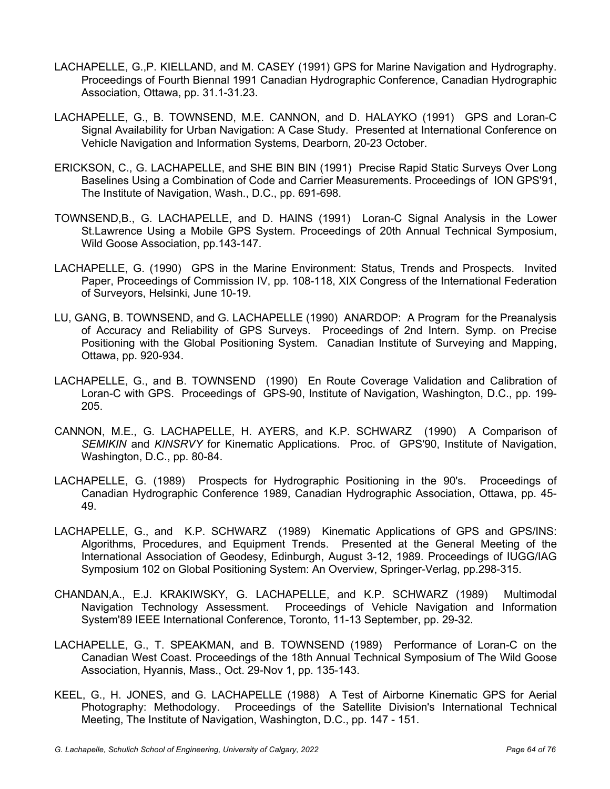- LACHAPELLE, G.,P. KIELLAND, and M. CASEY (1991) GPS for Marine Navigation and Hydrography. Proceedings of Fourth Biennal 1991 Canadian Hydrographic Conference, Canadian Hydrographic Association, Ottawa, pp. 31.1-31.23.
- LACHAPELLE, G., B. TOWNSEND, M.E. CANNON, and D. HALAYKO (1991) GPS and Loran-C Signal Availability for Urban Navigation: A Case Study. Presented at International Conference on Vehicle Navigation and Information Systems, Dearborn, 20-23 October.
- ERICKSON, C., G. LACHAPELLE, and SHE BIN BIN (1991) Precise Rapid Static Surveys Over Long Baselines Using a Combination of Code and Carrier Measurements. Proceedings of ION GPS'91, The Institute of Navigation, Wash., D.C., pp. 691-698.
- TOWNSEND,B., G. LACHAPELLE, and D. HAINS (1991) Loran-C Signal Analysis in the Lower St.Lawrence Using a Mobile GPS System. Proceedings of 20th Annual Technical Symposium, Wild Goose Association, pp.143-147.
- LACHAPELLE, G. (1990) GPS in the Marine Environment: Status, Trends and Prospects. Invited Paper, Proceedings of Commission IV, pp. 108-118, XIX Congress of the International Federation of Surveyors, Helsinki, June 10-19.
- LU, GANG, B. TOWNSEND, and G. LACHAPELLE (1990) ANARDOP: A Program for the Preanalysis of Accuracy and Reliability of GPS Surveys. Proceedings of 2nd Intern. Symp. on Precise Positioning with the Global Positioning System. Canadian Institute of Surveying and Mapping, Ottawa, pp. 920-934.
- LACHAPELLE, G., and B. TOWNSEND (1990) En Route Coverage Validation and Calibration of Loran-C with GPS. Proceedings of GPS-90, Institute of Navigation, Washington, D.C., pp. 199- 205.
- CANNON, M.E., G. LACHAPELLE, H. AYERS, and K.P. SCHWARZ (1990) A Comparison of *SEMIKIN* and *KINSRVY* for Kinematic Applications. Proc. of GPS'90, Institute of Navigation, Washington, D.C., pp. 80-84.
- LACHAPELLE, G. (1989) Prospects for Hydrographic Positioning in the 90's. Proceedings of Canadian Hydrographic Conference 1989, Canadian Hydrographic Association, Ottawa, pp. 45- 49.
- LACHAPELLE, G., and K.P. SCHWARZ (1989) Kinematic Applications of GPS and GPS/INS: Algorithms, Procedures, and Equipment Trends. Presented at the General Meeting of the International Association of Geodesy, Edinburgh, August 3-12, 1989. Proceedings of IUGG/IAG Symposium 102 on Global Positioning System: An Overview, Springer-Verlag, pp.298-315.
- CHANDAN,A., E.J. KRAKIWSKY, G. LACHAPELLE, and K.P. SCHWARZ (1989) Multimodal Navigation Technology Assessment. Proceedings of Vehicle Navigation and Information System'89 IEEE International Conference, Toronto, 11-13 September, pp. 29-32.
- LACHAPELLE, G., T. SPEAKMAN, and B. TOWNSEND (1989) Performance of Loran-C on the Canadian West Coast. Proceedings of the 18th Annual Technical Symposium of The Wild Goose Association, Hyannis, Mass., Oct. 29-Nov 1, pp. 135-143.
- KEEL, G., H. JONES, and G. LACHAPELLE (1988) A Test of Airborne Kinematic GPS for Aerial Photography: Methodology. Proceedings of the Satellite Division's International Technical Meeting, The Institute of Navigation, Washington, D.C., pp. 147 - 151.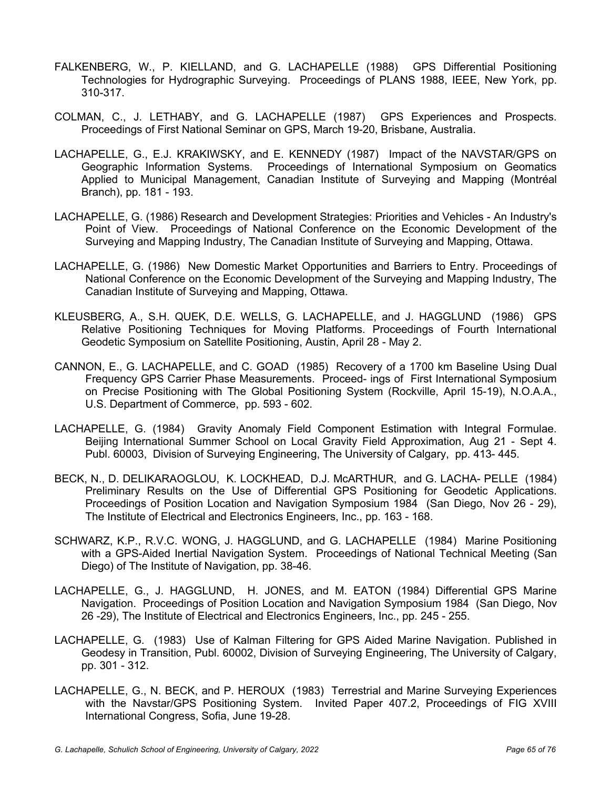- FALKENBERG, W., P. KIELLAND, and G. LACHAPELLE (1988) GPS Differential Positioning Technologies for Hydrographic Surveying. Proceedings of PLANS 1988, IEEE, New York, pp. 310-317.
- COLMAN, C., J. LETHABY, and G. LACHAPELLE (1987) GPS Experiences and Prospects. Proceedings of First National Seminar on GPS, March 19-20, Brisbane, Australia.
- LACHAPELLE, G., E.J. KRAKIWSKY, and E. KENNEDY (1987) Impact of the NAVSTAR/GPS on Geographic Information Systems. Proceedings of International Symposium on Geomatics Applied to Municipal Management, Canadian Institute of Surveying and Mapping (Montréal Branch), pp. 181 - 193.
- LACHAPELLE, G. (1986) Research and Development Strategies: Priorities and Vehicles An Industry's Point of View. Proceedings of National Conference on the Economic Development of the Surveying and Mapping Industry, The Canadian Institute of Surveying and Mapping, Ottawa.
- LACHAPELLE, G. (1986) New Domestic Market Opportunities and Barriers to Entry. Proceedings of National Conference on the Economic Development of the Surveying and Mapping Industry, The Canadian Institute of Surveying and Mapping, Ottawa.
- KLEUSBERG, A., S.H. QUEK, D.E. WELLS, G. LACHAPELLE, and J. HAGGLUND (1986) GPS Relative Positioning Techniques for Moving Platforms. Proceedings of Fourth International Geodetic Symposium on Satellite Positioning, Austin, April 28 - May 2.
- CANNON, E., G. LACHAPELLE, and C. GOAD (1985) Recovery of a 1700 km Baseline Using Dual Frequency GPS Carrier Phase Measurements. Proceed- ings of First International Symposium on Precise Positioning with The Global Positioning System (Rockville, April 15-19), N.O.A.A., U.S. Department of Commerce, pp. 593 - 602.
- LACHAPELLE, G. (1984) Gravity Anomaly Field Component Estimation with Integral Formulae. Beijing International Summer School on Local Gravity Field Approximation, Aug 21 - Sept 4. Publ. 60003, Division of Surveying Engineering, The University of Calgary, pp. 413- 445.
- BECK, N., D. DELIKARAOGLOU, K. LOCKHEAD, D.J. McARTHUR, and G. LACHA- PELLE (1984) Preliminary Results on the Use of Differential GPS Positioning for Geodetic Applications. Proceedings of Position Location and Navigation Symposium 1984 (San Diego, Nov 26 - 29), The Institute of Electrical and Electronics Engineers, Inc., pp. 163 - 168.
- SCHWARZ, K.P., R.V.C. WONG, J. HAGGLUND, and G. LACHAPELLE (1984) Marine Positioning with a GPS-Aided Inertial Navigation System. Proceedings of National Technical Meeting (San Diego) of The Institute of Navigation, pp. 38-46.
- LACHAPELLE, G., J. HAGGLUND, H. JONES, and M. EATON (1984) Differential GPS Marine Navigation. Proceedings of Position Location and Navigation Symposium 1984 (San Diego, Nov 26 -29), The Institute of Electrical and Electronics Engineers, Inc., pp. 245 - 255.
- LACHAPELLE, G. (1983) Use of Kalman Filtering for GPS Aided Marine Navigation. Published in Geodesy in Transition, Publ. 60002, Division of Surveying Engineering, The University of Calgary, pp. 301 - 312.
- LACHAPELLE, G., N. BECK, and P. HEROUX (1983) Terrestrial and Marine Surveying Experiences with the Navstar/GPS Positioning System. Invited Paper 407.2, Proceedings of FIG XVIII International Congress, Sofia, June 19-28.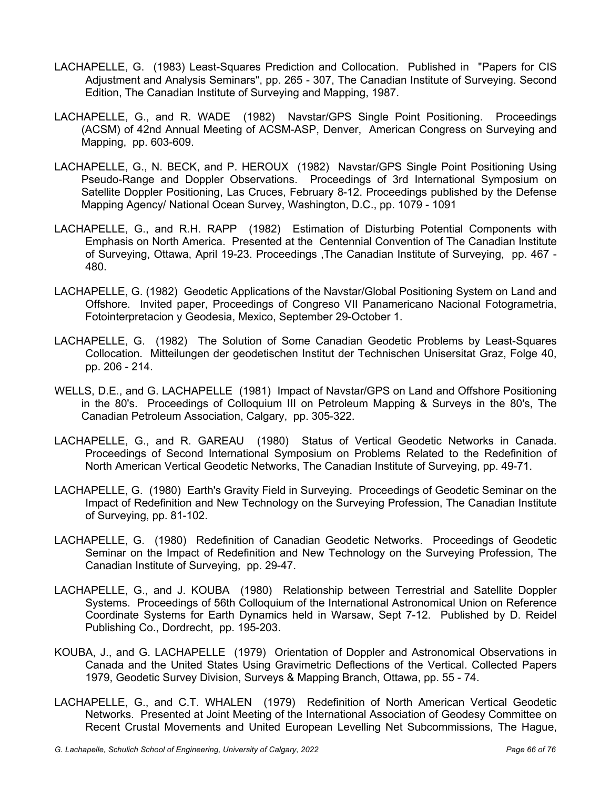- LACHAPELLE, G. (1983) Least-Squares Prediction and Collocation. Published in "Papers for CIS Adjustment and Analysis Seminars", pp. 265 - 307, The Canadian Institute of Surveying. Second Edition, The Canadian Institute of Surveying and Mapping, 1987.
- LACHAPELLE, G., and R. WADE (1982) Navstar/GPS Single Point Positioning. Proceedings (ACSM) of 42nd Annual Meeting of ACSM-ASP, Denver, American Congress on Surveying and Mapping, pp. 603-609.
- LACHAPELLE, G., N. BECK, and P. HEROUX (1982) Navstar/GPS Single Point Positioning Using Pseudo-Range and Doppler Observations. Proceedings of 3rd International Symposium on Satellite Doppler Positioning, Las Cruces, February 8-12. Proceedings published by the Defense Mapping Agency/ National Ocean Survey, Washington, D.C., pp. 1079 - 1091
- LACHAPELLE, G., and R.H. RAPP (1982) Estimation of Disturbing Potential Components with Emphasis on North America. Presented at the Centennial Convention of The Canadian Institute of Surveying, Ottawa, April 19-23. Proceedings ,The Canadian Institute of Surveying, pp. 467 - 480.
- LACHAPELLE, G. (1982) Geodetic Applications of the Navstar/Global Positioning System on Land and Offshore. Invited paper, Proceedings of Congreso VII Panamericano Nacional Fotogrametria, Fotointerpretacion y Geodesia, Mexico, September 29-October 1.
- LACHAPELLE, G. (1982) The Solution of Some Canadian Geodetic Problems by Least-Squares Collocation. Mitteilungen der geodetischen Institut der Technischen Unisersitat Graz, Folge 40, pp. 206 - 214.
- WELLS, D.E., and G. LACHAPELLE (1981) Impact of Navstar/GPS on Land and Offshore Positioning in the 80's. Proceedings of Colloquium III on Petroleum Mapping & Surveys in the 80's, The Canadian Petroleum Association, Calgary, pp. 305-322.
- LACHAPELLE, G., and R. GAREAU (1980) Status of Vertical Geodetic Networks in Canada. Proceedings of Second International Symposium on Problems Related to the Redefinition of North American Vertical Geodetic Networks, The Canadian Institute of Surveying, pp. 49-71.
- LACHAPELLE, G. (1980) Earth's Gravity Field in Surveying. Proceedings of Geodetic Seminar on the Impact of Redefinition and New Technology on the Surveying Profession, The Canadian Institute of Surveying, pp. 81-102.
- LACHAPELLE, G. (1980) Redefinition of Canadian Geodetic Networks. Proceedings of Geodetic Seminar on the Impact of Redefinition and New Technology on the Surveying Profession, The Canadian Institute of Surveying, pp. 29-47.
- LACHAPELLE, G., and J. KOUBA (1980) Relationship between Terrestrial and Satellite Doppler Systems. Proceedings of 56th Colloquium of the International Astronomical Union on Reference Coordinate Systems for Earth Dynamics held in Warsaw, Sept 7-12. Published by D. Reidel Publishing Co., Dordrecht, pp. 195-203.
- KOUBA, J., and G. LACHAPELLE (1979) Orientation of Doppler and Astronomical Observations in Canada and the United States Using Gravimetric Deflections of the Vertical. Collected Papers 1979, Geodetic Survey Division, Surveys & Mapping Branch, Ottawa, pp. 55 - 74.
- LACHAPELLE, G., and C.T. WHALEN (1979) Redefinition of North American Vertical Geodetic Networks. Presented at Joint Meeting of the International Association of Geodesy Committee on Recent Crustal Movements and United European Levelling Net Subcommissions, The Hague,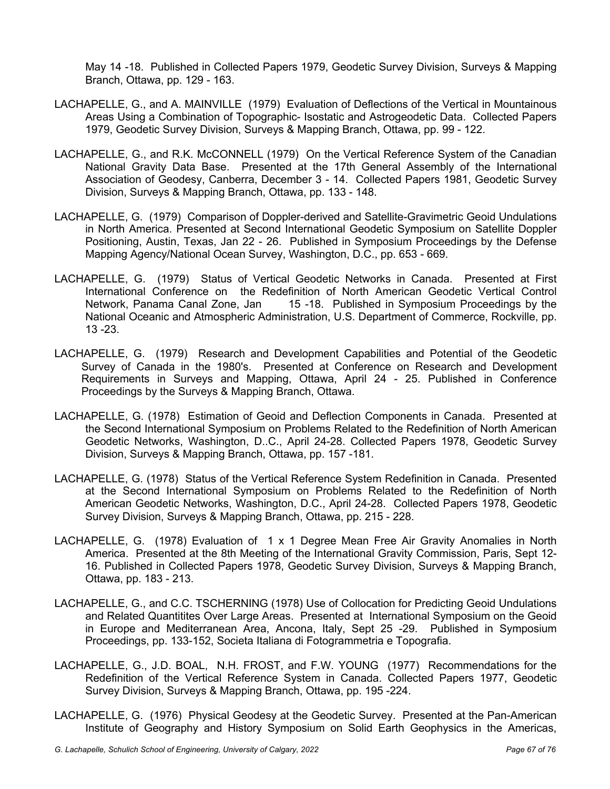May 14 -18. Published in Collected Papers 1979, Geodetic Survey Division, Surveys & Mapping Branch, Ottawa, pp. 129 - 163.

- LACHAPELLE, G., and A. MAINVILLE (1979) Evaluation of Deflections of the Vertical in Mountainous Areas Using a Combination of Topographic- Isostatic and Astrogeodetic Data. Collected Papers 1979, Geodetic Survey Division, Surveys & Mapping Branch, Ottawa, pp. 99 - 122.
- LACHAPELLE, G., and R.K. McCONNELL (1979) On the Vertical Reference System of the Canadian National Gravity Data Base. Presented at the 17th General Assembly of the International Association of Geodesy, Canberra, December 3 - 14. Collected Papers 1981, Geodetic Survey Division, Surveys & Mapping Branch, Ottawa, pp. 133 - 148.
- LACHAPELLE, G. (1979) Comparison of Doppler-derived and Satellite-Gravimetric Geoid Undulations in North America. Presented at Second International Geodetic Symposium on Satellite Doppler Positioning, Austin, Texas, Jan 22 - 26. Published in Symposium Proceedings by the Defense Mapping Agency/National Ocean Survey, Washington, D.C., pp. 653 - 669.
- LACHAPELLE, G. (1979) Status of Vertical Geodetic Networks in Canada. Presented at First International Conference on the Redefinition of North American Geodetic Vertical Control Network, Panama Canal Zone, Jan 15 -18. Published in Symposium Proceedings by the National Oceanic and Atmospheric Administration, U.S. Department of Commerce, Rockville, pp. 13 -23.
- LACHAPELLE, G. (1979) Research and Development Capabilities and Potential of the Geodetic Survey of Canada in the 1980's. Presented at Conference on Research and Development Requirements in Surveys and Mapping, Ottawa, April 24 - 25. Published in Conference Proceedings by the Surveys & Mapping Branch, Ottawa.
- LACHAPELLE, G. (1978) Estimation of Geoid and Deflection Components in Canada. Presented at the Second International Symposium on Problems Related to the Redefinition of North American Geodetic Networks, Washington, D..C., April 24-28. Collected Papers 1978, Geodetic Survey Division, Surveys & Mapping Branch, Ottawa, pp. 157 -181.
- LACHAPELLE, G. (1978) Status of the Vertical Reference System Redefinition in Canada. Presented at the Second International Symposium on Problems Related to the Redefinition of North American Geodetic Networks, Washington, D.C., April 24-28. Collected Papers 1978, Geodetic Survey Division, Surveys & Mapping Branch, Ottawa, pp. 215 - 228.
- LACHAPELLE, G. (1978) Evaluation of 1 x 1 Degree Mean Free Air Gravity Anomalies in North America. Presented at the 8th Meeting of the International Gravity Commission, Paris, Sept 12- 16. Published in Collected Papers 1978, Geodetic Survey Division, Surveys & Mapping Branch, Ottawa, pp. 183 - 213.
- LACHAPELLE, G., and C.C. TSCHERNING (1978) Use of Collocation for Predicting Geoid Undulations and Related Quantitites Over Large Areas. Presented at International Symposium on the Geoid in Europe and Mediterranean Area, Ancona, Italy, Sept 25 -29. Published in Symposium Proceedings, pp. 133-152, Societa Italiana di Fotogrammetria e Topografia.
- LACHAPELLE, G., J.D. BOAL, N.H. FROST, and F.W. YOUNG (1977) Recommendations for the Redefinition of the Vertical Reference System in Canada. Collected Papers 1977, Geodetic Survey Division, Surveys & Mapping Branch, Ottawa, pp. 195 -224.
- LACHAPELLE, G. (1976) Physical Geodesy at the Geodetic Survey. Presented at the Pan-American Institute of Geography and History Symposium on Solid Earth Geophysics in the Americas,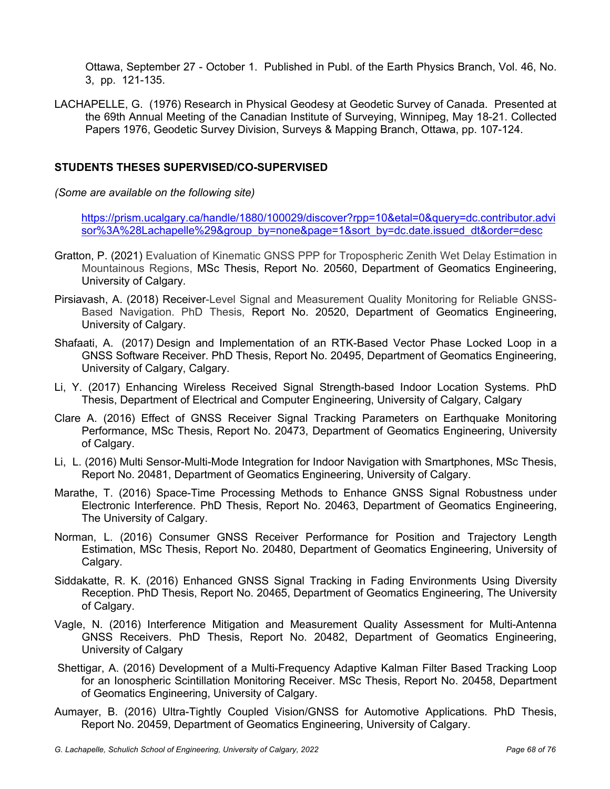Ottawa, September 27 - October 1. Published in Publ. of the Earth Physics Branch, Vol. 46, No. 3, pp. 121-135.

LACHAPELLE, G. (1976) Research in Physical Geodesy at Geodetic Survey of Canada. Presented at the 69th Annual Meeting of the Canadian Institute of Surveying, Winnipeg, May 18-21. Collected Papers 1976, Geodetic Survey Division, Surveys & Mapping Branch, Ottawa, pp. 107-124.

## **STUDENTS THESES SUPERVISED/CO-SUPERVISED**

*(Some are available on the following site)*

https://prism.ucalgary.ca/handle/1880/100029/discover?rpp=10&etal=0&query=dc.contributor.advi sor%3A%28Lachapelle%29&group\_by=none&page=1&sort\_by=dc.date.issued\_dt&order=desc

- Gratton, P. (2021) Evaluation of Kinematic GNSS PPP for Tropospheric Zenith Wet Delay Estimation in Mountainous Regions, MSc Thesis, Report No. 20560, Department of Geomatics Engineering, University of Calgary.
- Pirsiavash, A. (2018) Receiver-Level Signal and Measurement Quality Monitoring for Reliable GNSS-Based Navigation. PhD Thesis, Report No. 20520, Department of Geomatics Engineering, University of Calgary.
- Shafaati, A. (2017) Design and Implementation of an RTK-Based Vector Phase Locked Loop in a GNSS Software Receiver. PhD Thesis, Report No. 20495, Department of Geomatics Engineering, University of Calgary, Calgary.
- Li, Y. (2017) Enhancing Wireless Received Signal Strength-based Indoor Location Systems. PhD Thesis, Department of Electrical and Computer Engineering, University of Calgary, Calgary
- Clare A. (2016) Effect of GNSS Receiver Signal Tracking Parameters on Earthquake Monitoring Performance, MSc Thesis, Report No. 20473, Department of Geomatics Engineering, University of Calgary.
- Li, L. (2016) Multi Sensor-Multi-Mode Integration for Indoor Navigation with Smartphones, MSc Thesis, Report No. 20481, Department of Geomatics Engineering, University of Calgary.
- Marathe, T. (2016) Space-Time Processing Methods to Enhance GNSS Signal Robustness under Electronic Interference. PhD Thesis, Report No. 20463, Department of Geomatics Engineering, The University of Calgary.
- Norman, L. (2016) Consumer GNSS Receiver Performance for Position and Trajectory Length Estimation, MSc Thesis, Report No. 20480, Department of Geomatics Engineering, University of Calgary.
- Siddakatte, R. K. (2016) Enhanced GNSS Signal Tracking in Fading Environments Using Diversity Reception. PhD Thesis, Report No. 20465, Department of Geomatics Engineering, The University of Calgary.
- Vagle, N. (2016) Interference Mitigation and Measurement Quality Assessment for Multi-Antenna GNSS Receivers. PhD Thesis, Report No. 20482, Department of Geomatics Engineering, University of Calgary
- Shettigar, A. (2016) Development of a Multi-Frequency Adaptive Kalman Filter Based Tracking Loop for an Ionospheric Scintillation Monitoring Receiver. MSc Thesis, Report No. 20458, Department of Geomatics Engineering, University of Calgary.
- Aumayer, B. (2016) Ultra-Tightly Coupled Vision/GNSS for Automotive Applications. PhD Thesis, Report No. 20459, Department of Geomatics Engineering, University of Calgary.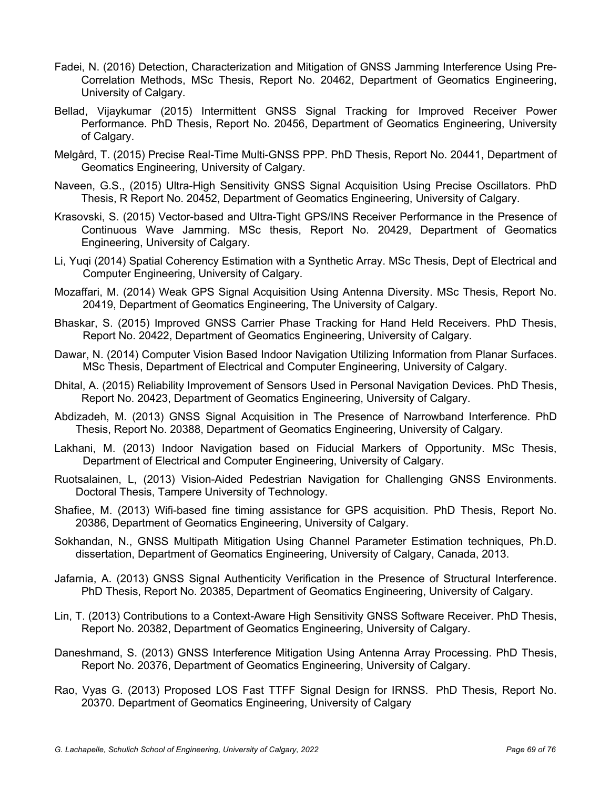- Fadei, N. (2016) Detection, Characterization and Mitigation of GNSS Jamming Interference Using Pre-Correlation Methods, MSc Thesis, Report No. 20462, Department of Geomatics Engineering, University of Calgary.
- Bellad, Vijaykumar (2015) Intermittent GNSS Signal Tracking for Improved Receiver Power Performance. PhD Thesis, Report No. 20456, Department of Geomatics Engineering, University of Calgary.
- Melgård, T. (2015) Precise Real-Time Multi-GNSS PPP. PhD Thesis, Report No. 20441, Department of Geomatics Engineering, University of Calgary.
- Naveen, G.S., (2015) Ultra-High Sensitivity GNSS Signal Acquisition Using Precise Oscillators. PhD Thesis, R Report No. 20452, Department of Geomatics Engineering, University of Calgary.
- Krasovski, S. (2015) Vector-based and Ultra-Tight GPS/INS Receiver Performance in the Presence of Continuous Wave Jamming. MSc thesis, Report No. 20429, Department of Geomatics Engineering, University of Calgary.
- Li, Yuqi (2014) Spatial Coherency Estimation with a Synthetic Array. MSc Thesis, Dept of Electrical and Computer Engineering, University of Calgary.
- Mozaffari, M. (2014) Weak GPS Signal Acquisition Using Antenna Diversity. MSc Thesis, Report No. 20419, Department of Geomatics Engineering, The University of Calgary.
- Bhaskar, S. (2015) Improved GNSS Carrier Phase Tracking for Hand Held Receivers. PhD Thesis, Report No. 20422, Department of Geomatics Engineering, University of Calgary.
- Dawar, N. (2014) Computer Vision Based Indoor Navigation Utilizing Information from Planar Surfaces. MSc Thesis, Department of Electrical and Computer Engineering, University of Calgary.
- Dhital, A. (2015) Reliability Improvement of Sensors Used in Personal Navigation Devices. PhD Thesis, Report No. 20423, Department of Geomatics Engineering, University of Calgary.
- Abdizadeh, M. (2013) GNSS Signal Acquisition in The Presence of Narrowband Interference. PhD Thesis, Report No. 20388, Department of Geomatics Engineering, University of Calgary.
- Lakhani, M. (2013) Indoor Navigation based on Fiducial Markers of Opportunity. MSc Thesis, Department of Electrical and Computer Engineering, University of Calgary.
- Ruotsalainen, L, (2013) Vision-Aided Pedestrian Navigation for Challenging GNSS Environments. Doctoral Thesis, Tampere University of Technology.
- Shafiee, M. (2013) Wifi-based fine timing assistance for GPS acquisition. PhD Thesis, Report No. 20386, Department of Geomatics Engineering, University of Calgary.
- Sokhandan, N., GNSS Multipath Mitigation Using Channel Parameter Estimation techniques, Ph.D. dissertation, Department of Geomatics Engineering, University of Calgary, Canada, 2013.
- Jafarnia, A. (2013) GNSS Signal Authenticity Verification in the Presence of Structural Interference. PhD Thesis, Report No. 20385, Department of Geomatics Engineering, University of Calgary.
- Lin, T. (2013) Contributions to a Context-Aware High Sensitivity GNSS Software Receiver. PhD Thesis, Report No. 20382, Department of Geomatics Engineering, University of Calgary.
- Daneshmand, S. (2013) GNSS Interference Mitigation Using Antenna Array Processing. PhD Thesis, Report No. 20376, Department of Geomatics Engineering, University of Calgary.
- Rao, Vyas G. (2013) Proposed LOS Fast TTFF Signal Design for IRNSS. PhD Thesis, Report No. 20370. Department of Geomatics Engineering, University of Calgary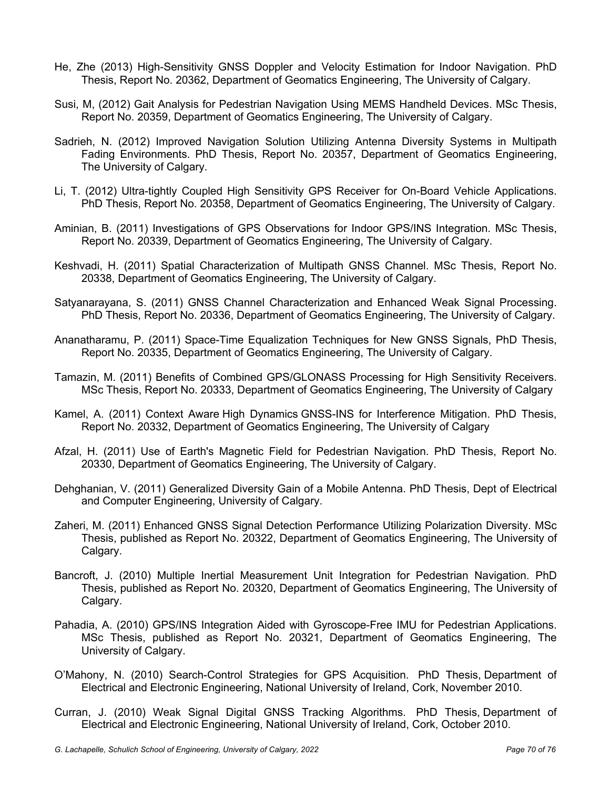- He, Zhe (2013) High-Sensitivity GNSS Doppler and Velocity Estimation for Indoor Navigation. PhD Thesis, Report No. 20362, Department of Geomatics Engineering, The University of Calgary.
- Susi, M, (2012) Gait Analysis for Pedestrian Navigation Using MEMS Handheld Devices. MSc Thesis, Report No. 20359, Department of Geomatics Engineering, The University of Calgary.
- Sadrieh, N. (2012) Improved Navigation Solution Utilizing Antenna Diversity Systems in Multipath Fading Environments. PhD Thesis, Report No. 20357, Department of Geomatics Engineering, The University of Calgary.
- Li, T. (2012) Ultra-tightly Coupled High Sensitivity GPS Receiver for On-Board Vehicle Applications. PhD Thesis, Report No. 20358, Department of Geomatics Engineering, The University of Calgary.
- Aminian, B. (2011) Investigations of GPS Observations for Indoor GPS/INS Integration. MSc Thesis, Report No. 20339, Department of Geomatics Engineering, The University of Calgary.
- Keshvadi, H. (2011) Spatial Characterization of Multipath GNSS Channel. MSc Thesis, Report No. 20338, Department of Geomatics Engineering, The University of Calgary.
- Satyanarayana, S. (2011) GNSS Channel Characterization and Enhanced Weak Signal Processing. PhD Thesis, Report No. 20336, Department of Geomatics Engineering, The University of Calgary.
- Ananatharamu, P. (2011) Space-Time Equalization Techniques for New GNSS Signals, PhD Thesis, Report No. 20335, Department of Geomatics Engineering, The University of Calgary.
- Tamazin, M. (2011) Benefits of Combined GPS/GLONASS Processing for High Sensitivity Receivers. MSc Thesis, Report No. 20333, Department of Geomatics Engineering, The University of Calgary
- Kamel, A. (2011) Context Aware High Dynamics GNSS-INS for Interference Mitigation. PhD Thesis, Report No. 20332, Department of Geomatics Engineering, The University of Calgary
- Afzal, H. (2011) Use of Earth's Magnetic Field for Pedestrian Navigation. PhD Thesis, Report No. 20330, Department of Geomatics Engineering, The University of Calgary.
- Dehghanian, V. (2011) Generalized Diversity Gain of a Mobile Antenna. PhD Thesis, Dept of Electrical and Computer Engineering, University of Calgary.
- Zaheri, M. (2011) Enhanced GNSS Signal Detection Performance Utilizing Polarization Diversity. MSc Thesis, published as Report No. 20322, Department of Geomatics Engineering, The University of Calgary.
- Bancroft, J. (2010) Multiple Inertial Measurement Unit Integration for Pedestrian Navigation. PhD Thesis, published as Report No. 20320, Department of Geomatics Engineering, The University of Calgary.
- Pahadia, A. (2010) GPS/INS Integration Aided with Gyroscope-Free IMU for Pedestrian Applications. MSc Thesis, published as Report No. 20321, Department of Geomatics Engineering, The University of Calgary.
- O'Mahony, N. (2010) Search-Control Strategies for GPS Acquisition. PhD Thesis, Department of Electrical and Electronic Engineering, National University of Ireland, Cork, November 2010.
- Curran, J. (2010) Weak Signal Digital GNSS Tracking Algorithms. PhD Thesis, Department of Electrical and Electronic Engineering, National University of Ireland, Cork, October 2010.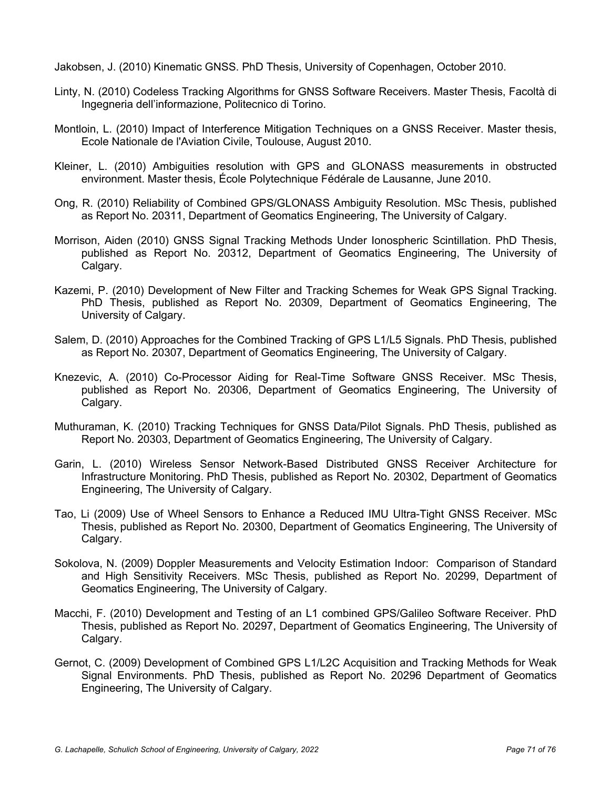Jakobsen, J. (2010) Kinematic GNSS. PhD Thesis, University of Copenhagen, October 2010.

- Linty, N. (2010) Codeless Tracking Algorithms for GNSS Software Receivers. Master Thesis, Facoltà di Ingegneria dell'informazione, Politecnico di Torino.
- Montloin, L. (2010) Impact of Interference Mitigation Techniques on a GNSS Receiver. Master thesis, Ecole Nationale de l'Aviation Civile, Toulouse, August 2010.
- Kleiner, L. (2010) Ambiguities resolution with GPS and GLONASS measurements in obstructed environment. Master thesis, École Polytechnique Fédérale de Lausanne, June 2010.
- Ong, R. (2010) Reliability of Combined GPS/GLONASS Ambiguity Resolution. MSc Thesis, published as Report No. 20311, Department of Geomatics Engineering, The University of Calgary.
- Morrison, Aiden (2010) GNSS Signal Tracking Methods Under Ionospheric Scintillation. PhD Thesis, published as Report No. 20312, Department of Geomatics Engineering, The University of Calgary.
- Kazemi, P. (2010) Development of New Filter and Tracking Schemes for Weak GPS Signal Tracking. PhD Thesis, published as Report No. 20309, Department of Geomatics Engineering, The University of Calgary.
- Salem, D. (2010) Approaches for the Combined Tracking of GPS L1/L5 Signals. PhD Thesis, published as Report No. 20307, Department of Geomatics Engineering, The University of Calgary.
- Knezevic, A. (2010) Co-Processor Aiding for Real-Time Software GNSS Receiver. MSc Thesis, published as Report No. 20306, Department of Geomatics Engineering, The University of Calgary.
- Muthuraman, K. (2010) Tracking Techniques for GNSS Data/Pilot Signals. PhD Thesis, published as Report No. 20303, Department of Geomatics Engineering, The University of Calgary.
- Garin, L. (2010) Wireless Sensor Network-Based Distributed GNSS Receiver Architecture for Infrastructure Monitoring. PhD Thesis, published as Report No. 20302, Department of Geomatics Engineering, The University of Calgary.
- Tao, Li (2009) Use of Wheel Sensors to Enhance a Reduced IMU Ultra-Tight GNSS Receiver. MSc Thesis, published as Report No. 20300, Department of Geomatics Engineering, The University of Calgary.
- Sokolova, N. (2009) Doppler Measurements and Velocity Estimation Indoor: Comparison of Standard and High Sensitivity Receivers. MSc Thesis, published as Report No. 20299, Department of Geomatics Engineering, The University of Calgary.
- Macchi, F. (2010) Development and Testing of an L1 combined GPS/Galileo Software Receiver. PhD Thesis, published as Report No. 20297, Department of Geomatics Engineering, The University of Calgary.
- Gernot, C. (2009) Development of Combined GPS L1/L2C Acquisition and Tracking Methods for Weak Signal Environments. PhD Thesis, published as Report No. 20296 Department of Geomatics Engineering, The University of Calgary.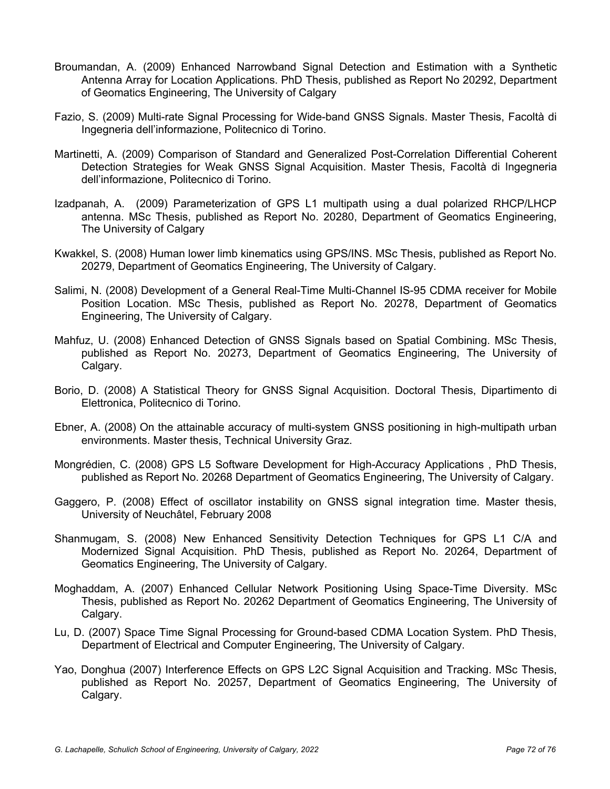- Broumandan, A. (2009) Enhanced Narrowband Signal Detection and Estimation with a Synthetic Antenna Array for Location Applications. PhD Thesis, published as Report No 20292, Department of Geomatics Engineering, The University of Calgary
- Fazio, S. (2009) Multi-rate Signal Processing for Wide-band GNSS Signals. Master Thesis, Facoltà di Ingegneria dell'informazione, Politecnico di Torino.
- Martinetti, A. (2009) Comparison of Standard and Generalized Post-Correlation Differential Coherent Detection Strategies for Weak GNSS Signal Acquisition. Master Thesis, Facoltà di Ingegneria dell'informazione, Politecnico di Torino.
- Izadpanah, A. (2009) Parameterization of GPS L1 multipath using a dual polarized RHCP/LHCP antenna. MSc Thesis, published as Report No. 20280, Department of Geomatics Engineering, The University of Calgary
- Kwakkel, S. (2008) Human lower limb kinematics using GPS/INS. MSc Thesis, published as Report No. 20279, Department of Geomatics Engineering, The University of Calgary.
- Salimi, N. (2008) Development of a General Real-Time Multi-Channel IS-95 CDMA receiver for Mobile Position Location. MSc Thesis, published as Report No. 20278, Department of Geomatics Engineering, The University of Calgary.
- Mahfuz, U. (2008) Enhanced Detection of GNSS Signals based on Spatial Combining. MSc Thesis, published as Report No. 20273, Department of Geomatics Engineering, The University of Calgary.
- Borio, D. (2008) A Statistical Theory for GNSS Signal Acquisition. Doctoral Thesis, Dipartimento di Elettronica, Politecnico di Torino.
- Ebner, A. (2008) On the attainable accuracy of multi-system GNSS positioning in high-multipath urban environments. Master thesis, Technical University Graz.
- Mongrédien, C. (2008) GPS L5 Software Development for High-Accuracy Applications , PhD Thesis, published as Report No. 20268 Department of Geomatics Engineering, The University of Calgary.
- Gaggero, P. (2008) Effect of oscillator instability on GNSS signal integration time. Master thesis, University of Neuchâtel, February 2008
- Shanmugam, S. (2008) New Enhanced Sensitivity Detection Techniques for GPS L1 C/A and Modernized Signal Acquisition. PhD Thesis, published as Report No. 20264, Department of Geomatics Engineering, The University of Calgary.
- Moghaddam, A. (2007) Enhanced Cellular Network Positioning Using Space-Time Diversity. MSc Thesis, published as Report No. 20262 Department of Geomatics Engineering, The University of Calgary.
- Lu, D. (2007) Space Time Signal Processing for Ground-based CDMA Location System. PhD Thesis, Department of Electrical and Computer Engineering, The University of Calgary.
- Yao, Donghua (2007) Interference Effects on GPS L2C Signal Acquisition and Tracking. MSc Thesis, published as Report No. 20257, Department of Geomatics Engineering, The University of Calgary.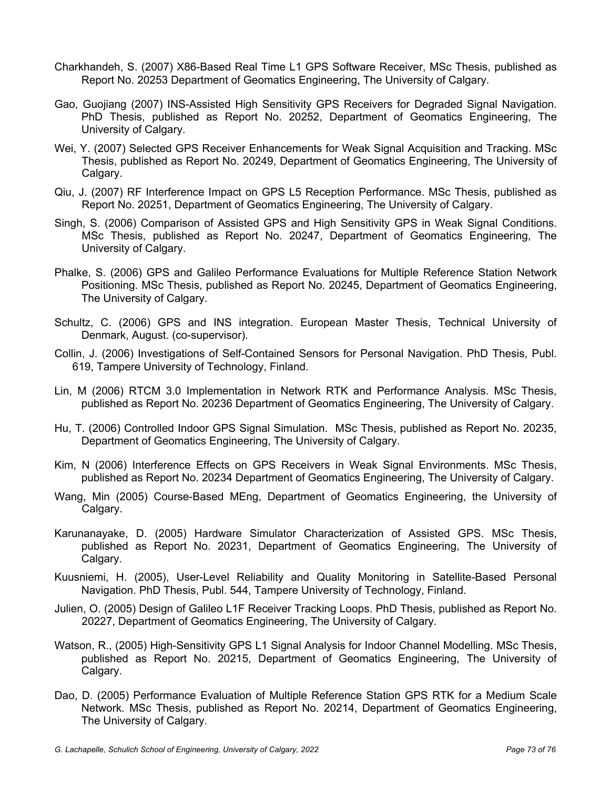- Charkhandeh, S. (2007) X86-Based Real Time L1 GPS Software Receiver, MSc Thesis, published as Report No. 20253 Department of Geomatics Engineering, The University of Calgary.
- Gao, Guojiang (2007) INS-Assisted High Sensitivity GPS Receivers for Degraded Signal Navigation. PhD Thesis, published as Report No. 20252, Department of Geomatics Engineering, The University of Calgary.
- Wei, Y. (2007) Selected GPS Receiver Enhancements for Weak Signal Acquisition and Tracking. MSc Thesis, published as Report No. 20249, Department of Geomatics Engineering, The University of Calgary.
- Qiu, J. (2007) RF Interference Impact on GPS L5 Reception Performance. MSc Thesis, published as Report No. 20251, Department of Geomatics Engineering, The University of Calgary.
- Singh, S. (2006) Comparison of Assisted GPS and High Sensitivity GPS in Weak Signal Conditions. MSc Thesis, published as Report No. 20247, Department of Geomatics Engineering, The University of Calgary.
- Phalke, S. (2006) GPS and Galileo Performance Evaluations for Multiple Reference Station Network Positioning. MSc Thesis, published as Report No. 20245, Department of Geomatics Engineering, The University of Calgary.
- Schultz, C. (2006) GPS and INS integration. European Master Thesis, Technical University of Denmark, August. (co-supervisor).
- Collin, J. (2006) Investigations of Self-Contained Sensors for Personal Navigation. PhD Thesis, Publ. 619, Tampere University of Technology, Finland.
- Lin, M (2006) RTCM 3.0 Implementation in Network RTK and Performance Analysis. MSc Thesis, published as Report No. 20236 Department of Geomatics Engineering, The University of Calgary.
- Hu, T. (2006) Controlled Indoor GPS Signal Simulation. MSc Thesis, published as Report No. 20235, Department of Geomatics Engineering, The University of Calgary.
- Kim, N (2006) Interference Effects on GPS Receivers in Weak Signal Environments. MSc Thesis, published as Report No. 20234 Department of Geomatics Engineering, The University of Calgary.
- Wang, Min (2005) Course-Based MEng, Department of Geomatics Engineering, the University of Calgary.
- Karunanayake, D. (2005) Hardware Simulator Characterization of Assisted GPS. MSc Thesis, published as Report No. 20231, Department of Geomatics Engineering, The University of Calgary.
- Kuusniemi, H. (2005), User-Level Reliability and Quality Monitoring in Satellite-Based Personal Navigation. PhD Thesis, Publ. 544, Tampere University of Technology, Finland.
- Julien, O. (2005) Design of Galileo L1F Receiver Tracking Loops. PhD Thesis, published as Report No. 20227, Department of Geomatics Engineering, The University of Calgary.
- Watson, R., (2005) High-Sensitivity GPS L1 Signal Analysis for Indoor Channel Modelling. MSc Thesis, published as Report No. 20215, Department of Geomatics Engineering, The University of Calgary.
- Dao, D. (2005) Performance Evaluation of Multiple Reference Station GPS RTK for a Medium Scale Network. MSc Thesis, published as Report No. 20214, Department of Geomatics Engineering, The University of Calgary.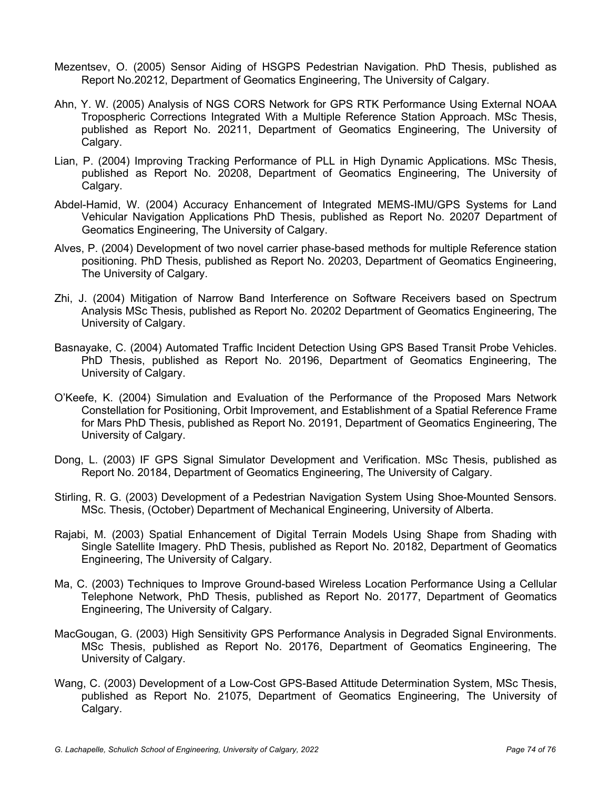- Mezentsev, O. (2005) Sensor Aiding of HSGPS Pedestrian Navigation. PhD Thesis, published as Report No.20212, Department of Geomatics Engineering, The University of Calgary.
- Ahn, Y. W. (2005) Analysis of NGS CORS Network for GPS RTK Performance Using External NOAA Tropospheric Corrections Integrated With a Multiple Reference Station Approach. MSc Thesis, published as Report No. 20211, Department of Geomatics Engineering, The University of Calgary.
- Lian, P. (2004) Improving Tracking Performance of PLL in High Dynamic Applications. MSc Thesis, published as Report No. 20208, Department of Geomatics Engineering, The University of Calgary.
- Abdel-Hamid, W. (2004) Accuracy Enhancement of Integrated MEMS-IMU/GPS Systems for Land Vehicular Navigation Applications PhD Thesis, published as Report No. 20207 Department of Geomatics Engineering, The University of Calgary.
- Alves, P. (2004) Development of two novel carrier phase-based methods for multiple Reference station positioning. PhD Thesis, published as Report No. 20203, Department of Geomatics Engineering, The University of Calgary.
- Zhi, J. (2004) Mitigation of Narrow Band Interference on Software Receivers based on Spectrum Analysis MSc Thesis, published as Report No. 20202 Department of Geomatics Engineering, The University of Calgary.
- Basnayake, C. (2004) Automated Traffic Incident Detection Using GPS Based Transit Probe Vehicles. PhD Thesis, published as Report No. 20196, Department of Geomatics Engineering, The University of Calgary.
- O'Keefe, K. (2004) Simulation and Evaluation of the Performance of the Proposed Mars Network Constellation for Positioning, Orbit Improvement, and Establishment of a Spatial Reference Frame for Mars PhD Thesis, published as Report No. 20191, Department of Geomatics Engineering, The University of Calgary.
- Dong, L. (2003) IF GPS Signal Simulator Development and Verification. MSc Thesis, published as Report No. 20184, Department of Geomatics Engineering, The University of Calgary.
- Stirling, R. G. (2003) Development of a Pedestrian Navigation System Using Shoe-Mounted Sensors. MSc. Thesis, (October) Department of Mechanical Engineering, University of Alberta.
- Rajabi, M. (2003) Spatial Enhancement of Digital Terrain Models Using Shape from Shading with Single Satellite Imagery. PhD Thesis, published as Report No. 20182, Department of Geomatics Engineering, The University of Calgary.
- Ma, C. (2003) Techniques to Improve Ground-based Wireless Location Performance Using a Cellular Telephone Network, PhD Thesis, published as Report No. 20177, Department of Geomatics Engineering, The University of Calgary.
- MacGougan, G. (2003) High Sensitivity GPS Performance Analysis in Degraded Signal Environments. MSc Thesis, published as Report No. 20176, Department of Geomatics Engineering, The University of Calgary.
- Wang, C. (2003) Development of a Low-Cost GPS-Based Attitude Determination System, MSc Thesis, published as Report No. 21075, Department of Geomatics Engineering, The University of Calgary.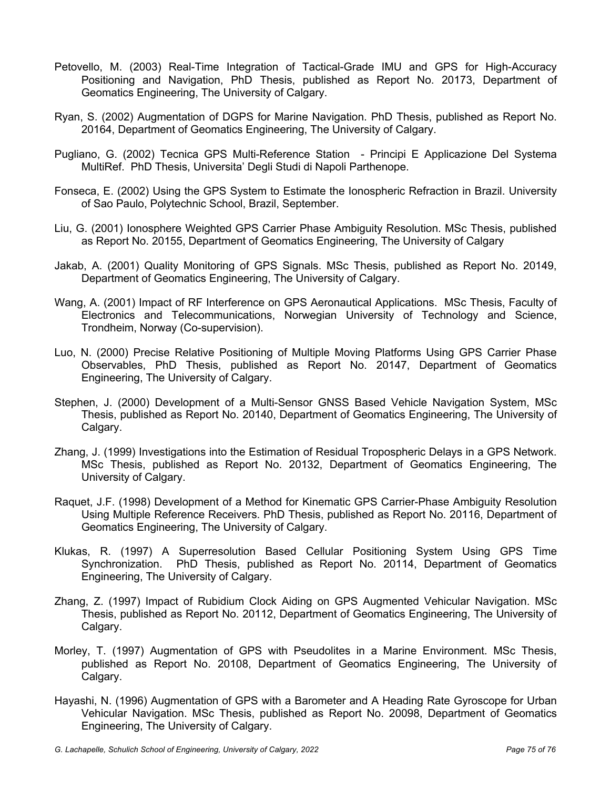- Petovello, M. (2003) Real-Time Integration of Tactical-Grade IMU and GPS for High-Accuracy Positioning and Navigation, PhD Thesis, published as Report No. 20173, Department of Geomatics Engineering, The University of Calgary.
- Ryan, S. (2002) Augmentation of DGPS for Marine Navigation. PhD Thesis, published as Report No. 20164, Department of Geomatics Engineering, The University of Calgary.
- Pugliano, G. (2002) Tecnica GPS Multi-Reference Station Principi E Applicazione Del Systema MultiRef. PhD Thesis, Universita' Degli Studi di Napoli Parthenope.
- Fonseca, E. (2002) Using the GPS System to Estimate the Ionospheric Refraction in Brazil. University of Sao Paulo, Polytechnic School, Brazil, September.
- Liu, G. (2001) Ionosphere Weighted GPS Carrier Phase Ambiguity Resolution. MSc Thesis, published as Report No. 20155, Department of Geomatics Engineering, The University of Calgary
- Jakab, A. (2001) Quality Monitoring of GPS Signals. MSc Thesis, published as Report No. 20149, Department of Geomatics Engineering, The University of Calgary.
- Wang, A. (2001) Impact of RF Interference on GPS Aeronautical Applications. MSc Thesis, Faculty of Electronics and Telecommunications, Norwegian University of Technology and Science, Trondheim, Norway (Co-supervision).
- Luo, N. (2000) Precise Relative Positioning of Multiple Moving Platforms Using GPS Carrier Phase Observables, PhD Thesis, published as Report No. 20147, Department of Geomatics Engineering, The University of Calgary.
- Stephen, J. (2000) Development of a Multi-Sensor GNSS Based Vehicle Navigation System, MSc Thesis, published as Report No. 20140, Department of Geomatics Engineering, The University of Calgary.
- Zhang, J. (1999) Investigations into the Estimation of Residual Tropospheric Delays in a GPS Network. MSc Thesis, published as Report No. 20132, Department of Geomatics Engineering, The University of Calgary.
- Raquet, J.F. (1998) Development of a Method for Kinematic GPS Carrier-Phase Ambiguity Resolution Using Multiple Reference Receivers. PhD Thesis, published as Report No. 20116, Department of Geomatics Engineering, The University of Calgary.
- Klukas, R. (1997) A Superresolution Based Cellular Positioning System Using GPS Time Synchronization. PhD Thesis, published as Report No. 20114, Department of Geomatics Engineering, The University of Calgary.
- Zhang, Z. (1997) Impact of Rubidium Clock Aiding on GPS Augmented Vehicular Navigation. MSc Thesis, published as Report No. 20112, Department of Geomatics Engineering, The University of Calgary.
- Morley, T. (1997) Augmentation of GPS with Pseudolites in a Marine Environment. MSc Thesis, published as Report No. 20108, Department of Geomatics Engineering, The University of Calgary.
- Hayashi, N. (1996) Augmentation of GPS with a Barometer and A Heading Rate Gyroscope for Urban Vehicular Navigation. MSc Thesis, published as Report No. 20098, Department of Geomatics Engineering, The University of Calgary.